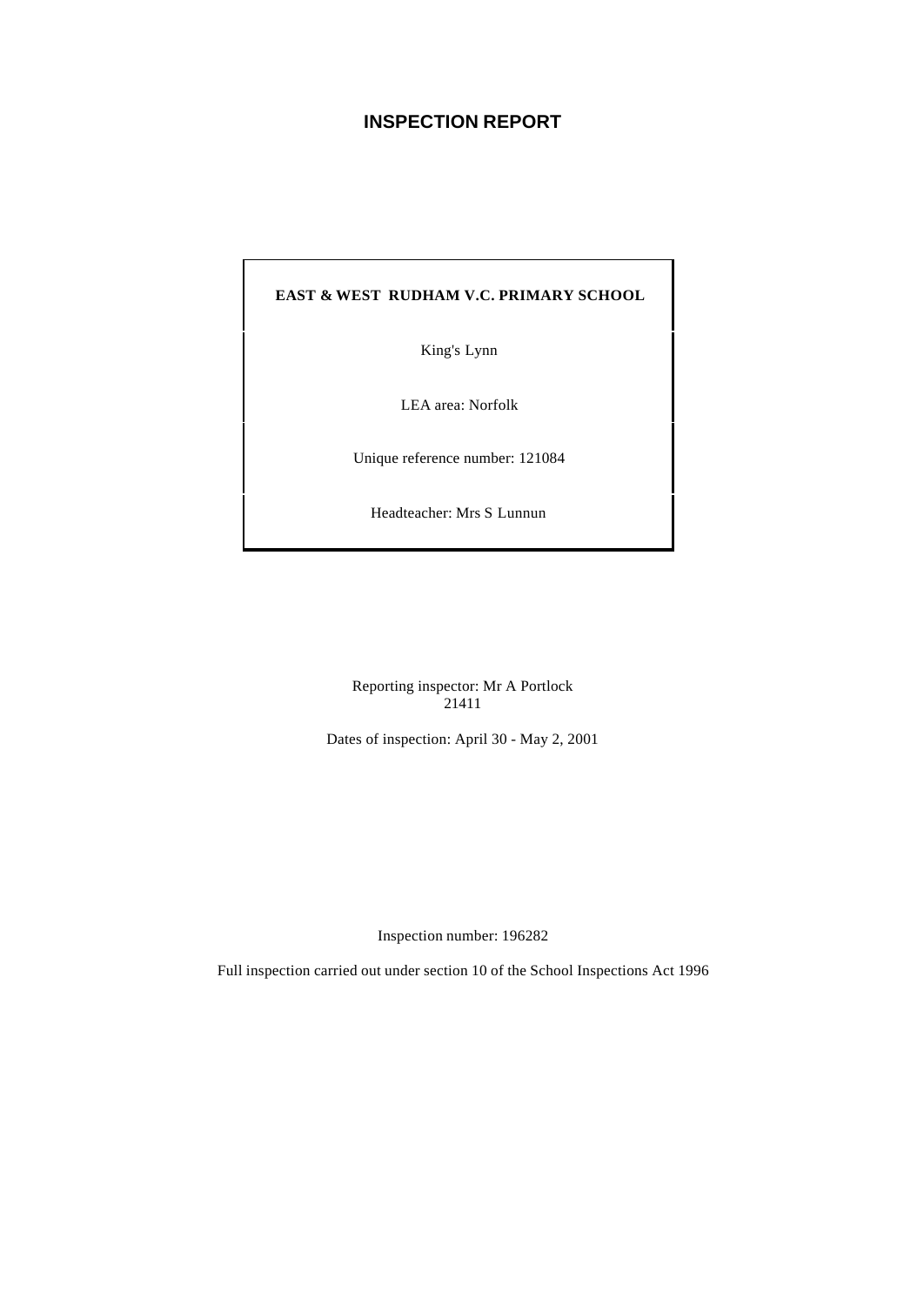# **INSPECTION REPORT**

## **EAST & WEST RUDHAM V.C. PRIMARY SCHOOL**

King's Lynn

LEA area: Norfolk

Unique reference number: 121084

Headteacher: Mrs S Lunnun

Reporting inspector: Mr A Portlock 21411

Dates of inspection: April 30 - May 2, 2001

Inspection number: 196282

Full inspection carried out under section 10 of the School Inspections Act 1996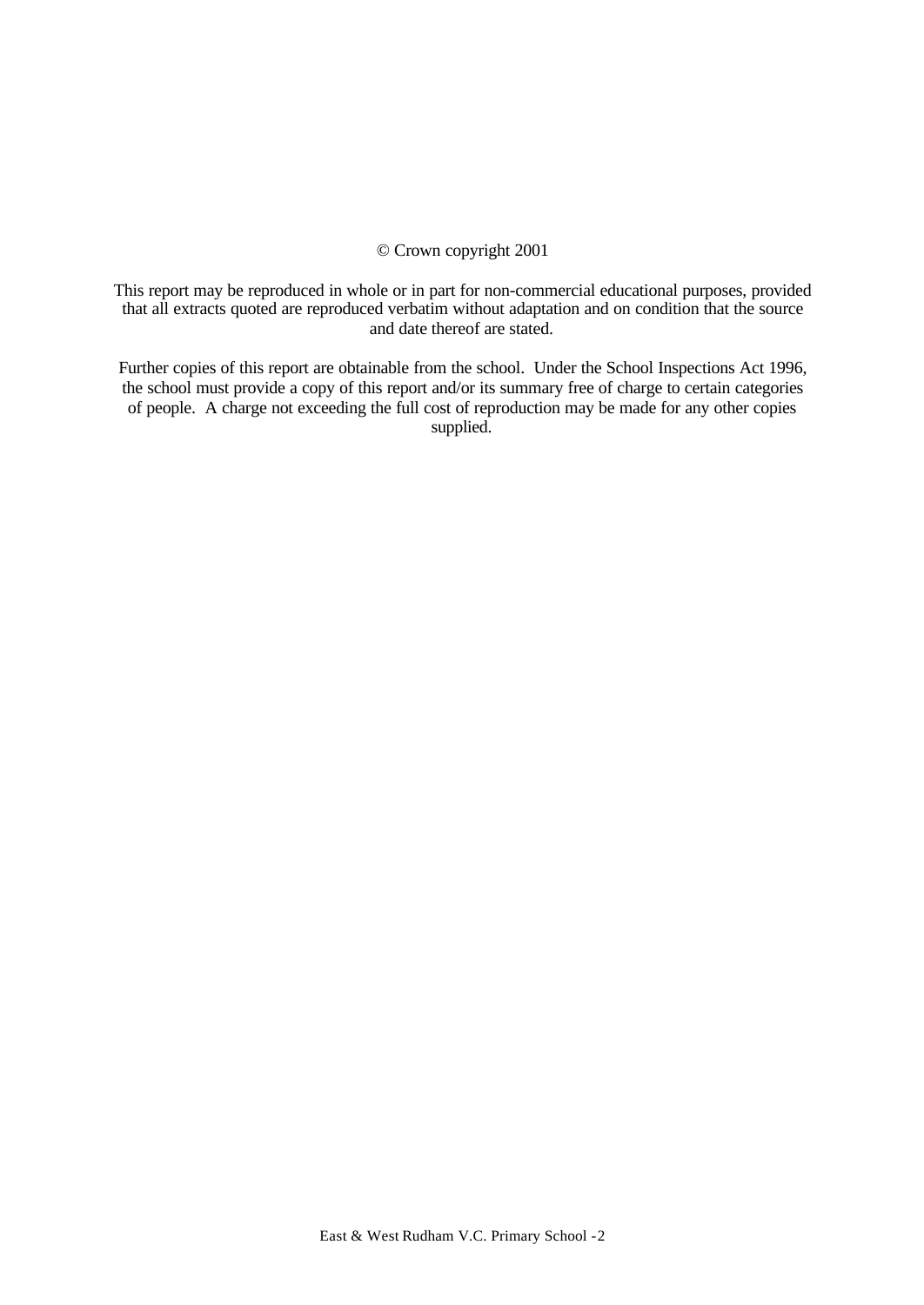# © Crown copyright 2001

This report may be reproduced in whole or in part for non-commercial educational purposes, provided that all extracts quoted are reproduced verbatim without adaptation and on condition that the source and date thereof are stated.

Further copies of this report are obtainable from the school. Under the School Inspections Act 1996, the school must provide a copy of this report and/or its summary free of charge to certain categories of people. A charge not exceeding the full cost of reproduction may be made for any other copies supplied.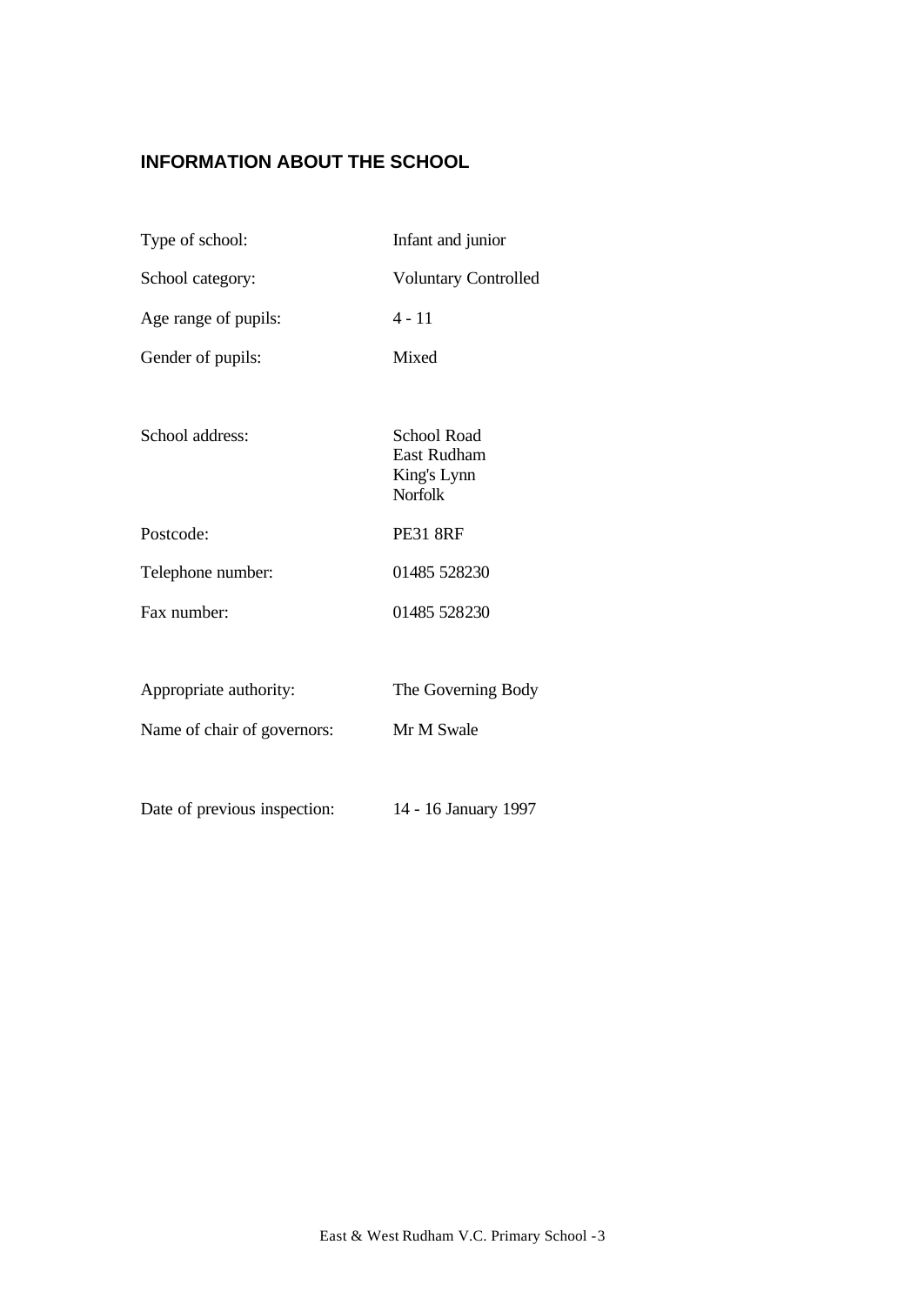# **INFORMATION ABOUT THE SCHOOL**

| Type of school:              | Infant and junior                                                  |
|------------------------------|--------------------------------------------------------------------|
| School category:             | <b>Voluntary Controlled</b>                                        |
| Age range of pupils:         | $4 - 11$                                                           |
| Gender of pupils:            | Mixed                                                              |
|                              |                                                                    |
| School address:              | School Road<br><b>East Rudham</b><br>King's Lynn<br><b>Norfolk</b> |
| Postcode:                    | <b>PE31 8RF</b>                                                    |
| Telephone number:            | 01485 528230                                                       |
| Fax number:                  | 01485 528230                                                       |
|                              |                                                                    |
| Appropriate authority:       | The Governing Body                                                 |
| Name of chair of governors:  | Mr M Swale                                                         |
|                              |                                                                    |
| Date of previous inspection: | 14 - 16 January 1997                                               |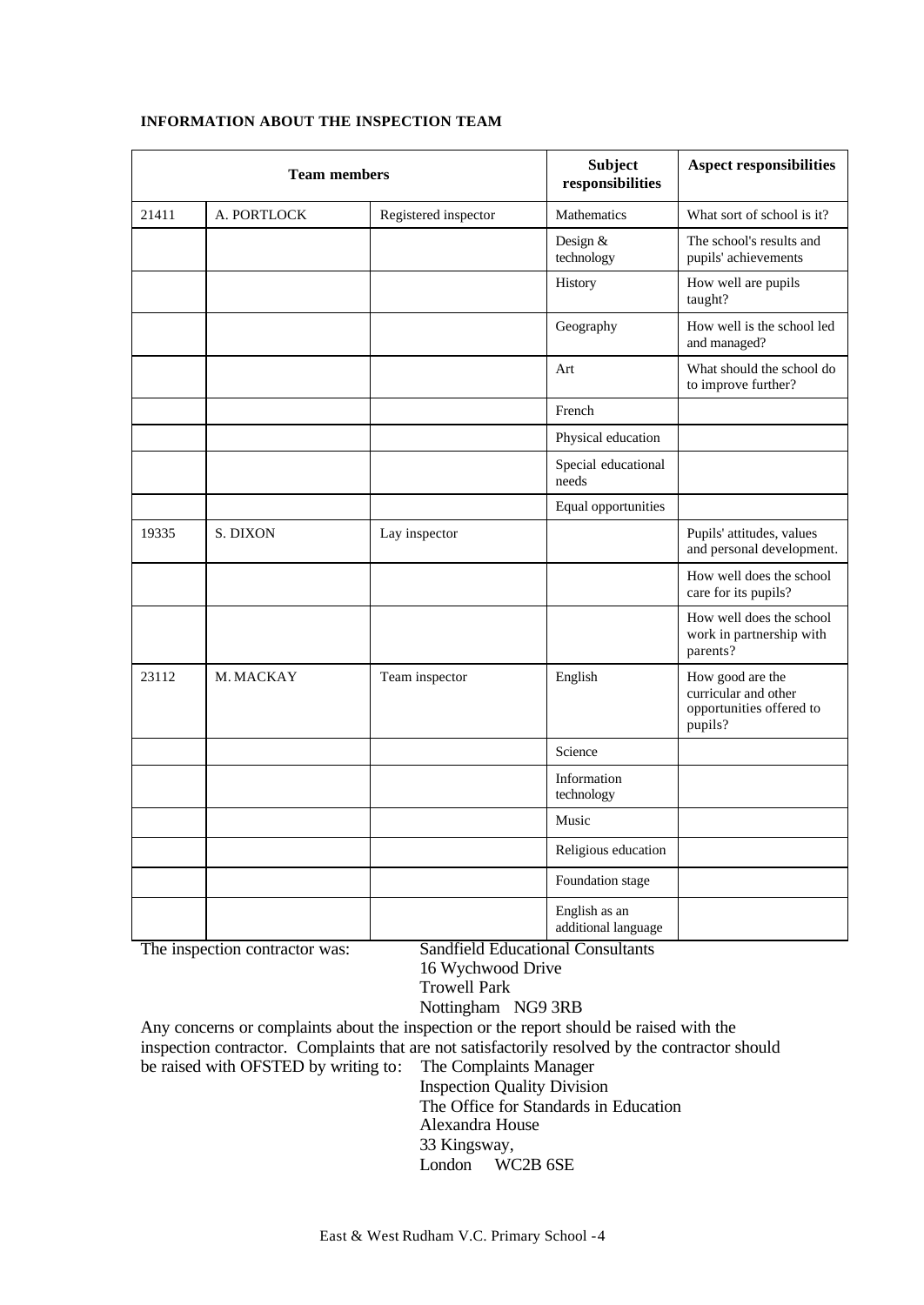| <b>Team members</b> |             | Subject<br>responsibilities | <b>Aspect responsibilities</b>       |                                                                                 |
|---------------------|-------------|-----------------------------|--------------------------------------|---------------------------------------------------------------------------------|
| 21411               | A. PORTLOCK | Registered inspector        | <b>Mathematics</b>                   | What sort of school is it?                                                      |
|                     |             |                             | Design &<br>technology               | The school's results and<br>pupils' achievements                                |
|                     |             |                             | History                              | How well are pupils<br>taught?                                                  |
|                     |             |                             | Geography                            | How well is the school led<br>and managed?                                      |
|                     |             |                             | Art                                  | What should the school do<br>to improve further?                                |
|                     |             |                             | French                               |                                                                                 |
|                     |             |                             | Physical education                   |                                                                                 |
|                     |             |                             | Special educational<br>needs         |                                                                                 |
|                     |             |                             | Equal opportunities                  |                                                                                 |
| 19335               | S. DIXON    | Lay inspector               |                                      | Pupils' attitudes, values<br>and personal development.                          |
|                     |             |                             |                                      | How well does the school<br>care for its pupils?                                |
|                     |             |                             |                                      | How well does the school<br>work in partnership with<br>parents?                |
| 23112               | M. MACKAY   | Team inspector              | English                              | How good are the<br>curricular and other<br>opportunities offered to<br>pupils? |
|                     |             |                             | Science                              |                                                                                 |
|                     |             |                             | Information<br>technology            |                                                                                 |
|                     |             |                             | Music                                |                                                                                 |
|                     |             |                             | Religious education                  |                                                                                 |
|                     |             |                             | Foundation stage                     |                                                                                 |
|                     |             |                             | English as an<br>additional language |                                                                                 |

## **INFORMATION ABOUT THE INSPECTION TEAM**

The inspection contractor was: Sandfield Educational Consultants

16 Wychwood Drive

Trowell Park

Nottingham NG9 3RB

Any concerns or complaints about the inspection or the report should be raised with the inspection contractor. Complaints that are not satisfactorily resolved by the contractor should be raised with OFSTED by writing to: The Complaints Manager Inspection Quality Division

The Office for Standards in Education

Alexandra House

33 Kingsway,

London WC2B 6SE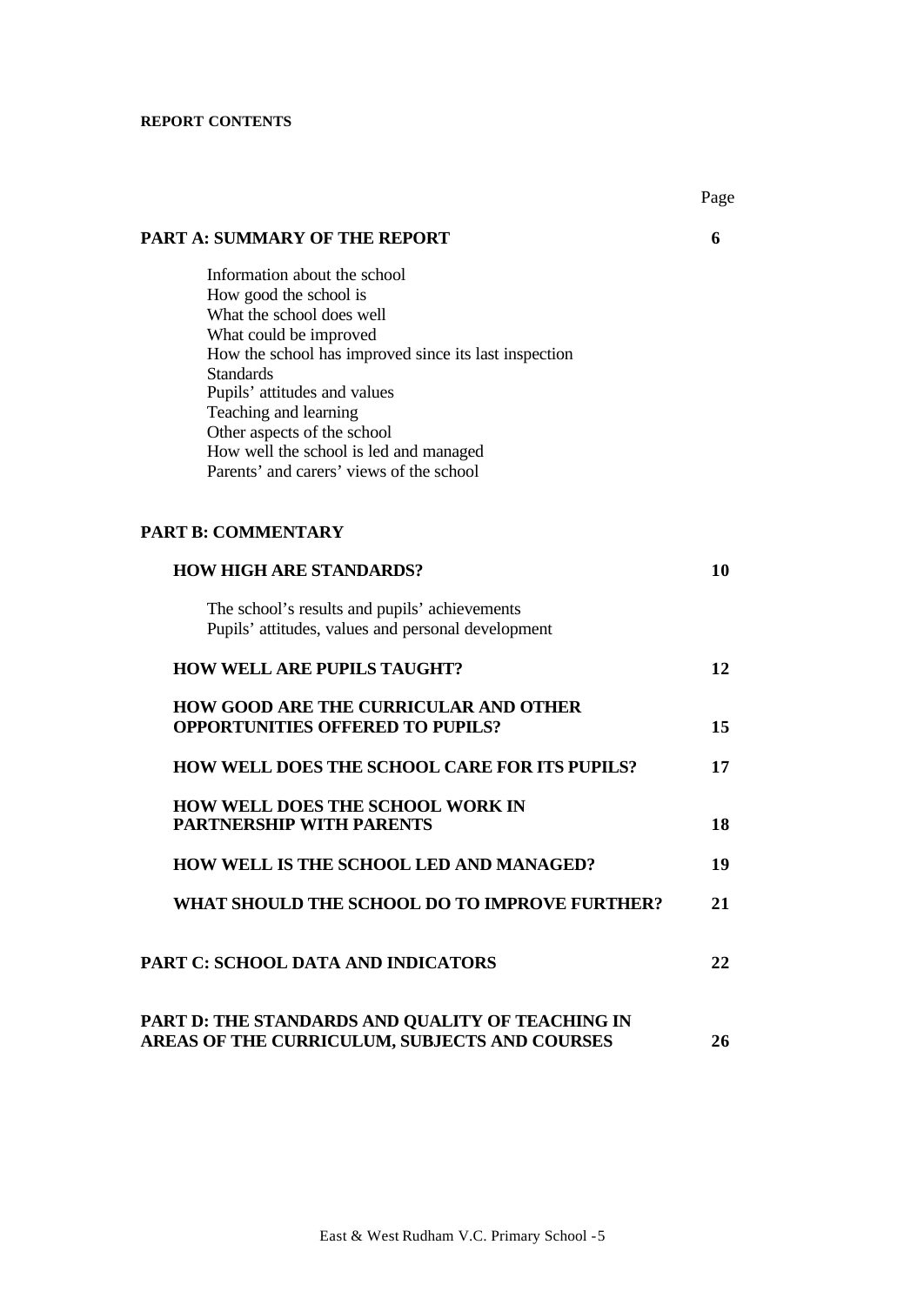# **REPORT CONTENTS**

| <b>PART A: SUMMARY OF THE REPORT</b>                                                                                                                                                                                                                                                                                                                                     | 6  |
|--------------------------------------------------------------------------------------------------------------------------------------------------------------------------------------------------------------------------------------------------------------------------------------------------------------------------------------------------------------------------|----|
| Information about the school<br>How good the school is<br>What the school does well<br>What could be improved<br>How the school has improved since its last inspection<br><b>Standards</b><br>Pupils' attitudes and values<br>Teaching and learning<br>Other aspects of the school<br>How well the school is led and managed<br>Parents' and carers' views of the school |    |
| <b>PART B: COMMENTARY</b>                                                                                                                                                                                                                                                                                                                                                |    |
| <b>HOW HIGH ARE STANDARDS?</b>                                                                                                                                                                                                                                                                                                                                           | 10 |
| The school's results and pupils' achievements<br>Pupils' attitudes, values and personal development                                                                                                                                                                                                                                                                      |    |
| <b>HOW WELL ARE PUPILS TAUGHT?</b>                                                                                                                                                                                                                                                                                                                                       | 12 |
| <b>HOW GOOD ARE THE CURRICULAR AND OTHER</b><br><b>OPPORTUNITIES OFFERED TO PUPILS?</b>                                                                                                                                                                                                                                                                                  | 15 |
| <b>HOW WELL DOES THE SCHOOL CARE FOR ITS PUPILS?</b>                                                                                                                                                                                                                                                                                                                     | 17 |
| <b>HOW WELL DOES THE SCHOOL WORK IN</b><br><b>PARTNERSHIP WITH PARENTS</b>                                                                                                                                                                                                                                                                                               | 18 |
| HOW WELL IS THE SCHOOL LED AND MANAGED?                                                                                                                                                                                                                                                                                                                                  | 19 |
| WHAT SHOULD THE SCHOOL DO TO IMPROVE FURTHER?                                                                                                                                                                                                                                                                                                                            | 21 |
| PART C: SCHOOL DATA AND INDICATORS                                                                                                                                                                                                                                                                                                                                       | 22 |
| PART D: THE STANDARDS AND QUALITY OF TEACHING IN<br>AREAS OF THE CURRICULUM, SUBJECTS AND COURSES                                                                                                                                                                                                                                                                        | 26 |

Page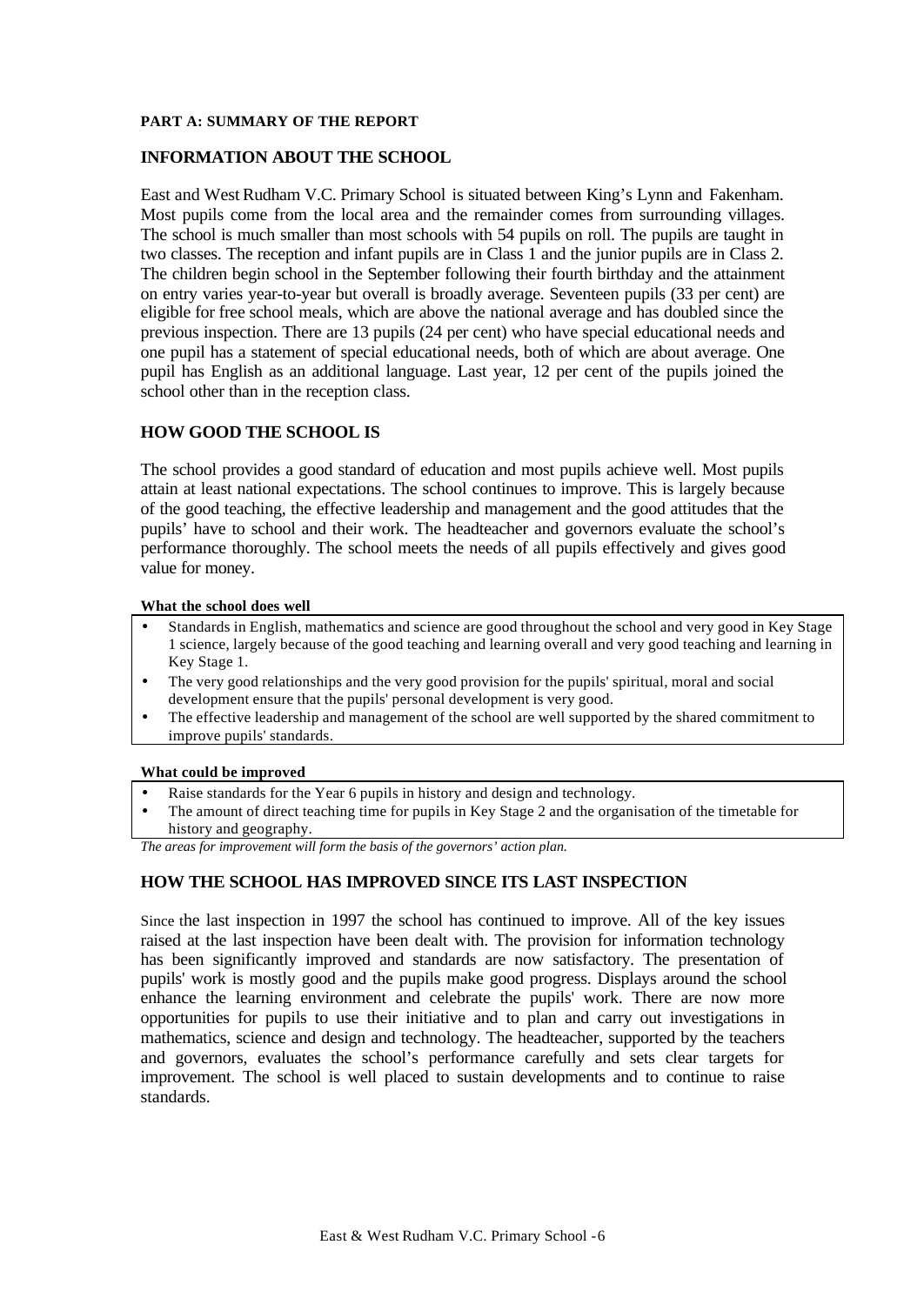## **PART A: SUMMARY OF THE REPORT**

## **INFORMATION ABOUT THE SCHOOL**

East and West Rudham V.C. Primary School is situated between King's Lynn and Fakenham. Most pupils come from the local area and the remainder comes from surrounding villages. The school is much smaller than most schools with 54 pupils on roll. The pupils are taught in two classes. The reception and infant pupils are in Class 1 and the junior pupils are in Class 2. The children begin school in the September following their fourth birthday and the attainment on entry varies year-to-year but overall is broadly average. Seventeen pupils (33 per cent) are eligible for free school meals, which are above the national average and has doubled since the previous inspection. There are 13 pupils (24 per cent) who have special educational needs and one pupil has a statement of special educational needs, both of which are about average. One pupil has English as an additional language. Last year, 12 per cent of the pupils joined the school other than in the reception class.

# **HOW GOOD THE SCHOOL IS**

The school provides a good standard of education and most pupils achieve well. Most pupils attain at least national expectations. The school continues to improve. This is largely because of the good teaching, the effective leadership and management and the good attitudes that the pupils' have to school and their work. The headteacher and governors evaluate the school's performance thoroughly. The school meets the needs of all pupils effectively and gives good value for money.

### **What the school does well**

- Standards in English, mathematics and science are good throughout the school and very good in Key Stage 1 science, largely because of the good teaching and learning overall and very good teaching and learning in Key Stage 1.
- The very good relationships and the very good provision for the pupils' spiritual, moral and social development ensure that the pupils' personal development is very good.
- The effective leadership and management of the school are well supported by the shared commitment to improve pupils' standards.

#### **What could be improved**

- Raise standards for the Year 6 pupils in history and design and technology.
- The amount of direct teaching time for pupils in Key Stage 2 and the organisation of the timetable for history and geography.

*The areas for improvement will form the basis of the governors' action plan.*

## **HOW THE SCHOOL HAS IMPROVED SINCE ITS LAST INSPECTION**

Since the last inspection in 1997 the school has continued to improve. All of the key issues raised at the last inspection have been dealt with. The provision for information technology has been significantly improved and standards are now satisfactory. The presentation of pupils' work is mostly good and the pupils make good progress. Displays around the school enhance the learning environment and celebrate the pupils' work. There are now more opportunities for pupils to use their initiative and to plan and carry out investigations in mathematics, science and design and technology. The headteacher, supported by the teachers and governors, evaluates the school's performance carefully and sets clear targets for improvement. The school is well placed to sustain developments and to continue to raise standards.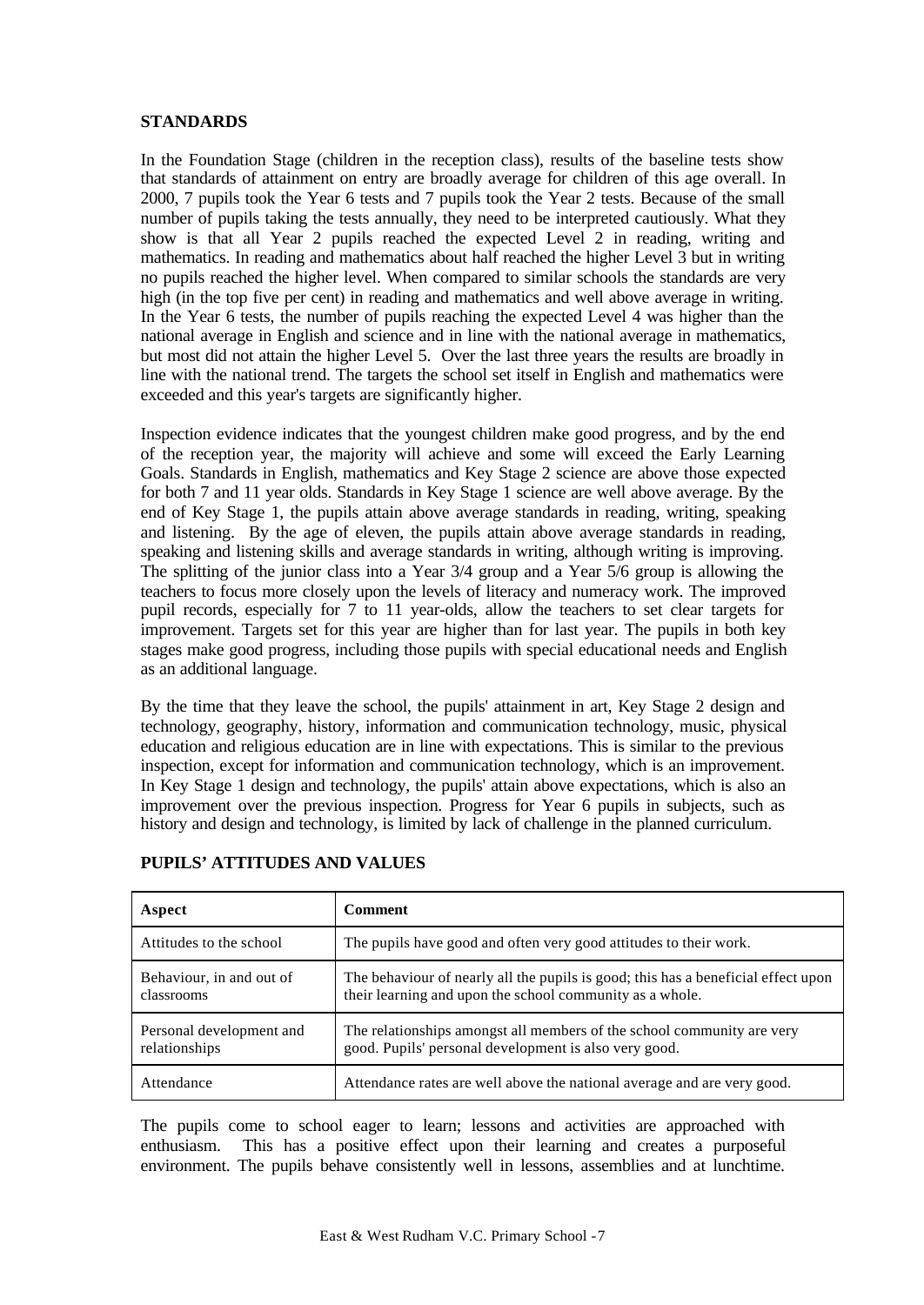## **STANDARDS**

In the Foundation Stage (children in the reception class), results of the baseline tests show that standards of attainment on entry are broadly average for children of this age overall. In 2000, 7 pupils took the Year 6 tests and 7 pupils took the Year 2 tests. Because of the small number of pupils taking the tests annually, they need to be interpreted cautiously. What they show is that all Year 2 pupils reached the expected Level 2 in reading, writing and mathematics. In reading and mathematics about half reached the higher Level 3 but in writing no pupils reached the higher level. When compared to similar schools the standards are very high (in the top five per cent) in reading and mathematics and well above average in writing. In the Year 6 tests, the number of pupils reaching the expected Level 4 was higher than the national average in English and science and in line with the national average in mathematics, but most did not attain the higher Level 5. Over the last three years the results are broadly in line with the national trend. The targets the school set itself in English and mathematics were exceeded and this year's targets are significantly higher.

Inspection evidence indicates that the youngest children make good progress, and by the end of the reception year, the majority will achieve and some will exceed the Early Learning Goals. Standards in English, mathematics and Key Stage 2 science are above those expected for both 7 and 11 year olds. Standards in Key Stage 1 science are well above average. By the end of Key Stage 1, the pupils attain above average standards in reading, writing, speaking and listening. By the age of eleven, the pupils attain above average standards in reading, speaking and listening skills and average standards in writing, although writing is improving. The splitting of the junior class into a Year 3/4 group and a Year 5/6 group is allowing the teachers to focus more closely upon the levels of literacy and numeracy work. The improved pupil records, especially for 7 to 11 year-olds, allow the teachers to set clear targets for improvement. Targets set for this year are higher than for last year. The pupils in both key stages make good progress, including those pupils with special educational needs and English as an additional language.

By the time that they leave the school, the pupils' attainment in art, Key Stage 2 design and technology, geography, history, information and communication technology, music, physical education and religious education are in line with expectations. This is similar to the previous inspection, except for information and communication technology, which is an improvement. In Key Stage 1 design and technology, the pupils' attain above expectations, which is also an improvement over the previous inspection. Progress for Year 6 pupils in subjects, such as history and design and technology, is limited by lack of challenge in the planned curriculum.

| Aspect                                    | <b>Comment</b>                                                                                                                                |
|-------------------------------------------|-----------------------------------------------------------------------------------------------------------------------------------------------|
| Attitudes to the school                   | The pupils have good and often very good attitudes to their work.                                                                             |
| Behaviour, in and out of<br>classrooms    | The behaviour of nearly all the pupils is good; this has a beneficial effect upon<br>their learning and upon the school community as a whole. |
| Personal development and<br>relationships | The relationships amongst all members of the school community are very<br>good. Pupils' personal development is also very good.               |
| Attendance                                | Attendance rates are well above the national average and are very good.                                                                       |

# **PUPILS' ATTITUDES AND VALUES**

The pupils come to school eager to learn; lessons and activities are approached with enthusiasm. This has a positive effect upon their learning and creates a purposeful environment. The pupils behave consistently well in lessons, assemblies and at lunchtime.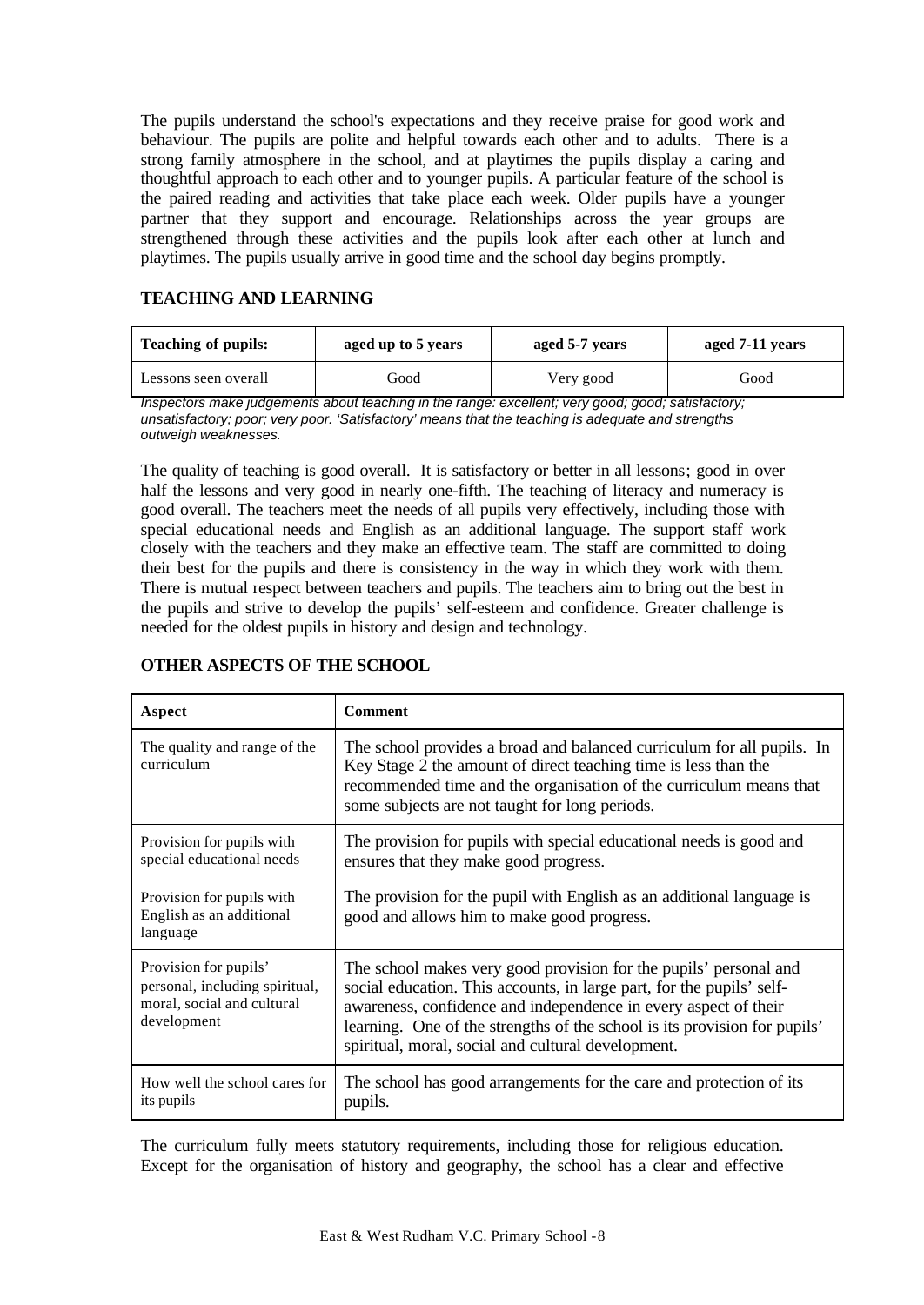The pupils understand the school's expectations and they receive praise for good work and behaviour. The pupils are polite and helpful towards each other and to adults. There is a strong family atmosphere in the school, and at playtimes the pupils display a caring and thoughtful approach to each other and to younger pupils. A particular feature of the school is the paired reading and activities that take place each week. Older pupils have a younger partner that they support and encourage. Relationships across the year groups are strengthened through these activities and the pupils look after each other at lunch and playtimes. The pupils usually arrive in good time and the school day begins promptly.

# **TEACHING AND LEARNING**

| <b>Teaching of pupils:</b> | aged up to 5 years |           | aged 7-11 years |  |
|----------------------------|--------------------|-----------|-----------------|--|
| Lessons seen overall       | Good               | Very good | Good            |  |

*Inspectors make judgements about teaching in the range: excellent; very good; good; satisfactory; unsatisfactory; poor; very poor. 'Satisfactory' means that the teaching is adequate and strengths outweigh weaknesses.*

The quality of teaching is good overall. It is satisfactory or better in all lessons; good in over half the lessons and very good in nearly one-fifth. The teaching of literacy and numeracy is good overall. The teachers meet the needs of all pupils very effectively, including those with special educational needs and English as an additional language. The support staff work closely with the teachers and they make an effective team. The staff are committed to doing their best for the pupils and there is consistency in the way in which they work with them. There is mutual respect between teachers and pupils. The teachers aim to bring out the best in the pupils and strive to develop the pupils' self-esteem and confidence. Greater challenge is needed for the oldest pupils in history and design and technology.

| Aspect                                                                                               | <b>Comment</b>                                                                                                                                                                                                                                                                                                                                   |
|------------------------------------------------------------------------------------------------------|--------------------------------------------------------------------------------------------------------------------------------------------------------------------------------------------------------------------------------------------------------------------------------------------------------------------------------------------------|
| The quality and range of the<br>curriculum                                                           | The school provides a broad and balanced curriculum for all pupils. In<br>Key Stage 2 the amount of direct teaching time is less than the<br>recommended time and the organisation of the curriculum means that<br>some subjects are not taught for long periods.                                                                                |
| Provision for pupils with<br>special educational needs                                               | The provision for pupils with special educational needs is good and<br>ensures that they make good progress.                                                                                                                                                                                                                                     |
| Provision for pupils with<br>English as an additional<br>language                                    | The provision for the pupil with English as an additional language is<br>good and allows him to make good progress.                                                                                                                                                                                                                              |
| Provision for pupils'<br>personal, including spiritual,<br>moral, social and cultural<br>development | The school makes very good provision for the pupils' personal and<br>social education. This accounts, in large part, for the pupils' self-<br>awareness, confidence and independence in every aspect of their<br>learning. One of the strengths of the school is its provision for pupils'<br>spiritual, moral, social and cultural development. |
| How well the school cares for<br>its pupils                                                          | The school has good arrangements for the care and protection of its<br>pupils.                                                                                                                                                                                                                                                                   |

# **OTHER ASPECTS OF THE SCHOOL**

The curriculum fully meets statutory requirements, including those for religious education. Except for the organisation of history and geography, the school has a clear and effective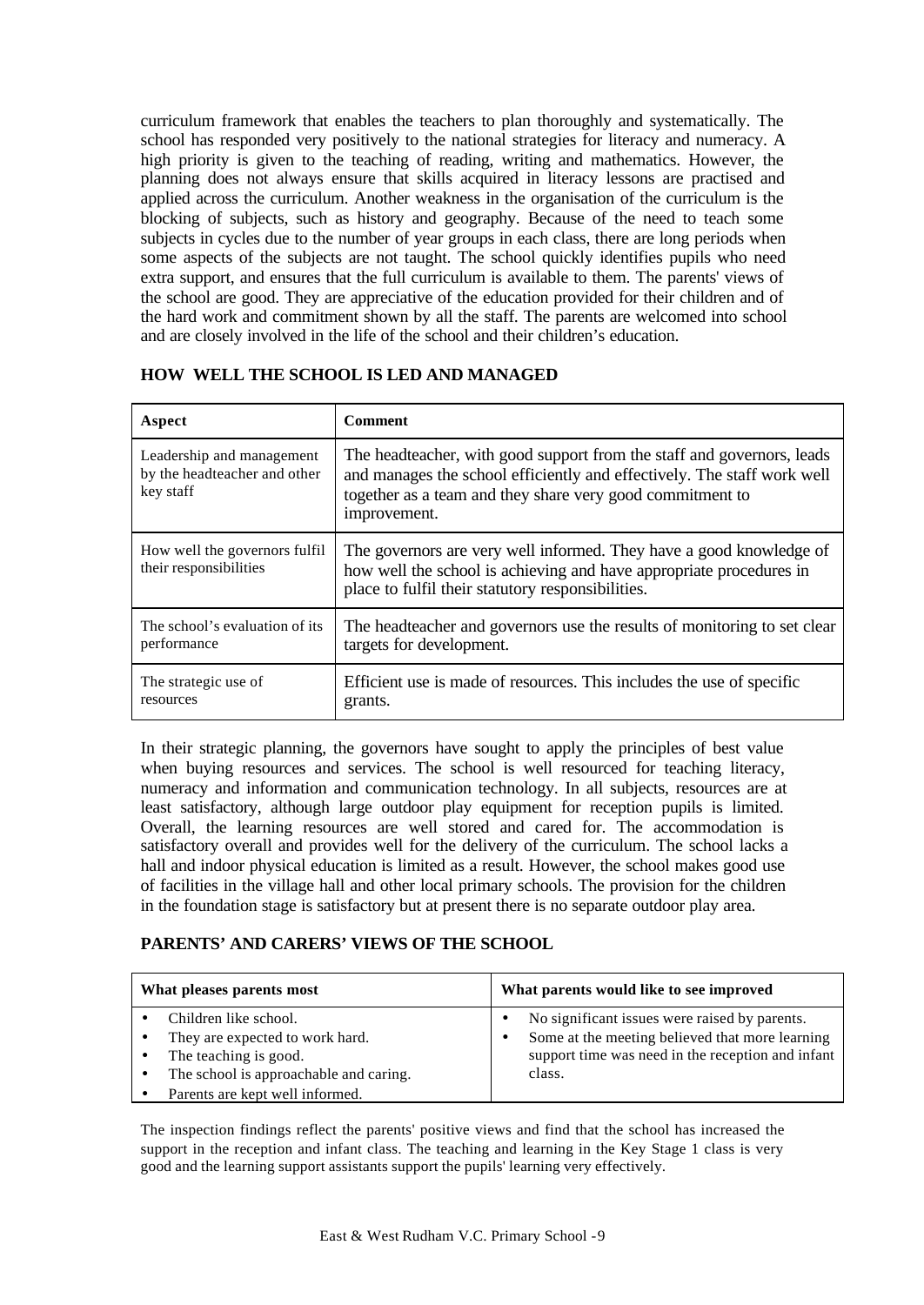curriculum framework that enables the teachers to plan thoroughly and systematically. The school has responded very positively to the national strategies for literacy and numeracy. A high priority is given to the teaching of reading, writing and mathematics. However, the planning does not always ensure that skills acquired in literacy lessons are practised and applied across the curriculum. Another weakness in the organisation of the curriculum is the blocking of subjects, such as history and geography. Because of the need to teach some subjects in cycles due to the number of year groups in each class, there are long periods when some aspects of the subjects are not taught. The school quickly identifies pupils who need extra support, and ensures that the full curriculum is available to them. The parents' views of the school are good. They are appreciative of the education provided for their children and of the hard work and commitment shown by all the staff. The parents are welcomed into school and are closely involved in the life of the school and their children's education.

| Aspect                                                                 | <b>Comment</b>                                                                                                                                                                                                                 |
|------------------------------------------------------------------------|--------------------------------------------------------------------------------------------------------------------------------------------------------------------------------------------------------------------------------|
| Leadership and management<br>by the headteacher and other<br>key staff | The headteacher, with good support from the staff and governors, leads<br>and manages the school efficiently and effectively. The staff work well<br>together as a team and they share very good commitment to<br>improvement. |
| How well the governors fulfil<br>their responsibilities                | The governors are very well informed. They have a good knowledge of<br>how well the school is achieving and have appropriate procedures in<br>place to fulfil their statutory responsibilities.                                |
| The school's evaluation of its<br>performance                          | The headteacher and governors use the results of monitoring to set clear<br>targets for development.                                                                                                                           |
| The strategic use of<br>resources                                      | Efficient use is made of resources. This includes the use of specific<br>grants.                                                                                                                                               |

## **HOW WELL THE SCHOOL IS LED AND MANAGED**

In their strategic planning, the governors have sought to apply the principles of best value when buying resources and services. The school is well resourced for teaching literacy, numeracy and information and communication technology. In all subjects, resources are at least satisfactory, although large outdoor play equipment for reception pupils is limited. Overall, the learning resources are well stored and cared for. The accommodation is satisfactory overall and provides well for the delivery of the curriculum. The school lacks a hall and indoor physical education is limited as a result. However, the school makes good use of facilities in the village hall and other local primary schools. The provision for the children in the foundation stage is satisfactory but at present there is no separate outdoor play area.

# **PARENTS' AND CARERS' VIEWS OF THE SCHOOL**

| What pleases parents most                                                                                                                                      | What parents would like to see improved                                                                                                                         |  |  |
|----------------------------------------------------------------------------------------------------------------------------------------------------------------|-----------------------------------------------------------------------------------------------------------------------------------------------------------------|--|--|
| Children like school.<br>They are expected to work hard.<br>The teaching is good.<br>The school is approachable and caring.<br>Parents are kept well informed. | No significant issues were raised by parents.<br>Some at the meeting believed that more learning<br>support time was need in the reception and infant<br>class. |  |  |

The inspection findings reflect the parents' positive views and find that the school has increased the support in the reception and infant class. The teaching and learning in the Key Stage 1 class is very good and the learning support assistants support the pupils' learning very effectively.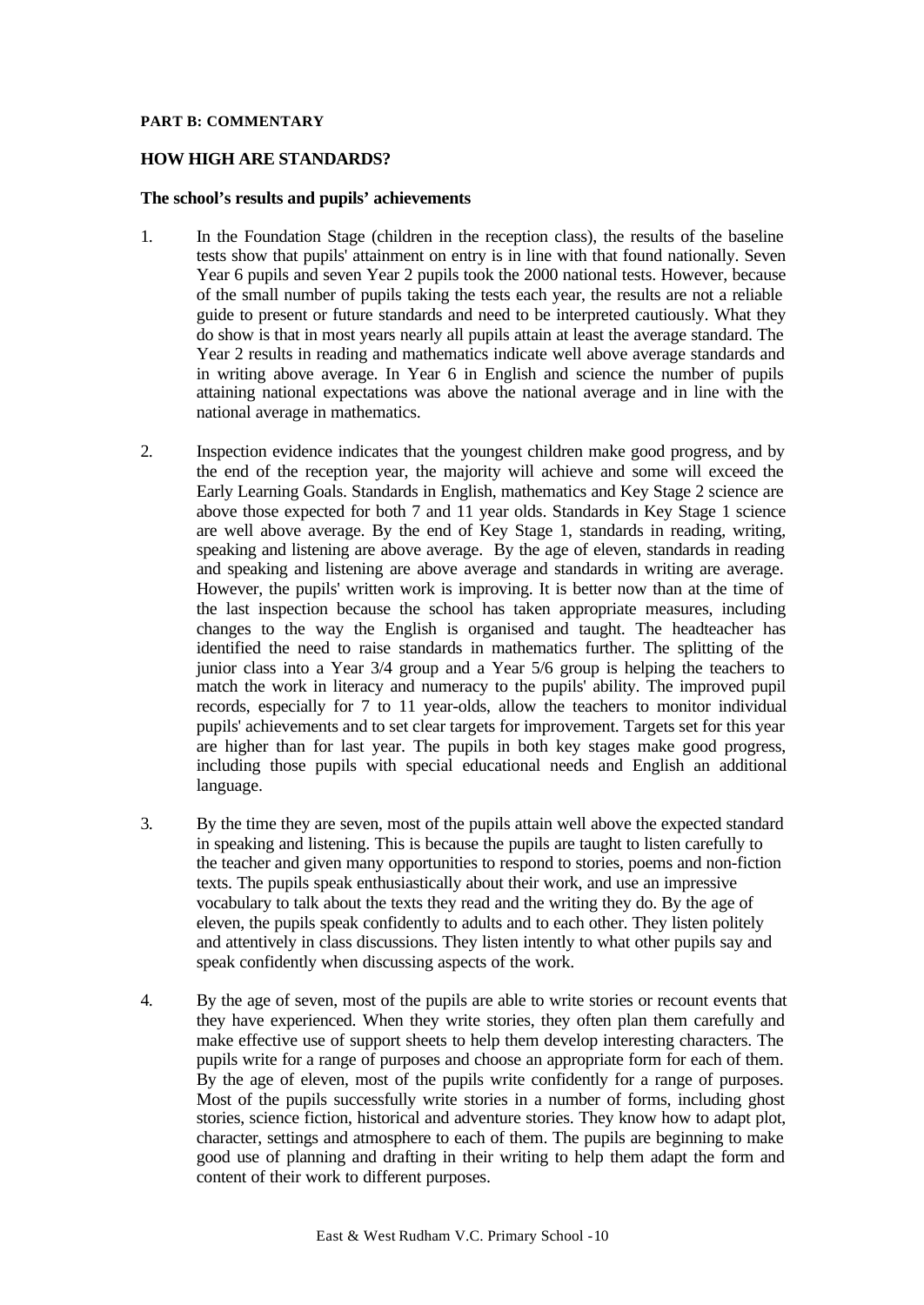## **PART B: COMMENTARY**

## **HOW HIGH ARE STANDARDS?**

### **The school's results and pupils' achievements**

- 1. In the Foundation Stage (children in the reception class), the results of the baseline tests show that pupils' attainment on entry is in line with that found nationally. Seven Year 6 pupils and seven Year 2 pupils took the 2000 national tests. However, because of the small number of pupils taking the tests each year, the results are not a reliable guide to present or future standards and need to be interpreted cautiously. What they do show is that in most years nearly all pupils attain at least the average standard. The Year 2 results in reading and mathematics indicate well above average standards and in writing above average. In Year 6 in English and science the number of pupils attaining national expectations was above the national average and in line with the national average in mathematics.
- 2. Inspection evidence indicates that the youngest children make good progress, and by the end of the reception year, the majority will achieve and some will exceed the Early Learning Goals. Standards in English, mathematics and Key Stage 2 science are above those expected for both 7 and 11 year olds. Standards in Key Stage 1 science are well above average. By the end of Key Stage 1, standards in reading, writing, speaking and listening are above average. By the age of eleven, standards in reading and speaking and listening are above average and standards in writing are average. However, the pupils' written work is improving. It is better now than at the time of the last inspection because the school has taken appropriate measures, including changes to the way the English is organised and taught. The headteacher has identified the need to raise standards in mathematics further. The splitting of the junior class into a Year 3/4 group and a Year 5/6 group is helping the teachers to match the work in literacy and numeracy to the pupils' ability. The improved pupil records, especially for 7 to 11 year-olds, allow the teachers to monitor individual pupils' achievements and to set clear targets for improvement. Targets set for this year are higher than for last year. The pupils in both key stages make good progress, including those pupils with special educational needs and English an additional language.
- 3. By the time they are seven, most of the pupils attain well above the expected standard in speaking and listening. This is because the pupils are taught to listen carefully to the teacher and given many opportunities to respond to stories, poems and non-fiction texts. The pupils speak enthusiastically about their work, and use an impressive vocabulary to talk about the texts they read and the writing they do. By the age of eleven, the pupils speak confidently to adults and to each other. They listen politely and attentively in class discussions. They listen intently to what other pupils say and speak confidently when discussing aspects of the work.
- 4. By the age of seven, most of the pupils are able to write stories or recount events that they have experienced. When they write stories, they often plan them carefully and make effective use of support sheets to help them develop interesting characters. The pupils write for a range of purposes and choose an appropriate form for each of them. By the age of eleven, most of the pupils write confidently for a range of purposes. Most of the pupils successfully write stories in a number of forms, including ghost stories, science fiction, historical and adventure stories. They know how to adapt plot, character, settings and atmosphere to each of them. The pupils are beginning to make good use of planning and drafting in their writing to help them adapt the form and content of their work to different purposes.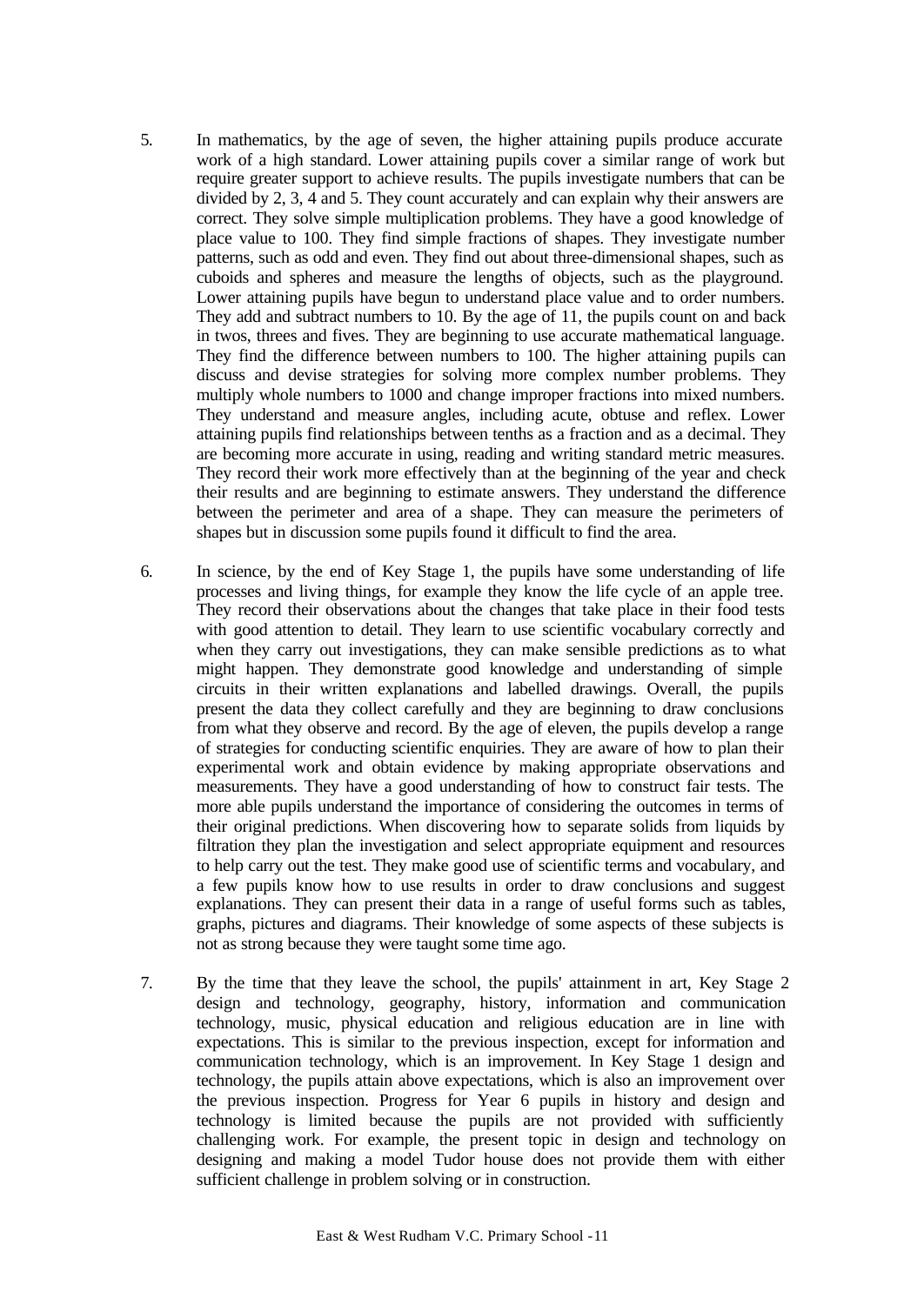- 5. In mathematics, by the age of seven, the higher attaining pupils produce accurate work of a high standard. Lower attaining pupils cover a similar range of work but require greater support to achieve results. The pupils investigate numbers that can be divided by 2, 3, 4 and 5. They count accurately and can explain why their answers are correct. They solve simple multiplication problems. They have a good knowledge of place value to 100. They find simple fractions of shapes. They investigate number patterns, such as odd and even. They find out about three-dimensional shapes, such as cuboids and spheres and measure the lengths of objects, such as the playground. Lower attaining pupils have begun to understand place value and to order numbers. They add and subtract numbers to 10. By the age of 11, the pupils count on and back in twos, threes and fives. They are beginning to use accurate mathematical language. They find the difference between numbers to 100. The higher attaining pupils can discuss and devise strategies for solving more complex number problems. They multiply whole numbers to 1000 and change improper fractions into mixed numbers. They understand and measure angles, including acute, obtuse and reflex. Lower attaining pupils find relationships between tenths as a fraction and as a decimal. They are becoming more accurate in using, reading and writing standard metric measures. They record their work more effectively than at the beginning of the year and check their results and are beginning to estimate answers. They understand the difference between the perimeter and area of a shape. They can measure the perimeters of shapes but in discussion some pupils found it difficult to find the area.
- 6. In science, by the end of Key Stage 1, the pupils have some understanding of life processes and living things, for example they know the life cycle of an apple tree. They record their observations about the changes that take place in their food tests with good attention to detail. They learn to use scientific vocabulary correctly and when they carry out investigations, they can make sensible predictions as to what might happen. They demonstrate good knowledge and understanding of simple circuits in their written explanations and labelled drawings. Overall, the pupils present the data they collect carefully and they are beginning to draw conclusions from what they observe and record. By the age of eleven, the pupils develop a range of strategies for conducting scientific enquiries. They are aware of how to plan their experimental work and obtain evidence by making appropriate observations and measurements. They have a good understanding of how to construct fair tests. The more able pupils understand the importance of considering the outcomes in terms of their original predictions. When discovering how to separate solids from liquids by filtration they plan the investigation and select appropriate equipment and resources to help carry out the test. They make good use of scientific terms and vocabulary, and a few pupils know how to use results in order to draw conclusions and suggest explanations. They can present their data in a range of useful forms such as tables, graphs, pictures and diagrams. Their knowledge of some aspects of these subjects is not as strong because they were taught some time ago.
- 7. By the time that they leave the school, the pupils' attainment in art, Key Stage 2 design and technology, geography, history, information and communication technology, music, physical education and religious education are in line with expectations. This is similar to the previous inspection, except for information and communication technology, which is an improvement. In Key Stage 1 design and technology, the pupils attain above expectations, which is also an improvement over the previous inspection. Progress for Year 6 pupils in history and design and technology is limited because the pupils are not provided with sufficiently challenging work. For example, the present topic in design and technology on designing and making a model Tudor house does not provide them with either sufficient challenge in problem solving or in construction.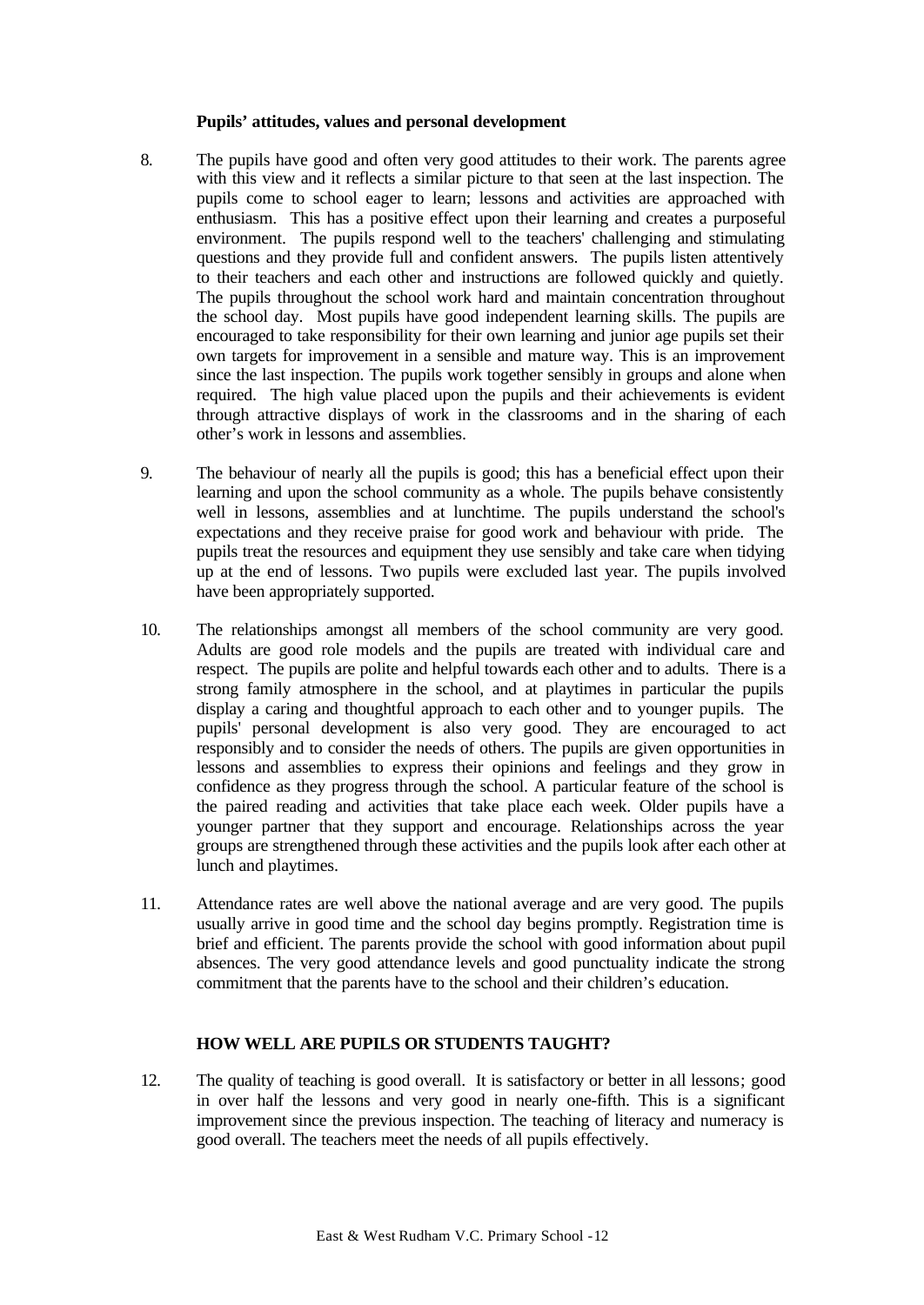## **Pupils' attitudes, values and personal development**

- 8. The pupils have good and often very good attitudes to their work. The parents agree with this view and it reflects a similar picture to that seen at the last inspection. The pupils come to school eager to learn; lessons and activities are approached with enthusiasm. This has a positive effect upon their learning and creates a purposeful environment. The pupils respond well to the teachers' challenging and stimulating questions and they provide full and confident answers. The pupils listen attentively to their teachers and each other and instructions are followed quickly and quietly. The pupils throughout the school work hard and maintain concentration throughout the school day. Most pupils have good independent learning skills. The pupils are encouraged to take responsibility for their own learning and junior age pupils set their own targets for improvement in a sensible and mature way. This is an improvement since the last inspection. The pupils work together sensibly in groups and alone when required. The high value placed upon the pupils and their achievements is evident through attractive displays of work in the classrooms and in the sharing of each other's work in lessons and assemblies.
- 9. The behaviour of nearly all the pupils is good; this has a beneficial effect upon their learning and upon the school community as a whole. The pupils behave consistently well in lessons, assemblies and at lunchtime. The pupils understand the school's expectations and they receive praise for good work and behaviour with pride. The pupils treat the resources and equipment they use sensibly and take care when tidying up at the end of lessons. Two pupils were excluded last year. The pupils involved have been appropriately supported.
- 10. The relationships amongst all members of the school community are very good. Adults are good role models and the pupils are treated with individual care and respect. The pupils are polite and helpful towards each other and to adults. There is a strong family atmosphere in the school, and at playtimes in particular the pupils display a caring and thoughtful approach to each other and to younger pupils. The pupils' personal development is also very good. They are encouraged to act responsibly and to consider the needs of others. The pupils are given opportunities in lessons and assemblies to express their opinions and feelings and they grow in confidence as they progress through the school. A particular feature of the school is the paired reading and activities that take place each week. Older pupils have a younger partner that they support and encourage. Relationships across the year groups are strengthened through these activities and the pupils look after each other at lunch and playtimes.
- 11. Attendance rates are well above the national average and are very good. The pupils usually arrive in good time and the school day begins promptly. Registration time is brief and efficient. The parents provide the school with good information about pupil absences. The very good attendance levels and good punctuality indicate the strong commitment that the parents have to the school and their children's education.

## **HOW WELL ARE PUPILS OR STUDENTS TAUGHT?**

12. The quality of teaching is good overall. It is satisfactory or better in all lessons; good in over half the lessons and very good in nearly one-fifth. This is a significant improvement since the previous inspection. The teaching of literacy and numeracy is good overall. The teachers meet the needs of all pupils effectively.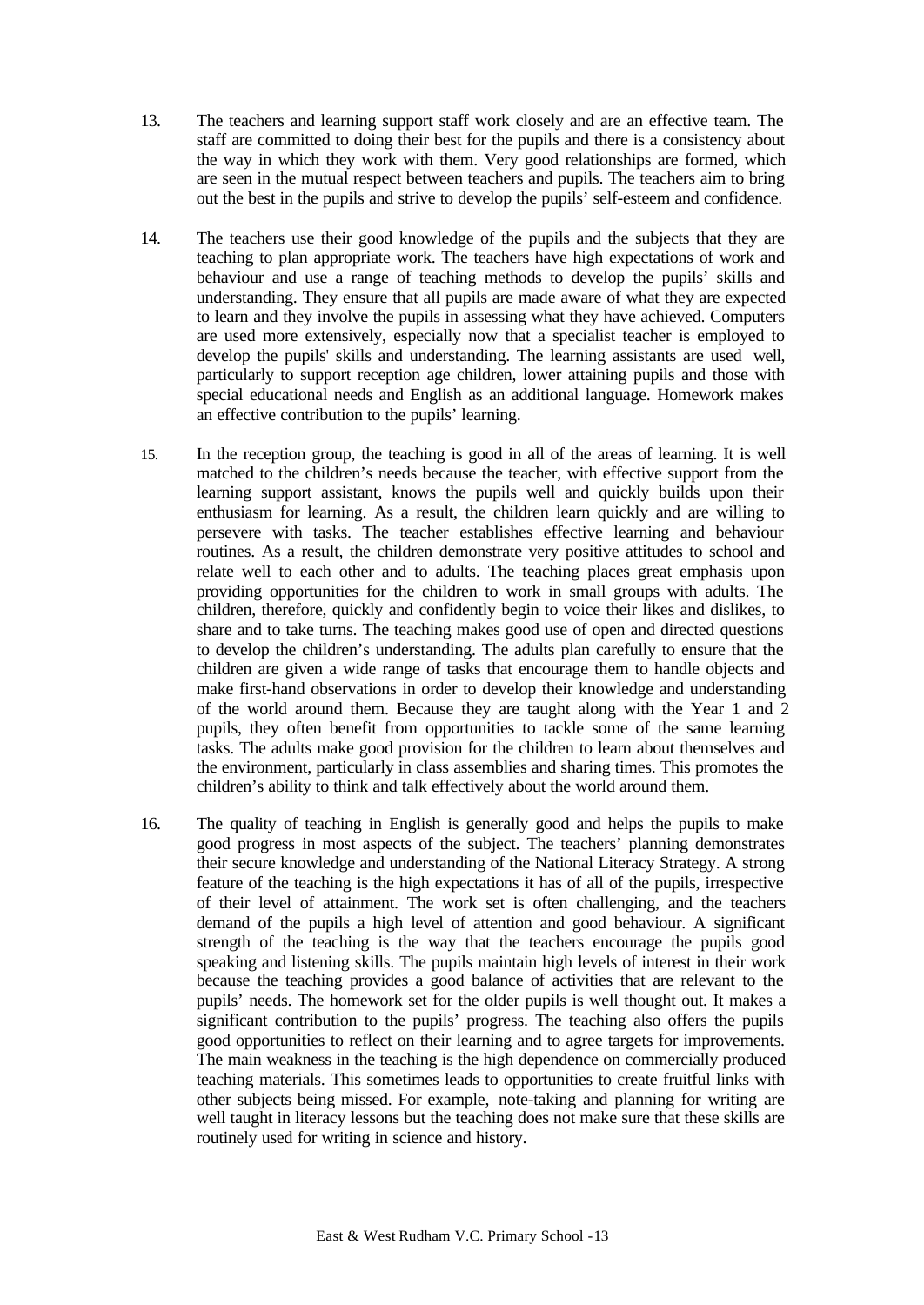- 13. The teachers and learning support staff work closely and are an effective team. The staff are committed to doing their best for the pupils and there is a consistency about the way in which they work with them. Very good relationships are formed, which are seen in the mutual respect between teachers and pupils. The teachers aim to bring out the best in the pupils and strive to develop the pupils' self-esteem and confidence.
- 14. The teachers use their good knowledge of the pupils and the subjects that they are teaching to plan appropriate work. The teachers have high expectations of work and behaviour and use a range of teaching methods to develop the pupils' skills and understanding. They ensure that all pupils are made aware of what they are expected to learn and they involve the pupils in assessing what they have achieved. Computers are used more extensively, especially now that a specialist teacher is employed to develop the pupils' skills and understanding. The learning assistants are used well, particularly to support reception age children, lower attaining pupils and those with special educational needs and English as an additional language. Homework makes an effective contribution to the pupils' learning.
- 15. In the reception group, the teaching is good in all of the areas of learning. It is well matched to the children's needs because the teacher, with effective support from the learning support assistant, knows the pupils well and quickly builds upon their enthusiasm for learning. As a result, the children learn quickly and are willing to persevere with tasks. The teacher establishes effective learning and behaviour routines. As a result, the children demonstrate very positive attitudes to school and relate well to each other and to adults. The teaching places great emphasis upon providing opportunities for the children to work in small groups with adults. The children, therefore, quickly and confidently begin to voice their likes and dislikes, to share and to take turns. The teaching makes good use of open and directed questions to develop the children's understanding. The adults plan carefully to ensure that the children are given a wide range of tasks that encourage them to handle objects and make first-hand observations in order to develop their knowledge and understanding of the world around them. Because they are taught along with the Year 1 and 2 pupils, they often benefit from opportunities to tackle some of the same learning tasks. The adults make good provision for the children to learn about themselves and the environment, particularly in class assemblies and sharing times. This promotes the children's ability to think and talk effectively about the world around them.
- 16. The quality of teaching in English is generally good and helps the pupils to make good progress in most aspects of the subject. The teachers' planning demonstrates their secure knowledge and understanding of the National Literacy Strategy. A strong feature of the teaching is the high expectations it has of all of the pupils, irrespective of their level of attainment. The work set is often challenging, and the teachers demand of the pupils a high level of attention and good behaviour. A significant strength of the teaching is the way that the teachers encourage the pupils good speaking and listening skills. The pupils maintain high levels of interest in their work because the teaching provides a good balance of activities that are relevant to the pupils' needs. The homework set for the older pupils is well thought out. It makes a significant contribution to the pupils' progress. The teaching also offers the pupils good opportunities to reflect on their learning and to agree targets for improvements. The main weakness in the teaching is the high dependence on commercially produced teaching materials. This sometimes leads to opportunities to create fruitful links with other subjects being missed. For example, note-taking and planning for writing are well taught in literacy lessons but the teaching does not make sure that these skills are routinely used for writing in science and history.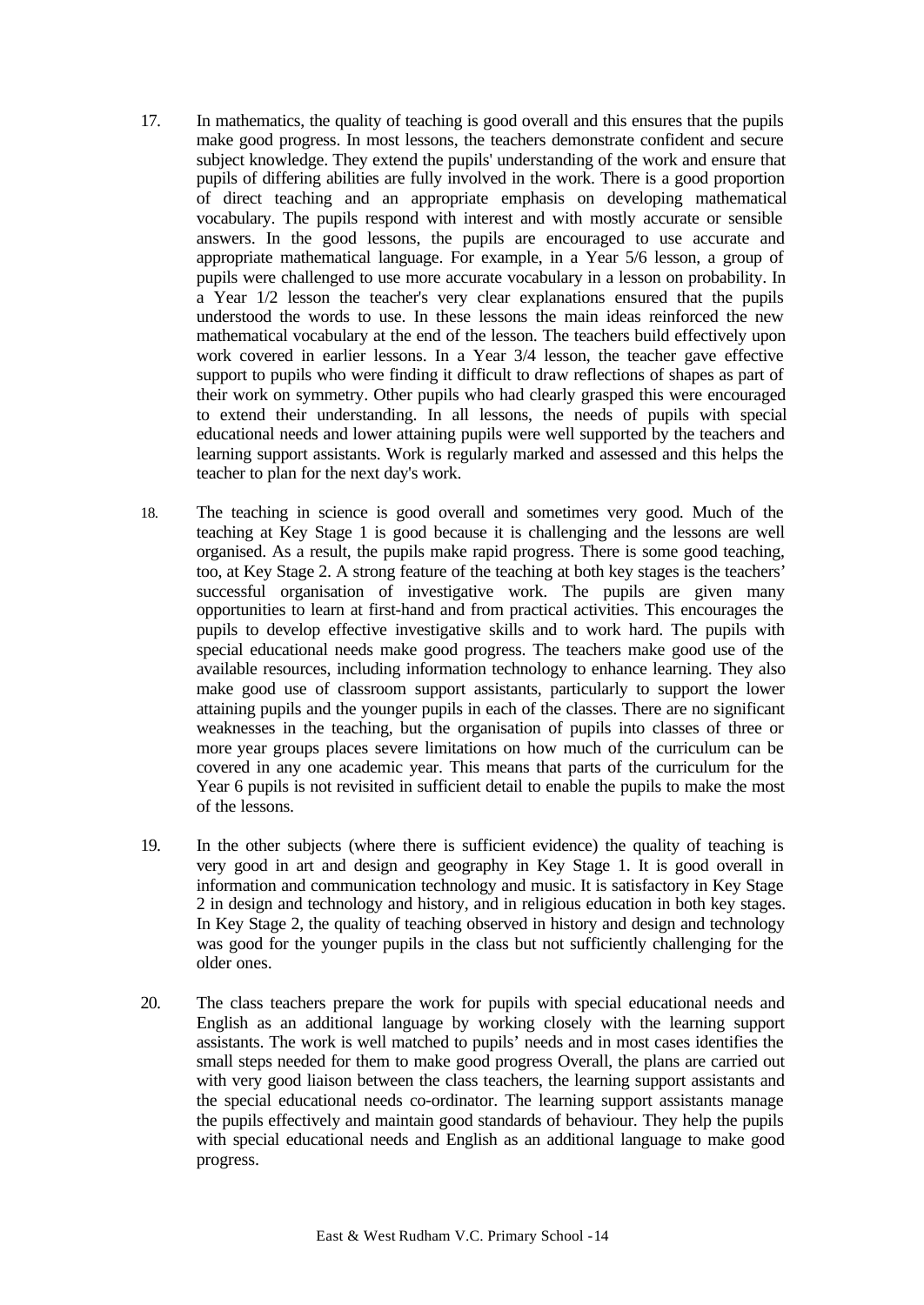- 17. In mathematics, the quality of teaching is good overall and this ensures that the pupils make good progress. In most lessons, the teachers demonstrate confident and secure subject knowledge. They extend the pupils' understanding of the work and ensure that pupils of differing abilities are fully involved in the work. There is a good proportion of direct teaching and an appropriate emphasis on developing mathematical vocabulary. The pupils respond with interest and with mostly accurate or sensible answers. In the good lessons, the pupils are encouraged to use accurate and appropriate mathematical language. For example, in a Year 5/6 lesson, a group of pupils were challenged to use more accurate vocabulary in a lesson on probability. In a Year 1/2 lesson the teacher's very clear explanations ensured that the pupils understood the words to use. In these lessons the main ideas reinforced the new mathematical vocabulary at the end of the lesson. The teachers build effectively upon work covered in earlier lessons. In a Year 3/4 lesson, the teacher gave effective support to pupils who were finding it difficult to draw reflections of shapes as part of their work on symmetry. Other pupils who had clearly grasped this were encouraged to extend their understanding. In all lessons, the needs of pupils with special educational needs and lower attaining pupils were well supported by the teachers and learning support assistants. Work is regularly marked and assessed and this helps the teacher to plan for the next day's work.
- 18. The teaching in science is good overall and sometimes very good. Much of the teaching at Key Stage 1 is good because it is challenging and the lessons are well organised. As a result, the pupils make rapid progress. There is some good teaching, too, at Key Stage 2. A strong feature of the teaching at both key stages is the teachers' successful organisation of investigative work. The pupils are given many opportunities to learn at first-hand and from practical activities. This encourages the pupils to develop effective investigative skills and to work hard. The pupils with special educational needs make good progress. The teachers make good use of the available resources, including information technology to enhance learning. They also make good use of classroom support assistants, particularly to support the lower attaining pupils and the younger pupils in each of the classes. There are no significant weaknesses in the teaching, but the organisation of pupils into classes of three or more year groups places severe limitations on how much of the curriculum can be covered in any one academic year. This means that parts of the curriculum for the Year 6 pupils is not revisited in sufficient detail to enable the pupils to make the most of the lessons.
- 19. In the other subjects (where there is sufficient evidence) the quality of teaching is very good in art and design and geography in Key Stage 1. It is good overall in information and communication technology and music. It is satisfactory in Key Stage 2 in design and technology and history, and in religious education in both key stages. In Key Stage 2, the quality of teaching observed in history and design and technology was good for the younger pupils in the class but not sufficiently challenging for the older ones.
- 20. The class teachers prepare the work for pupils with special educational needs and English as an additional language by working closely with the learning support assistants. The work is well matched to pupils' needs and in most cases identifies the small steps needed for them to make good progress Overall, the plans are carried out with very good liaison between the class teachers, the learning support assistants and the special educational needs co-ordinator. The learning support assistants manage the pupils effectively and maintain good standards of behaviour. They help the pupils with special educational needs and English as an additional language to make good progress.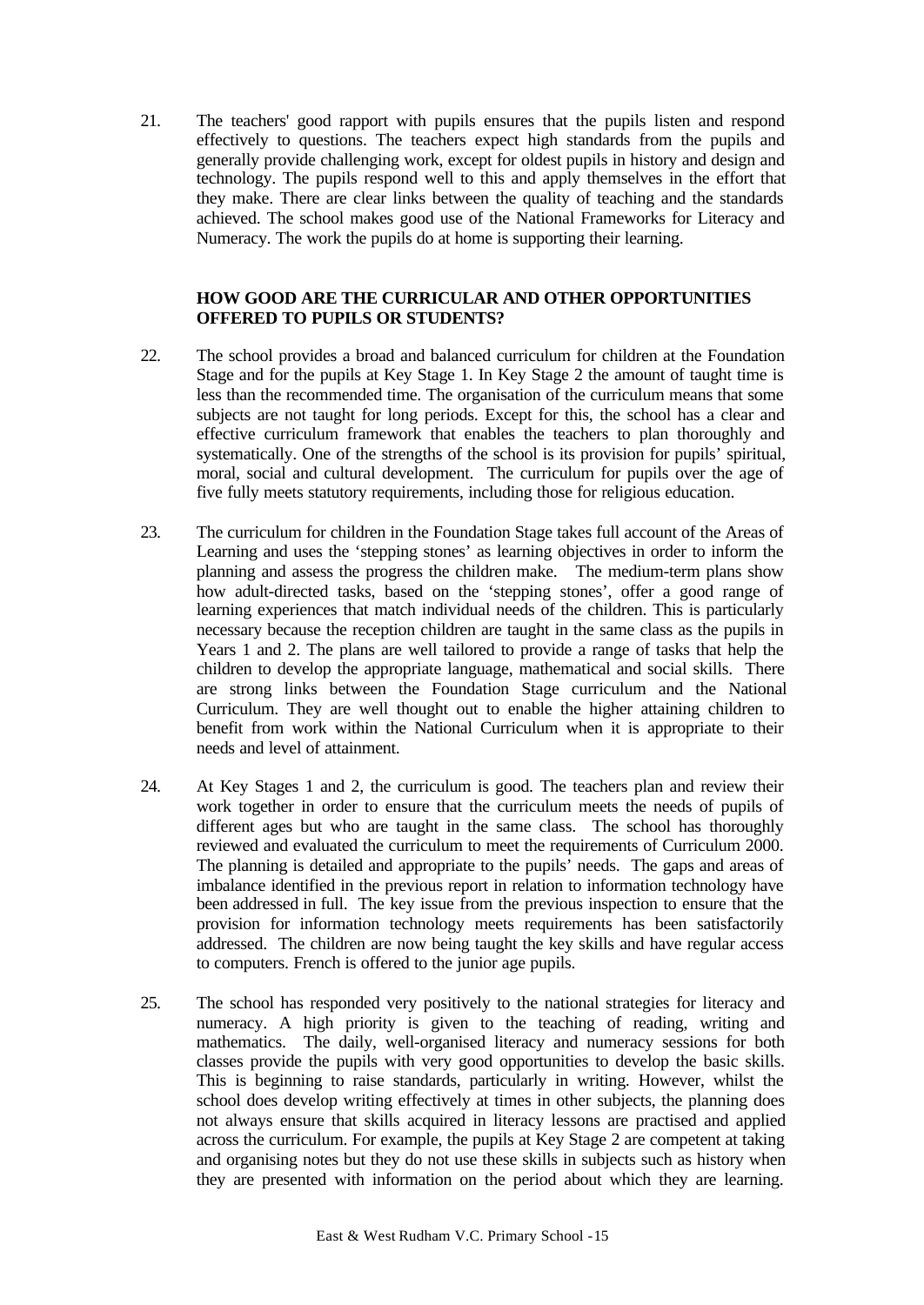21. The teachers' good rapport with pupils ensures that the pupils listen and respond effectively to questions. The teachers expect high standards from the pupils and generally provide challenging work, except for oldest pupils in history and design and technology. The pupils respond well to this and apply themselves in the effort that they make. There are clear links between the quality of teaching and the standards achieved. The school makes good use of the National Frameworks for Literacy and Numeracy. The work the pupils do at home is supporting their learning.

## **HOW GOOD ARE THE CURRICULAR AND OTHER OPPORTUNITIES OFFERED TO PUPILS OR STUDENTS?**

- 22. The school provides a broad and balanced curriculum for children at the Foundation Stage and for the pupils at Key Stage 1. In Key Stage 2 the amount of taught time is less than the recommended time. The organisation of the curriculum means that some subjects are not taught for long periods. Except for this, the school has a clear and effective curriculum framework that enables the teachers to plan thoroughly and systematically. One of the strengths of the school is its provision for pupils' spiritual, moral, social and cultural development. The curriculum for pupils over the age of five fully meets statutory requirements, including those for religious education.
- 23. The curriculum for children in the Foundation Stage takes full account of the Areas of Learning and uses the 'stepping stones' as learning objectives in order to inform the planning and assess the progress the children make. The medium-term plans show how adult-directed tasks, based on the 'stepping stones', offer a good range of learning experiences that match individual needs of the children. This is particularly necessary because the reception children are taught in the same class as the pupils in Years 1 and 2. The plans are well tailored to provide a range of tasks that help the children to develop the appropriate language, mathematical and social skills. There are strong links between the Foundation Stage curriculum and the National Curriculum. They are well thought out to enable the higher attaining children to benefit from work within the National Curriculum when it is appropriate to their needs and level of attainment.
- 24. At Key Stages 1 and 2, the curriculum is good. The teachers plan and review their work together in order to ensure that the curriculum meets the needs of pupils of different ages but who are taught in the same class. The school has thoroughly reviewed and evaluated the curriculum to meet the requirements of Curriculum 2000. The planning is detailed and appropriate to the pupils' needs. The gaps and areas of imbalance identified in the previous report in relation to information technology have been addressed in full.The key issue from the previous inspection to ensure that the provision for information technology meets requirements has been satisfactorily addressed. The children are now being taught the key skills and have regular access to computers. French is offered to the junior age pupils.
- 25. The school has responded very positively to the national strategies for literacy and numeracy. A high priority is given to the teaching of reading, writing and mathematics. The daily, well-organised literacy and numeracy sessions for both classes provide the pupils with very good opportunities to develop the basic skills. This is beginning to raise standards, particularly in writing. However, whilst the school does develop writing effectively at times in other subjects, the planning does not always ensure that skills acquired in literacy lessons are practised and applied across the curriculum. For example, the pupils at Key Stage 2 are competent at taking and organising notes but they do not use these skills in subjects such as history when they are presented with information on the period about which they are learning.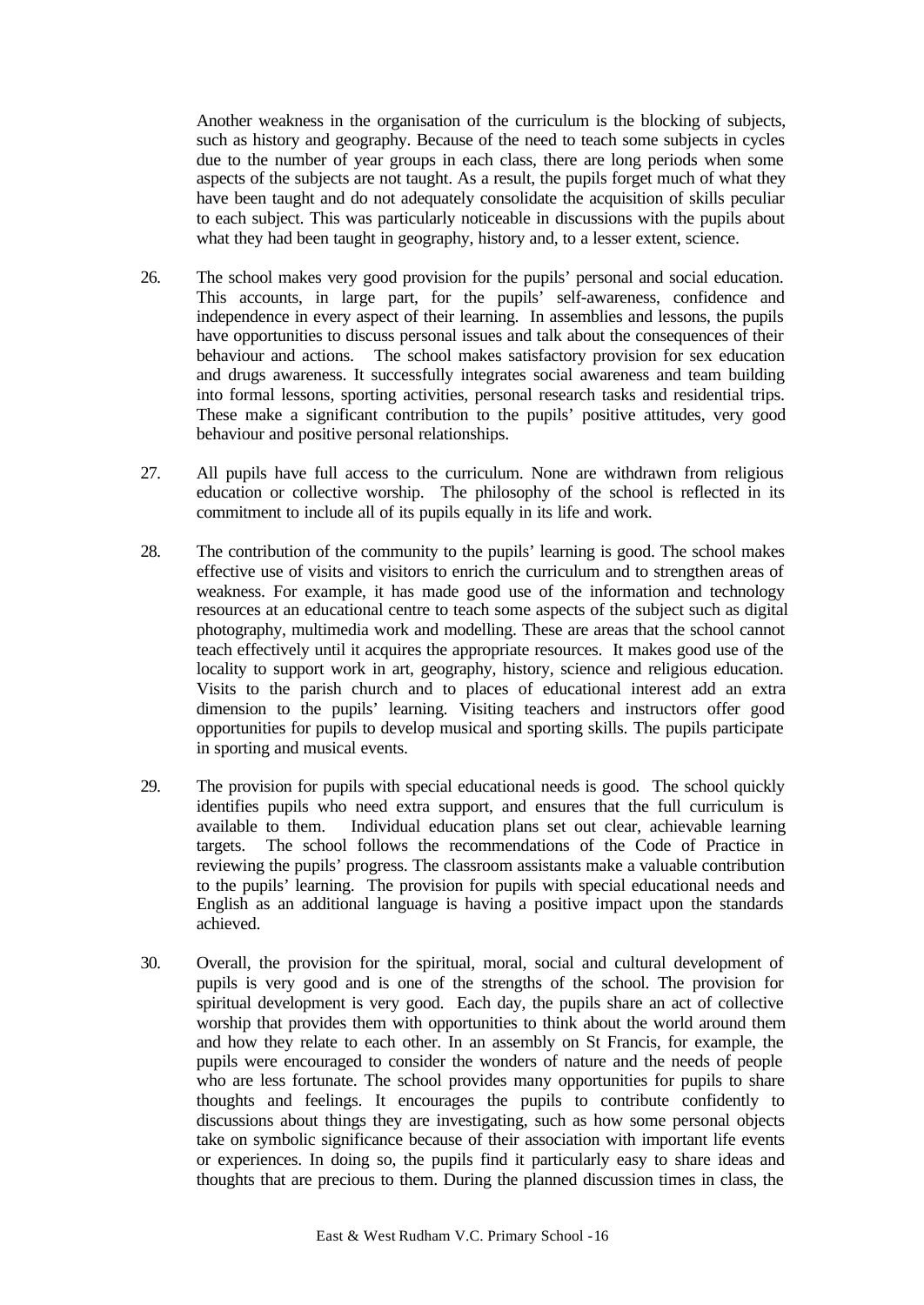Another weakness in the organisation of the curriculum is the blocking of subjects, such as history and geography. Because of the need to teach some subjects in cycles due to the number of year groups in each class, there are long periods when some aspects of the subjects are not taught. As a result, the pupils forget much of what they have been taught and do not adequately consolidate the acquisition of skills peculiar to each subject. This was particularly noticeable in discussions with the pupils about what they had been taught in geography, history and, to a lesser extent, science.

- 26. The school makes very good provision for the pupils' personal and social education. This accounts, in large part, for the pupils' self-awareness, confidence and independence in every aspect of their learning. In assemblies and lessons, the pupils have opportunities to discuss personal issues and talk about the consequences of their behaviour and actions. The school makes satisfactory provision for sex education and drugs awareness. It successfully integrates social awareness and team building into formal lessons, sporting activities, personal research tasks and residential trips. These make a significant contribution to the pupils' positive attitudes, very good behaviour and positive personal relationships.
- 27. All pupils have full access to the curriculum. None are withdrawn from religious education or collective worship. The philosophy of the school is reflected in its commitment to include all of its pupils equally in its life and work.
- 28. The contribution of the community to the pupils' learning is good. The school makes effective use of visits and visitors to enrich the curriculum and to strengthen areas of weakness. For example, it has made good use of the information and technology resources at an educational centre to teach some aspects of the subject such as digital photography, multimedia work and modelling. These are areas that the school cannot teach effectively until it acquires the appropriate resources. It makes good use of the locality to support work in art, geography, history, science and religious education. Visits to the parish church and to places of educational interest add an extra dimension to the pupils' learning. Visiting teachers and instructors offer good opportunities for pupils to develop musical and sporting skills. The pupils participate in sporting and musical events.
- 29. The provision for pupils with special educational needs is good*.* The school quickly identifies pupils who need extra support, and ensures that the full curriculum is available to them. Individual education plans set out clear, achievable learning targets. The school follows the recommendations of the Code of Practice in reviewing the pupils' progress. The classroom assistants make a valuable contribution to the pupils' learning. The provision for pupils with special educational needs and English as an additional language is having a positive impact upon the standards achieved.
- 30. Overall, the provision for the spiritual, moral, social and cultural development of pupils is very good and is one of the strengths of the school. The provision for spiritual development is very good. Each day, the pupils share an act of collective worship that provides them with opportunities to think about the world around them and how they relate to each other. In an assembly on St Francis, for example, the pupils were encouraged to consider the wonders of nature and the needs of people who are less fortunate. The school provides many opportunities for pupils to share thoughts and feelings. It encourages the pupils to contribute confidently to discussions about things they are investigating, such as how some personal objects take on symbolic significance because of their association with important life events or experiences. In doing so, the pupils find it particularly easy to share ideas and thoughts that are precious to them. During the planned discussion times in class, the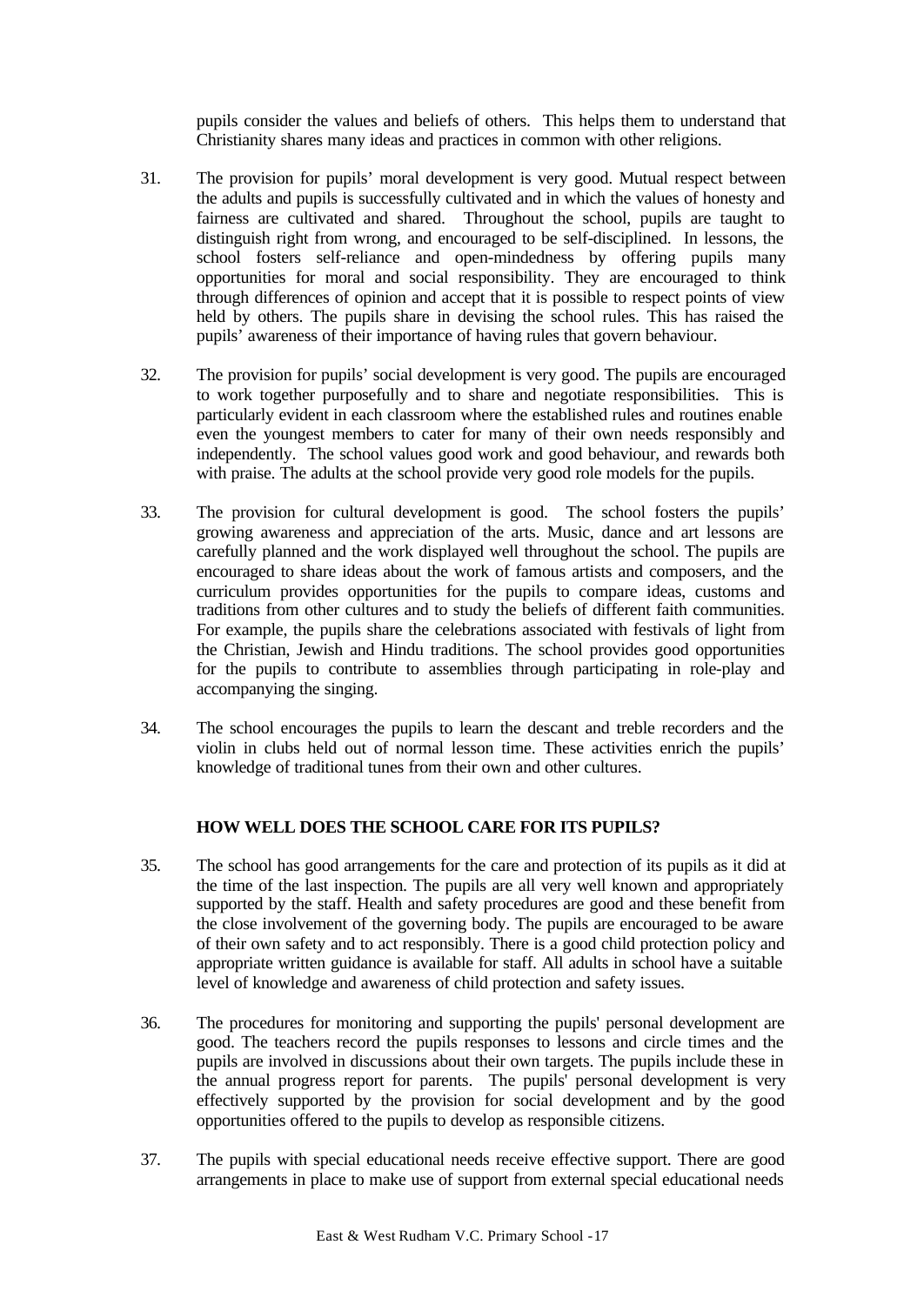pupils consider the values and beliefs of others. This helps them to understand that Christianity shares many ideas and practices in common with other religions.

- 31. The provision for pupils' moral development is very good. Mutual respect between the adults and pupils is successfully cultivated and in which the values of honesty and fairness are cultivated and shared. Throughout the school, pupils are taught to distinguish right from wrong, and encouraged to be self-disciplined. In lessons, the school fosters self-reliance and open-mindedness by offering pupils many opportunities for moral and social responsibility. They are encouraged to think through differences of opinion and accept that it is possible to respect points of view held by others. The pupils share in devising the school rules. This has raised the pupils' awareness of their importance of having rules that govern behaviour.
- 32. The provision for pupils' social development is very good. The pupils are encouraged to work together purposefully and to share and negotiate responsibilities. This is particularly evident in each classroom where the established rules and routines enable even the youngest members to cater for many of their own needs responsibly and independently. The school values good work and good behaviour, and rewards both with praise. The adults at the school provide very good role models for the pupils.
- 33. The provision for cultural development is good. The school fosters the pupils' growing awareness and appreciation of the arts. Music, dance and art lessons are carefully planned and the work displayed well throughout the school. The pupils are encouraged to share ideas about the work of famous artists and composers, and the curriculum provides opportunities for the pupils to compare ideas, customs and traditions from other cultures and to study the beliefs of different faith communities. For example, the pupils share the celebrations associated with festivals of light from the Christian, Jewish and Hindu traditions. The school provides good opportunities for the pupils to contribute to assemblies through participating in role-play and accompanying the singing.
- 34. The school encourages the pupils to learn the descant and treble recorders and the violin in clubs held out of normal lesson time. These activities enrich the pupils' knowledge of traditional tunes from their own and other cultures.

## **HOW WELL DOES THE SCHOOL CARE FOR ITS PUPILS?**

- 35. The school has good arrangements for the care and protection of its pupils as it did at the time of the last inspection. The pupils are all very well known and appropriately supported by the staff. Health and safety procedures are good and these benefit from the close involvement of the governing body. The pupils are encouraged to be aware of their own safety and to act responsibly. There is a good child protection policy and appropriate written guidance is available for staff. All adults in school have a suitable level of knowledge and awareness of child protection and safety issues.
- 36. The procedures for monitoring and supporting the pupils' personal development are good. The teachers record the pupils responses to lessons and circle times and the pupils are involved in discussions about their own targets. The pupils include these in the annual progress report for parents. The pupils' personal development is very effectively supported by the provision for social development and by the good opportunities offered to the pupils to develop as responsible citizens.
- 37. The pupils with special educational needs receive effective support. There are good arrangements in place to make use of support from external special educational needs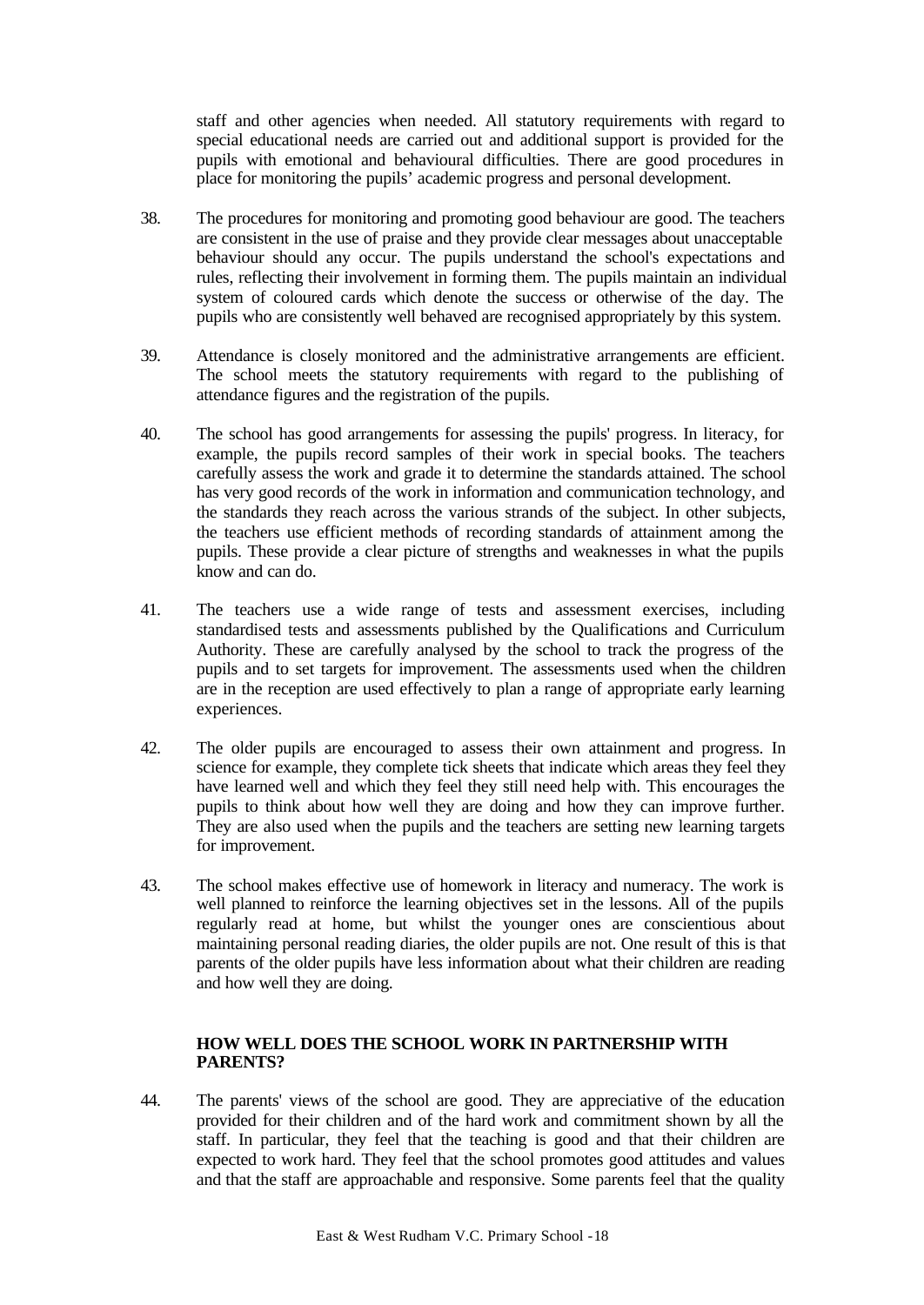staff and other agencies when needed. All statutory requirements with regard to special educational needs are carried out and additional support is provided for the pupils with emotional and behavioural difficulties. There are good procedures in place for monitoring the pupils' academic progress and personal development.

- 38. The procedures for monitoring and promoting good behaviour are good. The teachers are consistent in the use of praise and they provide clear messages about unacceptable behaviour should any occur. The pupils understand the school's expectations and rules, reflecting their involvement in forming them. The pupils maintain an individual system of coloured cards which denote the success or otherwise of the day. The pupils who are consistently well behaved are recognised appropriately by this system.
- 39. Attendance is closely monitored and the administrative arrangements are efficient. The school meets the statutory requirements with regard to the publishing of attendance figures and the registration of the pupils.
- 40. The school has good arrangements for assessing the pupils' progress. In literacy, for example, the pupils record samples of their work in special books. The teachers carefully assess the work and grade it to determine the standards attained. The school has very good records of the work in information and communication technology, and the standards they reach across the various strands of the subject. In other subjects, the teachers use efficient methods of recording standards of attainment among the pupils. These provide a clear picture of strengths and weaknesses in what the pupils know and can do.
- 41. The teachers use a wide range of tests and assessment exercises, including standardised tests and assessments published by the Qualifications and Curriculum Authority. These are carefully analysed by the school to track the progress of the pupils and to set targets for improvement. The assessments used when the children are in the reception are used effectively to plan a range of appropriate early learning experiences.
- 42. The older pupils are encouraged to assess their own attainment and progress. In science for example, they complete tick sheets that indicate which areas they feel they have learned well and which they feel they still need help with. This encourages the pupils to think about how well they are doing and how they can improve further. They are also used when the pupils and the teachers are setting new learning targets for improvement.
- 43. The school makes effective use of homework in literacy and numeracy. The work is well planned to reinforce the learning objectives set in the lessons. All of the pupils regularly read at home, but whilst the younger ones are conscientious about maintaining personal reading diaries, the older pupils are not. One result of this is that parents of the older pupils have less information about what their children are reading and how well they are doing.

# **HOW WELL DOES THE SCHOOL WORK IN PARTNERSHIP WITH PARENTS?**

44. The parents' views of the school are good. They are appreciative of the education provided for their children and of the hard work and commitment shown by all the staff. In particular, they feel that the teaching is good and that their children are expected to work hard. They feel that the school promotes good attitudes and values and that the staff are approachable and responsive. Some parents feel that the quality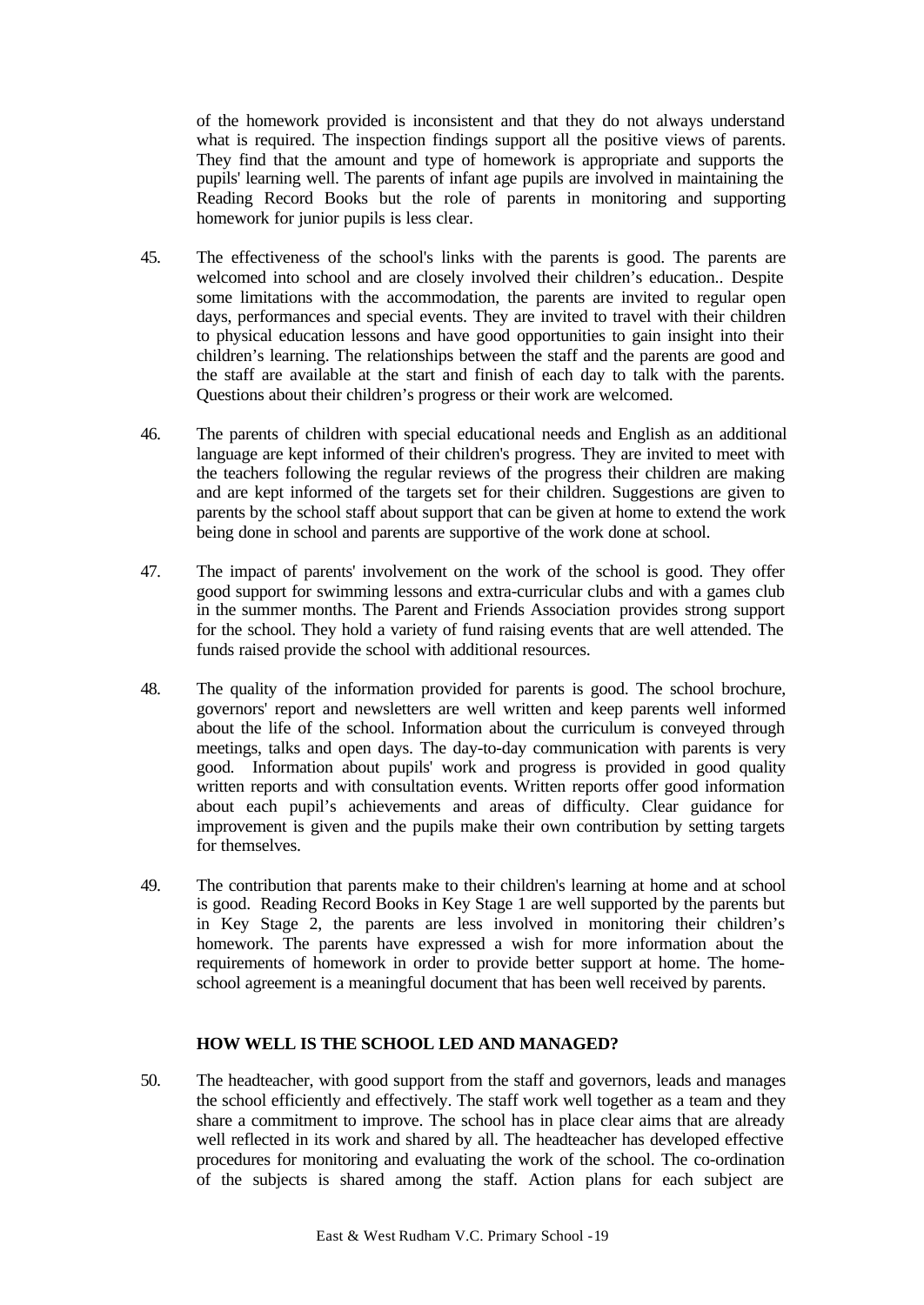of the homework provided is inconsistent and that they do not always understand what is required. The inspection findings support all the positive views of parents. They find that the amount and type of homework is appropriate and supports the pupils' learning well. The parents of infant age pupils are involved in maintaining the Reading Record Books but the role of parents in monitoring and supporting homework for junior pupils is less clear.

- 45. The effectiveness of the school's links with the parents is good. The parents are welcomed into school and are closely involved their children's education.. Despite some limitations with the accommodation, the parents are invited to regular open days, performances and special events. They are invited to travel with their children to physical education lessons and have good opportunities to gain insight into their children's learning. The relationships between the staff and the parents are good and the staff are available at the start and finish of each day to talk with the parents. Questions about their children's progress or their work are welcomed.
- 46. The parents of children with special educational needs and English as an additional language are kept informed of their children's progress. They are invited to meet with the teachers following the regular reviews of the progress their children are making and are kept informed of the targets set for their children. Suggestions are given to parents by the school staff about support that can be given at home to extend the work being done in school and parents are supportive of the work done at school.
- 47. The impact of parents' involvement on the work of the school is good. They offer good support for swimming lessons and extra-curricular clubs and with a games club in the summer months. The Parent and Friends Association provides strong support for the school. They hold a variety of fund raising events that are well attended. The funds raised provide the school with additional resources.
- 48. The quality of the information provided for parents is good. The school brochure, governors' report and newsletters are well written and keep parents well informed about the life of the school. Information about the curriculum is conveyed through meetings, talks and open days. The day-to-day communication with parents is very good. Information about pupils' work and progress is provided in good quality written reports and with consultation events. Written reports offer good information about each pupil's achievements and areas of difficulty. Clear guidance for improvement is given and the pupils make their own contribution by setting targets for themselves.
- 49. The contribution that parents make to their children's learning at home and at school is good. Reading Record Books in Key Stage 1 are well supported by the parents but in Key Stage 2, the parents are less involved in monitoring their children's homework. The parents have expressed a wish for more information about the requirements of homework in order to provide better support at home. The homeschool agreement is a meaningful document that has been well received by parents.

## **HOW WELL IS THE SCHOOL LED AND MANAGED?**

50. The headteacher, with good support from the staff and governors, leads and manages the school efficiently and effectively. The staff work well together as a team and they share a commitment to improve. The school has in place clear aims that are already well reflected in its work and shared by all. The headteacher has developed effective procedures for monitoring and evaluating the work of the school. The co-ordination of the subjects is shared among the staff. Action plans for each subject are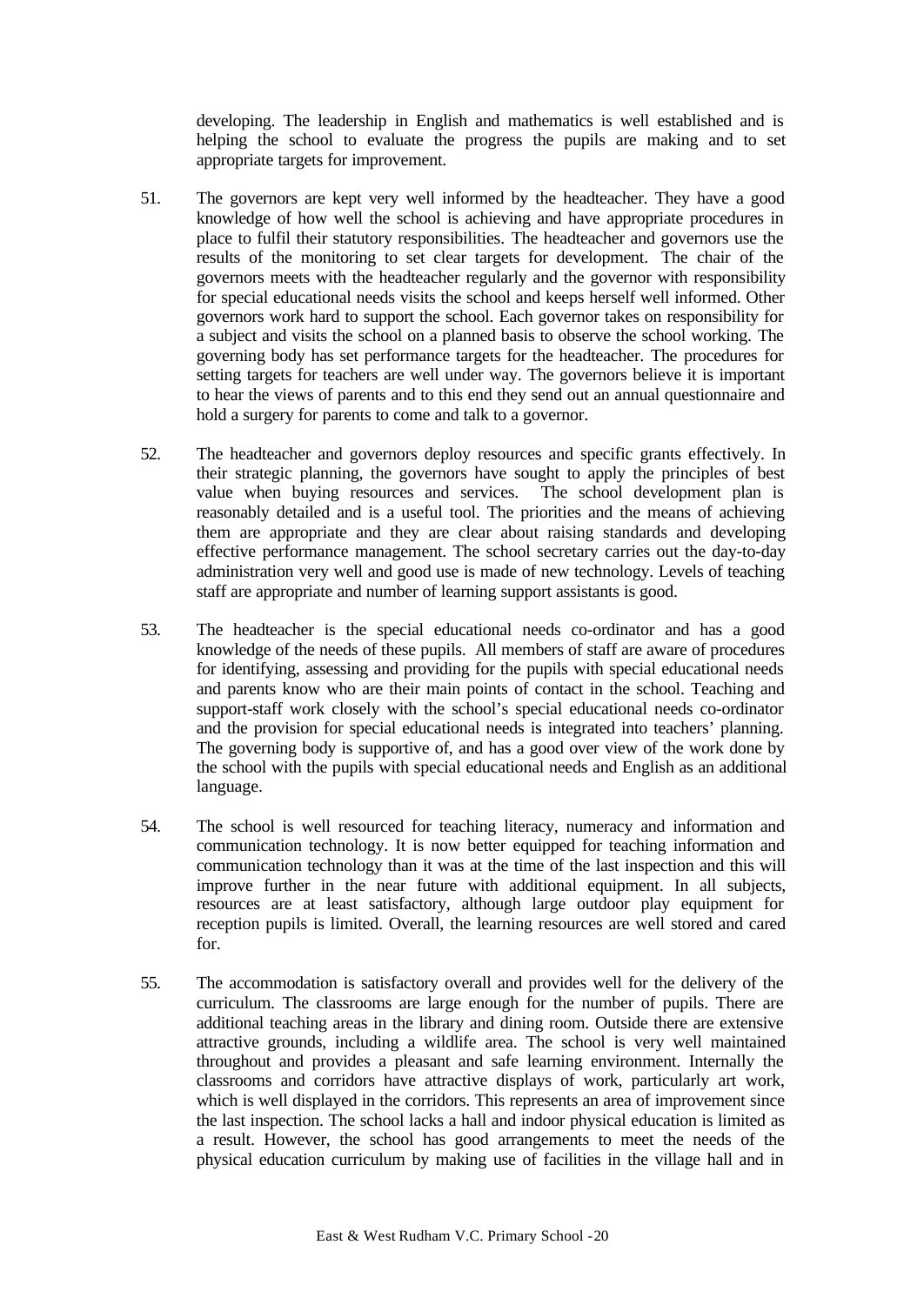developing. The leadership in English and mathematics is well established and is helping the school to evaluate the progress the pupils are making and to set appropriate targets for improvement.

- 51. The governors are kept very well informed by the headteacher. They have a good knowledge of how well the school is achieving and have appropriate procedures in place to fulfil their statutory responsibilities. The headteacher and governors use the results of the monitoring to set clear targets for development. The chair of the governors meets with the headteacher regularly and the governor with responsibility for special educational needs visits the school and keeps herself well informed. Other governors work hard to support the school. Each governor takes on responsibility for a subject and visits the school on a planned basis to observe the school working. The governing body has set performance targets for the headteacher. The procedures for setting targets for teachers are well under way. The governors believe it is important to hear the views of parents and to this end they send out an annual questionnaire and hold a surgery for parents to come and talk to a governor.
- 52. The headteacher and governors deploy resources and specific grants effectively. In their strategic planning, the governors have sought to apply the principles of best value when buying resources and services. The school development plan is reasonably detailed and is a useful tool. The priorities and the means of achieving them are appropriate and they are clear about raising standards and developing effective performance management. The school secretary carries out the day-to-day administration very well and good use is made of new technology. Levels of teaching staff are appropriate and number of learning support assistants is good.
- 53. The headteacher is the special educational needs co-ordinator and has a good knowledge of the needs of these pupils. All members of staff are aware of procedures for identifying, assessing and providing for the pupils with special educational needs and parents know who are their main points of contact in the school. Teaching and support-staff work closely with the school's special educational needs co-ordinator and the provision for special educational needs is integrated into teachers' planning. The governing body is supportive of, and has a good over view of the work done by the school with the pupils with special educational needs and English as an additional language.
- 54. The school is well resourced for teaching literacy, numeracy and information and communication technology. It is now better equipped for teaching information and communication technology than it was at the time of the last inspection and this will improve further in the near future with additional equipment. In all subjects, resources are at least satisfactory, although large outdoor play equipment for reception pupils is limited. Overall, the learning resources are well stored and cared for.
- 55. The accommodation is satisfactory overall and provides well for the delivery of the curriculum. The classrooms are large enough for the number of pupils. There are additional teaching areas in the library and dining room. Outside there are extensive attractive grounds, including a wildlife area. The school is very well maintained throughout and provides a pleasant and safe learning environment. Internally the classrooms and corridors have attractive displays of work, particularly art work, which is well displayed in the corridors. This represents an area of improvement since the last inspection. The school lacks a hall and indoor physical education is limited as a result. However, the school has good arrangements to meet the needs of the physical education curriculum by making use of facilities in the village hall and in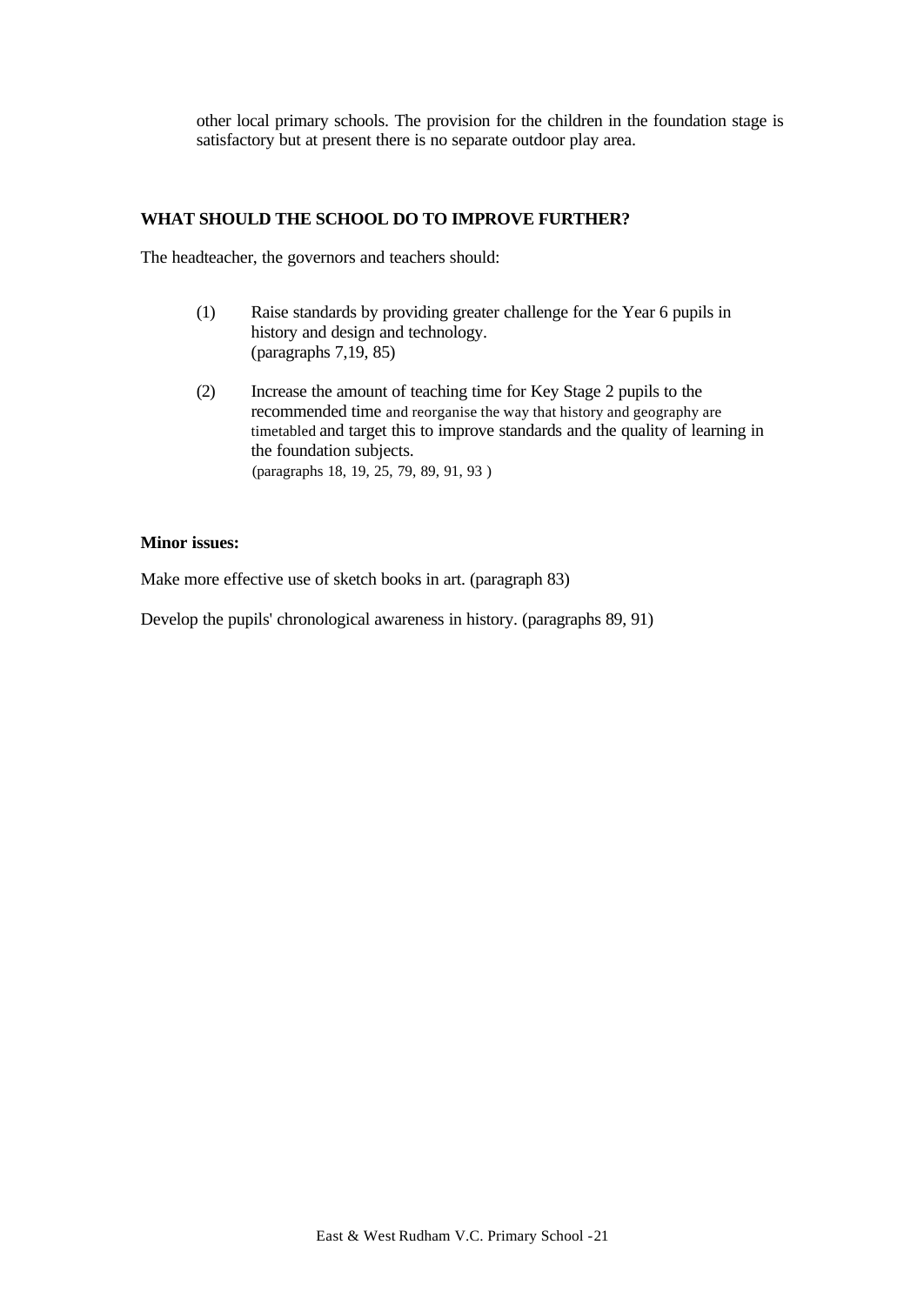other local primary schools. The provision for the children in the foundation stage is satisfactory but at present there is no separate outdoor play area.

## **WHAT SHOULD THE SCHOOL DO TO IMPROVE FURTHER?**

The headteacher, the governors and teachers should:

- (1) Raise standards by providing greater challenge for the Year 6 pupils in history and design and technology. (paragraphs 7,19, 85)
- (2) Increase the amount of teaching time for Key Stage 2 pupils to the recommended time and reorganise the way that history and geography are timetabled and target this to improve standards and the quality of learning in the foundation subjects. (paragraphs 18, 19, 25, 79, 89, 91, 93 )

## **Minor issues:**

Make more effective use of sketch books in art. (paragraph 83)

Develop the pupils' chronological awareness in history. (paragraphs 89, 91)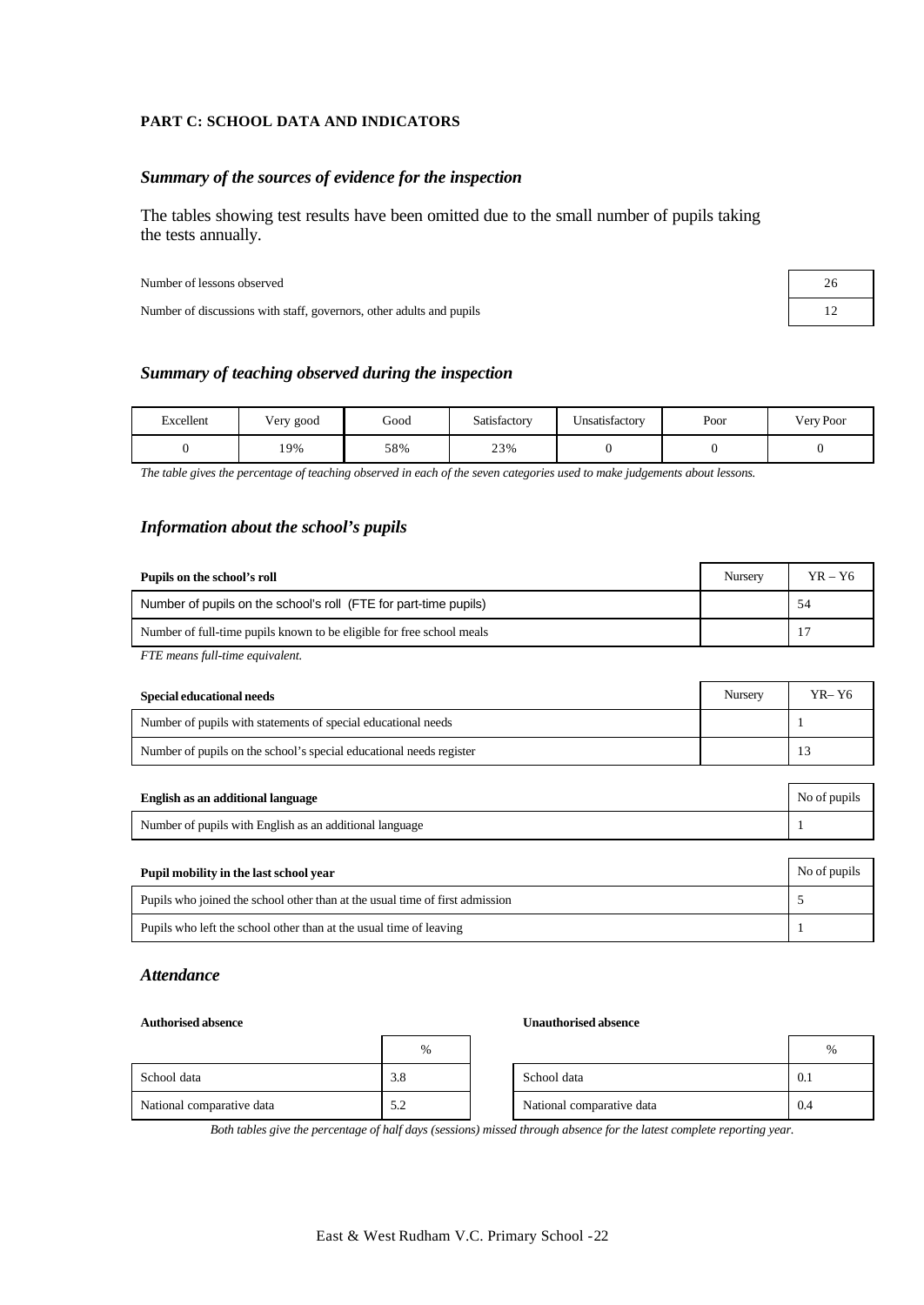## **PART C: SCHOOL DATA AND INDICATORS**

## *Summary of the sources of evidence for the inspection*

The tables showing test results have been omitted due to the small number of pupils taking the tests annually.

Number of lessons observed 26

Number of discussions with staff, governors, other adults and pupils 12

## *Summary of teaching observed during the inspection*

| Excellent | Very good | Good | Satisfactory | Unsatisfactorv | Poor | Very Poor |
|-----------|-----------|------|--------------|----------------|------|-----------|
|           | 19%       | 58%  | 23%          |                |      |           |

*The table gives the percentage of teaching observed in each of the seven categories used to make judgements about lessons.*

## *Information about the school's pupils*

| Pupils on the school's roll                                           | Nursery | $YR - Y6$ |
|-----------------------------------------------------------------------|---------|-----------|
| Number of pupils on the school's roll (FTE for part-time pupils)      |         | 54        |
| Number of full-time pupils known to be eligible for free school meals |         |           |
| $\overline{$<br>$\alpha$ $\mathbf{11}$ $\mathbf{1}$                   |         |           |

*FTE means full-time equivalent.*

| Special educational needs                                           | Nursery | YR- Y6 |
|---------------------------------------------------------------------|---------|--------|
| Number of pupils with statements of special educational needs       |         |        |
| Number of pupils on the school's special educational needs register |         |        |

| English as an additional language                       | No of pupils |
|---------------------------------------------------------|--------------|
| Number of pupils with English as an additional language |              |

| Pupil mobility in the last school year                                       | No of pupils |
|------------------------------------------------------------------------------|--------------|
| Pupils who joined the school other than at the usual time of first admission |              |
| Pupils who left the school other than at the usual time of leaving           |              |

## *Attendance*

#### **Authorised absence Unauthorised absence**

|                           | $\%$ |                           | $\%$ |
|---------------------------|------|---------------------------|------|
| School data               | 3.8  | School data               | 0.1  |
| National comparative data | 5.2  | National comparative data | 0.4  |

*Both tables give the percentage of half days (sessions) missed through absence for the latest complete reporting year.*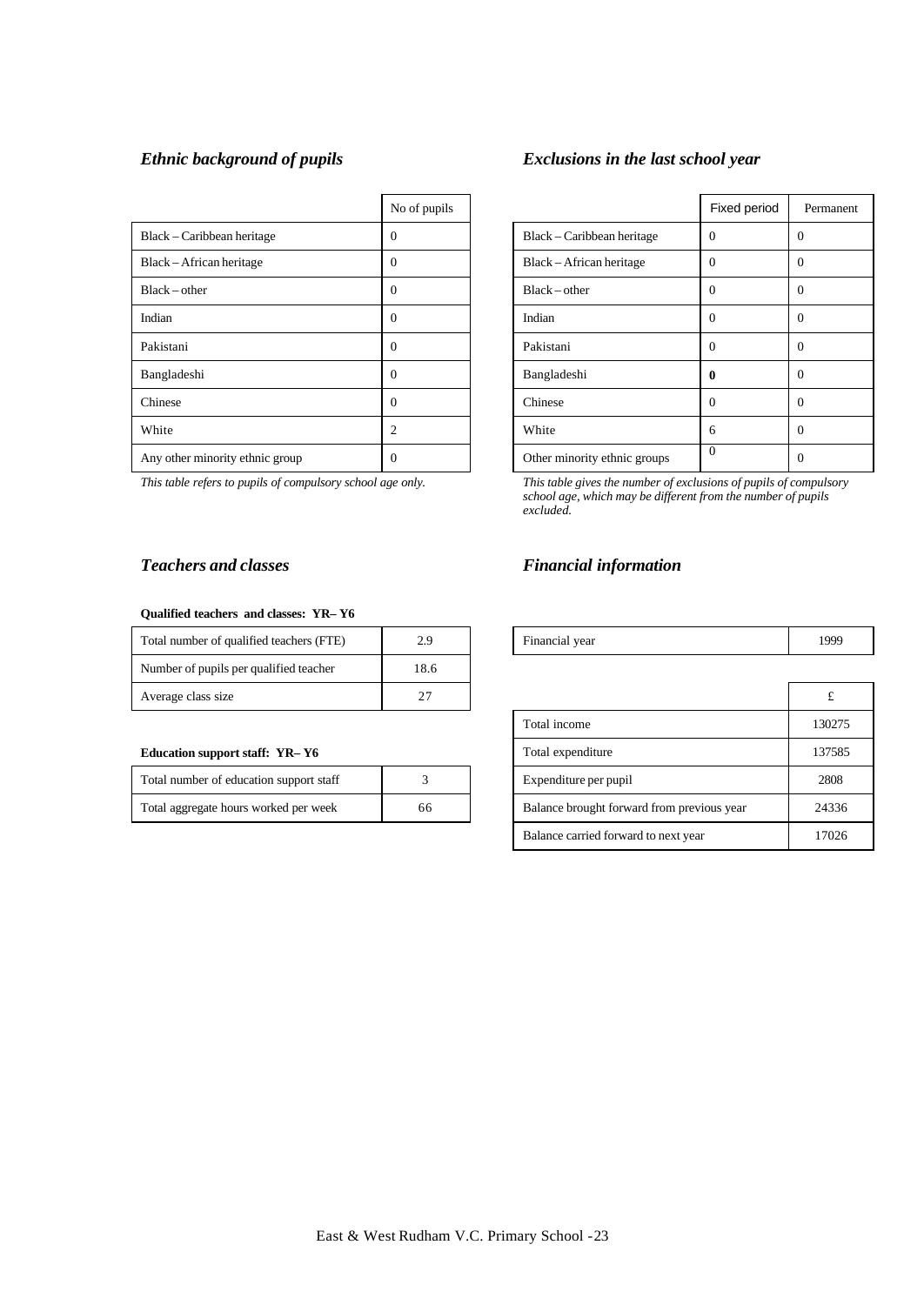|                                 | No of pupils |                              | Fixed period |                |
|---------------------------------|--------------|------------------------------|--------------|----------------|
| Black – Caribbean heritage      | 0            | Black – Caribbean heritage   | $\Omega$     | $\Omega$       |
| Black – African heritage        | $\Omega$     | Black – African heritage     | $\Omega$     | $\Omega$       |
| $Black - other$                 | 0            | $Black - other$              | $\Omega$     | $\Omega$       |
| Indian                          | 0            | Indian                       | $\Omega$     | $\theta$       |
| Pakistani                       | 0            | Pakistani                    | $\Omega$     | $\overline{0}$ |
| Bangladeshi                     | 0            | Bangladeshi                  | 0            | $\Omega$       |
| Chinese                         | 0            | Chinese                      | $\Omega$     | $\Omega$       |
| White                           | 2            | White                        | 6            | $\theta$       |
| Any other minority ethnic group | 0            | Other minority ethnic groups | $\Omega$     | $\overline{0}$ |

#### **Qualified teachers and classes: YR– Y6**

| Total number of qualified teachers (FTE) | 2.9  | Financial year | 199 |
|------------------------------------------|------|----------------|-----|
| Number of pupils per qualified teacher   | 18.6 |                |     |
| Average class size                       | 27   |                |     |

## **Education support staff: YR-Y6**

| Total number of education support staff |    | Expenditure per pupil                      | 2808 |
|-----------------------------------------|----|--------------------------------------------|------|
| Total aggregate hours worked per week   | 66 | Balance brought forward from previous year | 2433 |

# *Ethnic background of pupils Exclusions in the last school year*

| No of pupils |                              | Fixed period | Permanent |
|--------------|------------------------------|--------------|-----------|
| 0            | Black – Caribbean heritage   | $\Omega$     | $\Omega$  |
| 0            | Black – African heritage     | $\Omega$     | $\theta$  |
| 0            | $Black - other$              | $\Omega$     | $\Omega$  |
| 0            | Indian                       | $\mathbf{0}$ | $\Omega$  |
| 0            | Pakistani                    | $\theta$     | 0         |
| 0            | Bangladeshi                  | 0            | $\Omega$  |
| 0            | Chinese                      | $\Omega$     | $\Omega$  |
| 2            | White                        | 6            | $\theta$  |
| 0            | Other minority ethnic groups | $\mathbf{0}$ | $\Omega$  |

*This table refers to pupils of compulsory school age only. This table gives the number of exclusions of pupils of compulsory school age, which may be different from the number of pupils excluded.*

## *Teachers and classes Financial information*

| $\cdots$<br>Total<br>aualified teachers<br>Ή<br>number<br>. 0Į<br>ب س<br>$\mathbf{L}$ | .<br>$ -$ | vear<br>Financial<br>. | 1000<br>1/2 |
|---------------------------------------------------------------------------------------|-----------|------------------------|-------------|
|                                                                                       |           |                        |             |

| Average class size                      | 27 |              |                                            |        |
|-----------------------------------------|----|--------------|--------------------------------------------|--------|
|                                         |    | Total income |                                            | 130275 |
| <b>Education support staff: YR-Y6</b>   |    |              | Total expenditure                          | 137585 |
| Total number of education support staff |    |              | Expenditure per pupil                      | 2808   |
| Total aggregate hours worked per week   | 66 |              | Balance brought forward from previous year | 24336  |
|                                         |    |              | Balance carried forward to next year       | 17026  |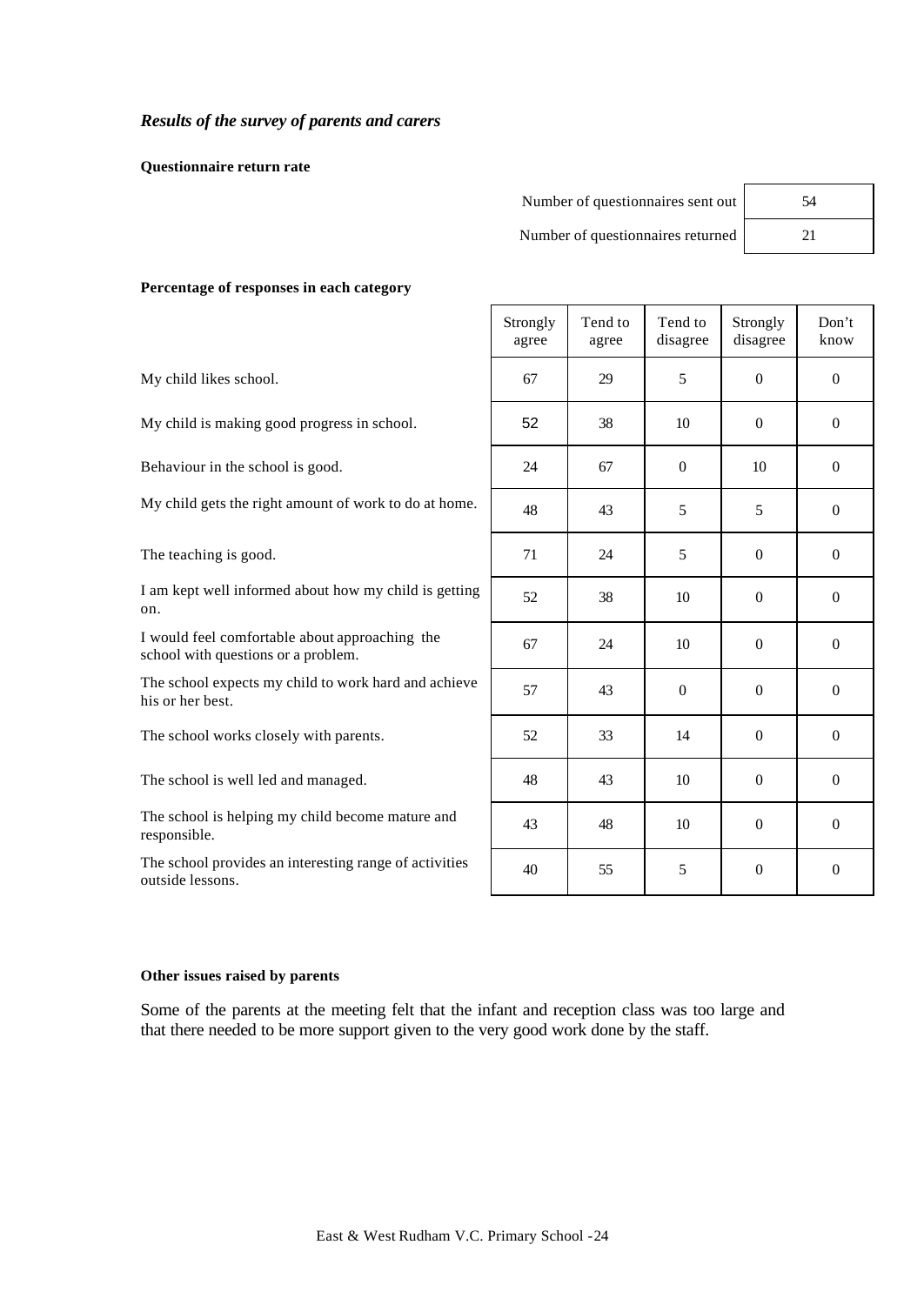# *Results of the survey of parents and carers*

**Questionnaire return rate**

| Number of questionnaires sent out | 54 |
|-----------------------------------|----|
| Number of questionnaires returned |    |
|                                   |    |

### **Percentage of responses in each category**

|                                                                                       | Strongly<br>agree | Tend to<br>agree | Tend to<br>disagree | Strongly<br>disagree | Don't<br>know    |
|---------------------------------------------------------------------------------------|-------------------|------------------|---------------------|----------------------|------------------|
| My child likes school.                                                                | 67                | 29               | 5                   | $\Omega$             | $\theta$         |
| My child is making good progress in school.                                           | 52                | 38               | 10                  | $\theta$             | $\theta$         |
| Behaviour in the school is good.                                                      | 24                | 67               | $\theta$            | 10                   | $\boldsymbol{0}$ |
| My child gets the right amount of work to do at home.                                 | 48                | 43               | 5                   | 5                    | $\boldsymbol{0}$ |
| The teaching is good.                                                                 | 71                | 24               | 5                   | $\theta$             | $\theta$         |
| I am kept well informed about how my child is getting<br>on.                          | 52                | 38               | 10                  | $\mathbf{0}$         | $\boldsymbol{0}$ |
| I would feel comfortable about approaching the<br>school with questions or a problem. | 67                | 24               | 10                  | $\theta$             | $\boldsymbol{0}$ |
| The school expects my child to work hard and achieve<br>his or her best.              | 57                | 43               | $\Omega$            | $\theta$             | $\Omega$         |
| The school works closely with parents.                                                | 52                | 33               | 14                  | $\Omega$             | $\theta$         |
| The school is well led and managed.                                                   | 48                | 43               | 10                  | $\theta$             | $\boldsymbol{0}$ |
| The school is helping my child become mature and<br>responsible.                      | 43                | 48               | 10                  | $\mathbf{0}$         | $\overline{0}$   |
| The school provides an interesting range of activities<br>outside lessons.            | 40                | 55               | 5                   | $\overline{0}$       | $\boldsymbol{0}$ |

## **Other issues raised by parents**

Some of the parents at the meeting felt that the infant and reception class was too large and that there needed to be more support given to the very good work done by the staff.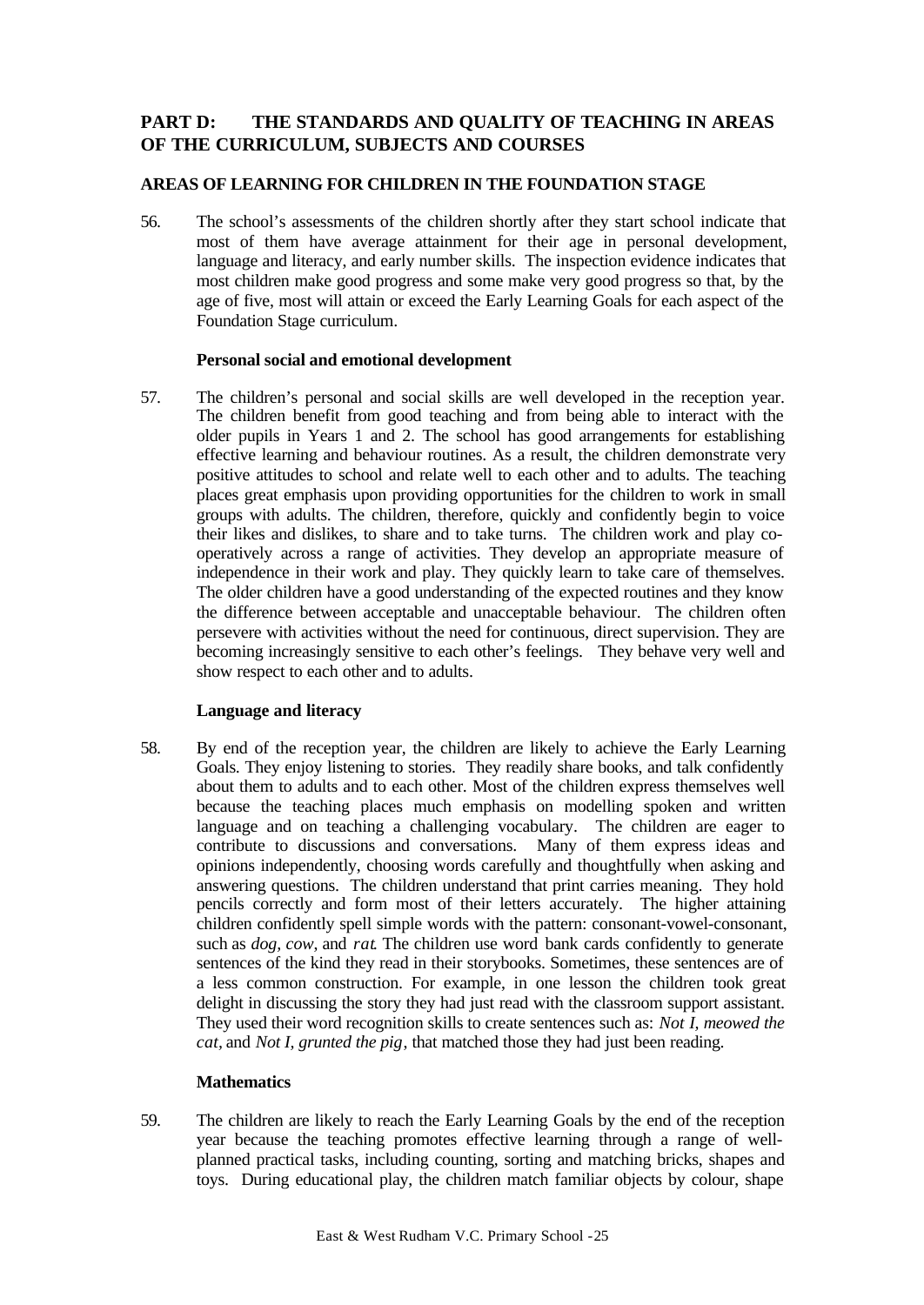# **PART D: THE STANDARDS AND QUALITY OF TEACHING IN AREAS OF THE CURRICULUM, SUBJECTS AND COURSES**

# **AREAS OF LEARNING FOR CHILDREN IN THE FOUNDATION STAGE**

56. The school's assessments of the children shortly after they start school indicate that most of them have average attainment for their age in personal development, language and literacy, and early number skills. The inspection evidence indicates that most children make good progress and some make very good progress so that, by the age of five, most will attain or exceed the Early Learning Goals for each aspect of the Foundation Stage curriculum.

## **Personal social and emotional development**

57. The children's personal and social skills are well developed in the reception year. The children benefit from good teaching and from being able to interact with the older pupils in Years 1 and 2. The school has good arrangements for establishing effective learning and behaviour routines. As a result, the children demonstrate very positive attitudes to school and relate well to each other and to adults. The teaching places great emphasis upon providing opportunities for the children to work in small groups with adults. The children, therefore, quickly and confidently begin to voice their likes and dislikes, to share and to take turns. The children work and play cooperatively across a range of activities. They develop an appropriate measure of independence in their work and play. They quickly learn to take care of themselves. The older children have a good understanding of the expected routines and they know the difference between acceptable and unacceptable behaviour. The children often persevere with activities without the need for continuous, direct supervision. They are becoming increasingly sensitive to each other's feelings. They behave very well and show respect to each other and to adults.

## **Language and literacy**

58. By end of the reception year, the children are likely to achieve the Early Learning Goals. They enjoy listening to stories. They readily share books, and talk confidently about them to adults and to each other. Most of the children express themselves well because the teaching places much emphasis on modelling spoken and written language and on teaching a challenging vocabulary. The children are eager to contribute to discussions and conversations. Many of them express ideas and opinions independently, choosing words carefully and thoughtfully when asking and answering questions. The children understand that print carries meaning. They hold pencils correctly and form most of their letters accurately. The higher attaining children confidently spell simple words with the pattern: consonant-vowel-consonant, such as *dog, cow*, and *rat*. The children use word bank cards confidently to generate sentences of the kind they read in their storybooks. Sometimes, these sentences are of a less common construction. For example, in one lesson the children took great delight in discussing the story they had just read with the classroom support assistant. They used their word recognition skills to create sentences such as: *Not I, meowed the cat,* and *Not I, grunted the pig*, that matched those they had just been reading.

## **Mathematics**

59. The children are likely to reach the Early Learning Goals by the end of the reception year because the teaching promotes effective learning through a range of wellplanned practical tasks, including counting, sorting and matching bricks, shapes and toys. During educational play, the children match familiar objects by colour, shape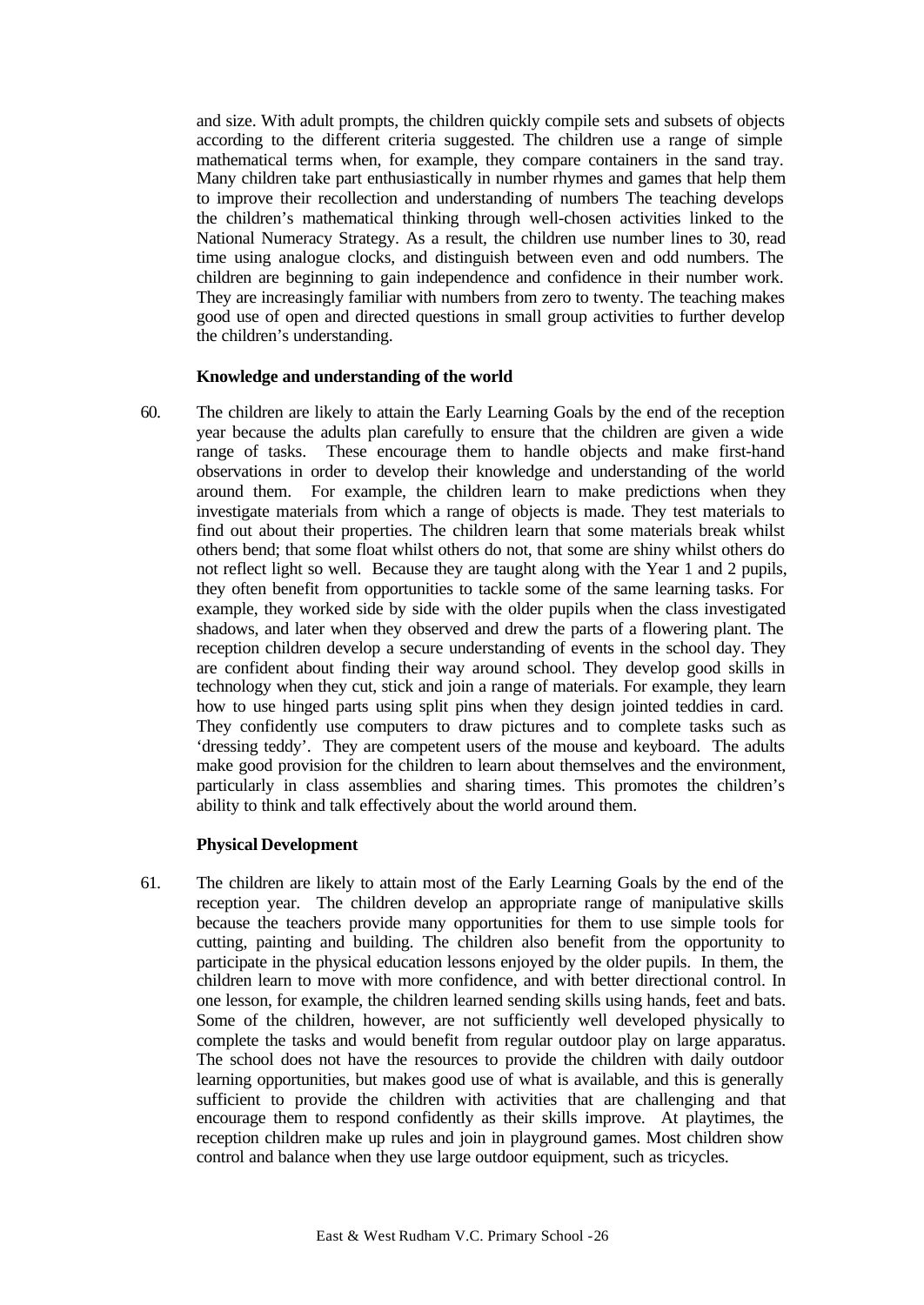and size. With adult prompts, the children quickly compile sets and subsets of objects according to the different criteria suggested. The children use a range of simple mathematical terms when, for example, they compare containers in the sand tray. Many children take part enthusiastically in number rhymes and games that help them to improve their recollection and understanding of numbers The teaching develops the children's mathematical thinking through well-chosen activities linked to the National Numeracy Strategy. As a result, the children use number lines to 30, read time using analogue clocks, and distinguish between even and odd numbers. The children are beginning to gain independence and confidence in their number work. They are increasingly familiar with numbers from zero to twenty. The teaching makes good use of open and directed questions in small group activities to further develop the children's understanding.

## **Knowledge and understanding of the world**

60. The children are likely to attain the Early Learning Goals by the end of the reception year because the adults plan carefully to ensure that the children are given a wide range of tasks. These encourage them to handle objects and make first-hand observations in order to develop their knowledge and understanding of the world around them. For example, the children learn to make predictions when they investigate materials from which a range of objects is made. They test materials to find out about their properties. The children learn that some materials break whilst others bend; that some float whilst others do not, that some are shiny whilst others do not reflect light so well. Because they are taught along with the Year 1 and 2 pupils, they often benefit from opportunities to tackle some of the same learning tasks. For example, they worked side by side with the older pupils when the class investigated shadows, and later when they observed and drew the parts of a flowering plant. The reception children develop a secure understanding of events in the school day. They are confident about finding their way around school. They develop good skills in technology when they cut, stick and join a range of materials. For example, they learn how to use hinged parts using split pins when they design jointed teddies in card. They confidently use computers to draw pictures and to complete tasks such as 'dressing teddy'. They are competent users of the mouse and keyboard. The adults make good provision for the children to learn about themselves and the environment, particularly in class assemblies and sharing times. This promotes the children's ability to think and talk effectively about the world around them.

## **Physical Development**

61. The children are likely to attain most of the Early Learning Goals by the end of the reception year. The children develop an appropriate range of manipulative skills because the teachers provide many opportunities for them to use simple tools for cutting, painting and building. The children also benefit from the opportunity to participate in the physical education lessons enjoyed by the older pupils. In them, the children learn to move with more confidence, and with better directional control. In one lesson, for example, the children learned sending skills using hands, feet and bats. Some of the children, however, are not sufficiently well developed physically to complete the tasks and would benefit from regular outdoor play on large apparatus. The school does not have the resources to provide the children with daily outdoor learning opportunities, but makes good use of what is available, and this is generally sufficient to provide the children with activities that are challenging and that encourage them to respond confidently as their skills improve. At playtimes, the reception children make up rules and join in playground games. Most children show control and balance when they use large outdoor equipment, such as tricycles.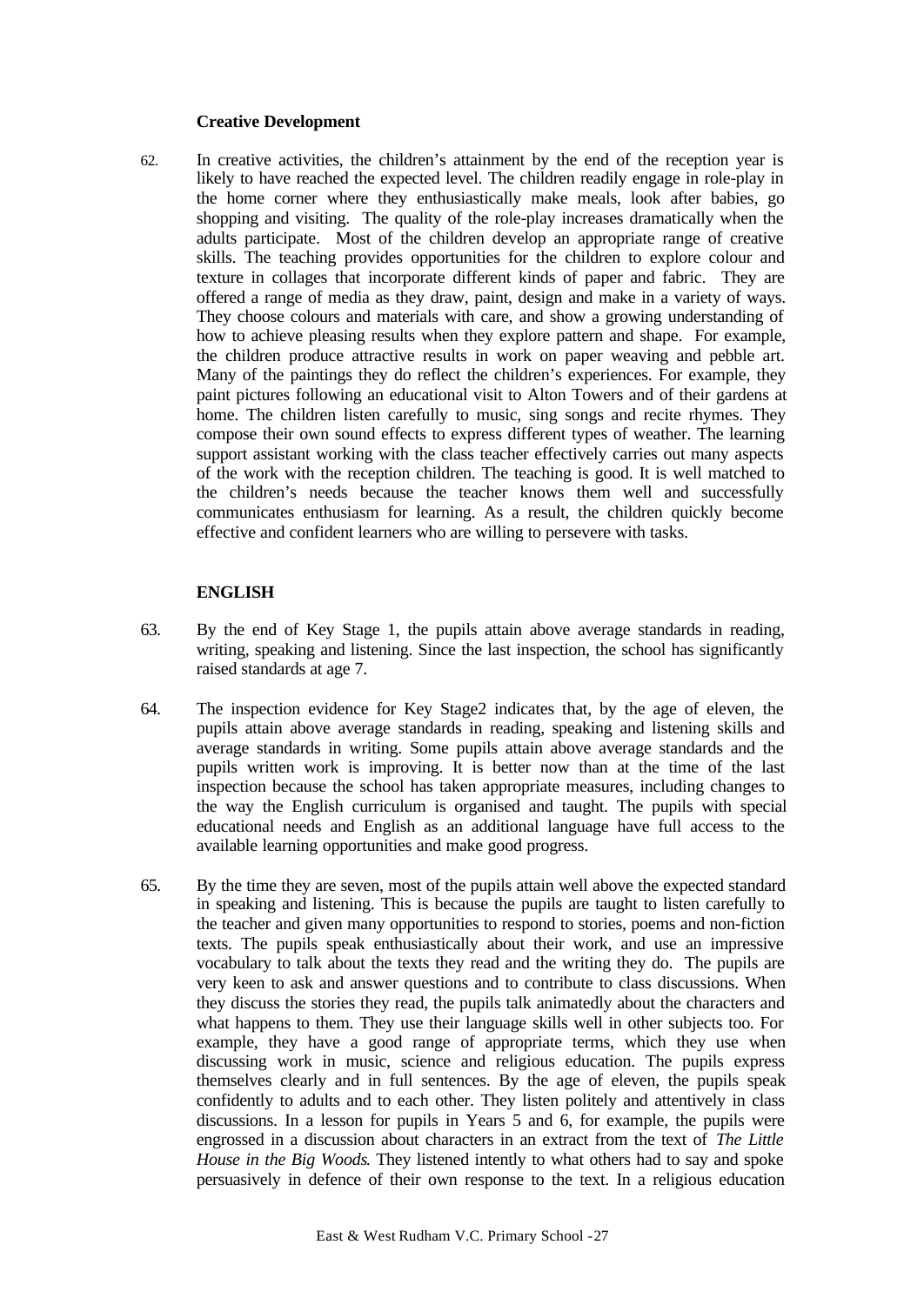## **Creative Development**

62. In creative activities, the children's attainment by the end of the reception year is likely to have reached the expected level. The children readily engage in role-play in the home corner where they enthusiastically make meals, look after babies, go shopping and visiting. The quality of the role-play increases dramatically when the adults participate. Most of the children develop an appropriate range of creative skills. The teaching provides opportunities for the children to explore colour and texture in collages that incorporate different kinds of paper and fabric. They are offered a range of media as they draw, paint, design and make in a variety of ways. They choose colours and materials with care, and show a growing understanding of how to achieve pleasing results when they explore pattern and shape. For example, the children produce attractive results in work on paper weaving and pebble art. Many of the paintings they do reflect the children's experiences. For example, they paint pictures following an educational visit to Alton Towers and of their gardens at home. The children listen carefully to music, sing songs and recite rhymes. They compose their own sound effects to express different types of weather. The learning support assistant working with the class teacher effectively carries out many aspects of the work with the reception children. The teaching is good. It is well matched to the children's needs because the teacher knows them well and successfully communicates enthusiasm for learning. As a result, the children quickly become effective and confident learners who are willing to persevere with tasks.

## **ENGLISH**

- 63. By the end of Key Stage 1, the pupils attain above average standards in reading, writing, speaking and listening. Since the last inspection, the school has significantly raised standards at age 7.
- 64. The inspection evidence for Key Stage2 indicates that, by the age of eleven, the pupils attain above average standards in reading, speaking and listening skills and average standards in writing. Some pupils attain above average standards and the pupils written work is improving. It is better now than at the time of the last inspection because the school has taken appropriate measures, including changes to the way the English curriculum is organised and taught. The pupils with special educational needs and English as an additional language have full access to the available learning opportunities and make good progress.
- 65. By the time they are seven, most of the pupils attain well above the expected standard in speaking and listening. This is because the pupils are taught to listen carefully to the teacher and given many opportunities to respond to stories, poems and non-fiction texts. The pupils speak enthusiastically about their work, and use an impressive vocabulary to talk about the texts they read and the writing they do. The pupils are very keen to ask and answer questions and to contribute to class discussions. When they discuss the stories they read, the pupils talk animatedly about the characters and what happens to them. They use their language skills well in other subjects too. For example, they have a good range of appropriate terms, which they use when discussing work in music, science and religious education. The pupils express themselves clearly and in full sentences. By the age of eleven, the pupils speak confidently to adults and to each other. They listen politely and attentively in class discussions. In a lesson for pupils in Years 5 and 6, for example, the pupils were engrossed in a discussion about characters in an extract from the text of *The Little House in the Big Woods*. They listened intently to what others had to say and spoke persuasively in defence of their own response to the text. In a religious education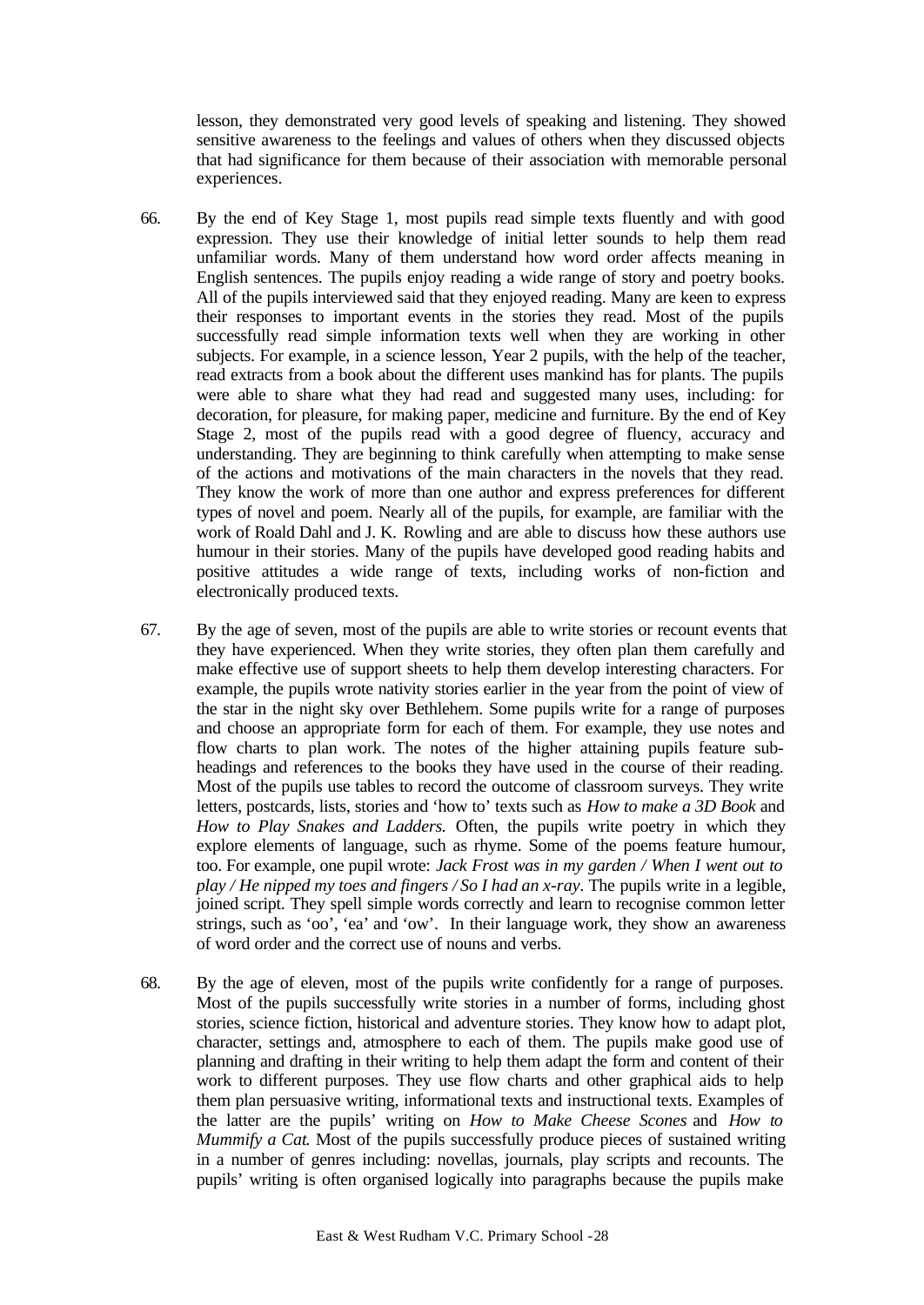lesson, they demonstrated very good levels of speaking and listening. They showed sensitive awareness to the feelings and values of others when they discussed objects that had significance for them because of their association with memorable personal experiences.

- 66. By the end of Key Stage 1, most pupils read simple texts fluently and with good expression. They use their knowledge of initial letter sounds to help them read unfamiliar words. Many of them understand how word order affects meaning in English sentences. The pupils enjoy reading a wide range of story and poetry books. All of the pupils interviewed said that they enjoyed reading. Many are keen to express their responses to important events in the stories they read. Most of the pupils successfully read simple information texts well when they are working in other subjects. For example, in a science lesson, Year 2 pupils, with the help of the teacher, read extracts from a book about the different uses mankind has for plants. The pupils were able to share what they had read and suggested many uses, including: for decoration, for pleasure, for making paper, medicine and furniture. By the end of Key Stage 2, most of the pupils read with a good degree of fluency, accuracy and understanding. They are beginning to think carefully when attempting to make sense of the actions and motivations of the main characters in the novels that they read. They know the work of more than one author and express preferences for different types of novel and poem. Nearly all of the pupils, for example, are familiar with the work of Roald Dahl and J. K. Rowling and are able to discuss how these authors use humour in their stories. Many of the pupils have developed good reading habits and positive attitudes a wide range of texts, including works of non-fiction and electronically produced texts.
- 67. By the age of seven, most of the pupils are able to write stories or recount events that they have experienced. When they write stories, they often plan them carefully and make effective use of support sheets to help them develop interesting characters. For example, the pupils wrote nativity stories earlier in the year from the point of view of the star in the night sky over Bethlehem. Some pupils write for a range of purposes and choose an appropriate form for each of them. For example, they use notes and flow charts to plan work. The notes of the higher attaining pupils feature subheadings and references to the books they have used in the course of their reading. Most of the pupils use tables to record the outcome of classroom surveys. They write letters, postcards, lists, stories and 'how to' texts such as *How to make a 3D Book* and *How to Play Snakes and Ladders.* Often, the pupils write poetry in which they explore elements of language, such as rhyme. Some of the poems feature humour, too. For example, one pupil wrote: *Jack Frost was in my garden / When I went out to play / He nipped my toes and fingers / So I had an x-ray.* The pupils write in a legible, joined script. They spell simple words correctly and learn to recognise common letter strings, such as 'oo', 'ea' and 'ow'. In their language work, they show an awareness of word order and the correct use of nouns and verbs.
- 68. By the age of eleven, most of the pupils write confidently for a range of purposes. Most of the pupils successfully write stories in a number of forms, including ghost stories, science fiction, historical and adventure stories. They know how to adapt plot, character, settings and, atmosphere to each of them. The pupils make good use of planning and drafting in their writing to help them adapt the form and content of their work to different purposes. They use flow charts and other graphical aids to help them plan persuasive writing, informational texts and instructional texts. Examples of the latter are the pupils' writing on *How to Make Cheese Scones* and *How to Mummify a Cat*. Most of the pupils successfully produce pieces of sustained writing in a number of genres including: novellas, journals, play scripts and recounts. The pupils' writing is often organised logically into paragraphs because the pupils make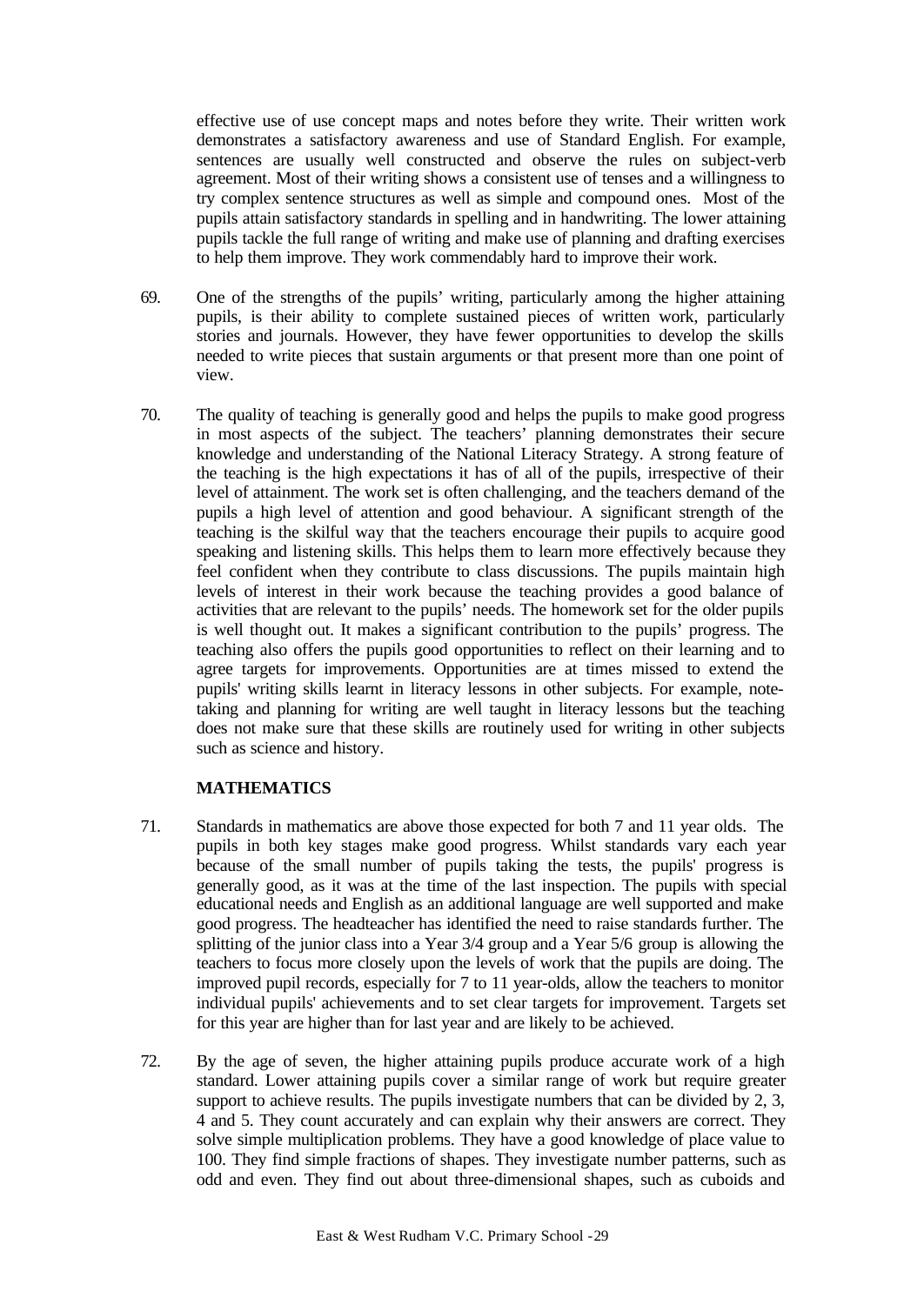effective use of use concept maps and notes before they write. Their written work demonstrates a satisfactory awareness and use of Standard English. For example, sentences are usually well constructed and observe the rules on subject-verb agreement. Most of their writing shows a consistent use of tenses and a willingness to try complex sentence structures as well as simple and compound ones. Most of the pupils attain satisfactory standards in spelling and in handwriting. The lower attaining pupils tackle the full range of writing and make use of planning and drafting exercises to help them improve. They work commendably hard to improve their work.

- 69. One of the strengths of the pupils' writing, particularly among the higher attaining pupils, is their ability to complete sustained pieces of written work, particularly stories and journals. However, they have fewer opportunities to develop the skills needed to write pieces that sustain arguments or that present more than one point of view.
- 70. The quality of teaching is generally good and helps the pupils to make good progress in most aspects of the subject. The teachers' planning demonstrates their secure knowledge and understanding of the National Literacy Strategy. A strong feature of the teaching is the high expectations it has of all of the pupils, irrespective of their level of attainment. The work set is often challenging, and the teachers demand of the pupils a high level of attention and good behaviour. A significant strength of the teaching is the skilful way that the teachers encourage their pupils to acquire good speaking and listening skills. This helps them to learn more effectively because they feel confident when they contribute to class discussions. The pupils maintain high levels of interest in their work because the teaching provides a good balance of activities that are relevant to the pupils' needs. The homework set for the older pupils is well thought out. It makes a significant contribution to the pupils' progress. The teaching also offers the pupils good opportunities to reflect on their learning and to agree targets for improvements. Opportunities are at times missed to extend the pupils' writing skills learnt in literacy lessons in other subjects. For example, notetaking and planning for writing are well taught in literacy lessons but the teaching does not make sure that these skills are routinely used for writing in other subjects such as science and history.

# **MATHEMATICS**

- 71. Standards in mathematics are above those expected for both 7 and 11 year olds. The pupils in both key stages make good progress. Whilst standards vary each year because of the small number of pupils taking the tests, the pupils' progress is generally good, as it was at the time of the last inspection. The pupils with special educational needs and English as an additional language are well supported and make good progress. The headteacher has identified the need to raise standards further. The splitting of the junior class into a Year 3/4 group and a Year 5/6 group is allowing the teachers to focus more closely upon the levels of work that the pupils are doing. The improved pupil records, especially for 7 to 11 year-olds, allow the teachers to monitor individual pupils' achievements and to set clear targets for improvement. Targets set for this year are higher than for last year and are likely to be achieved.
- 72. By the age of seven, the higher attaining pupils produce accurate work of a high standard. Lower attaining pupils cover a similar range of work but require greater support to achieve results. The pupils investigate numbers that can be divided by 2, 3, 4 and 5. They count accurately and can explain why their answers are correct. They solve simple multiplication problems. They have a good knowledge of place value to 100. They find simple fractions of shapes. They investigate number patterns, such as odd and even. They find out about three-dimensional shapes, such as cuboids and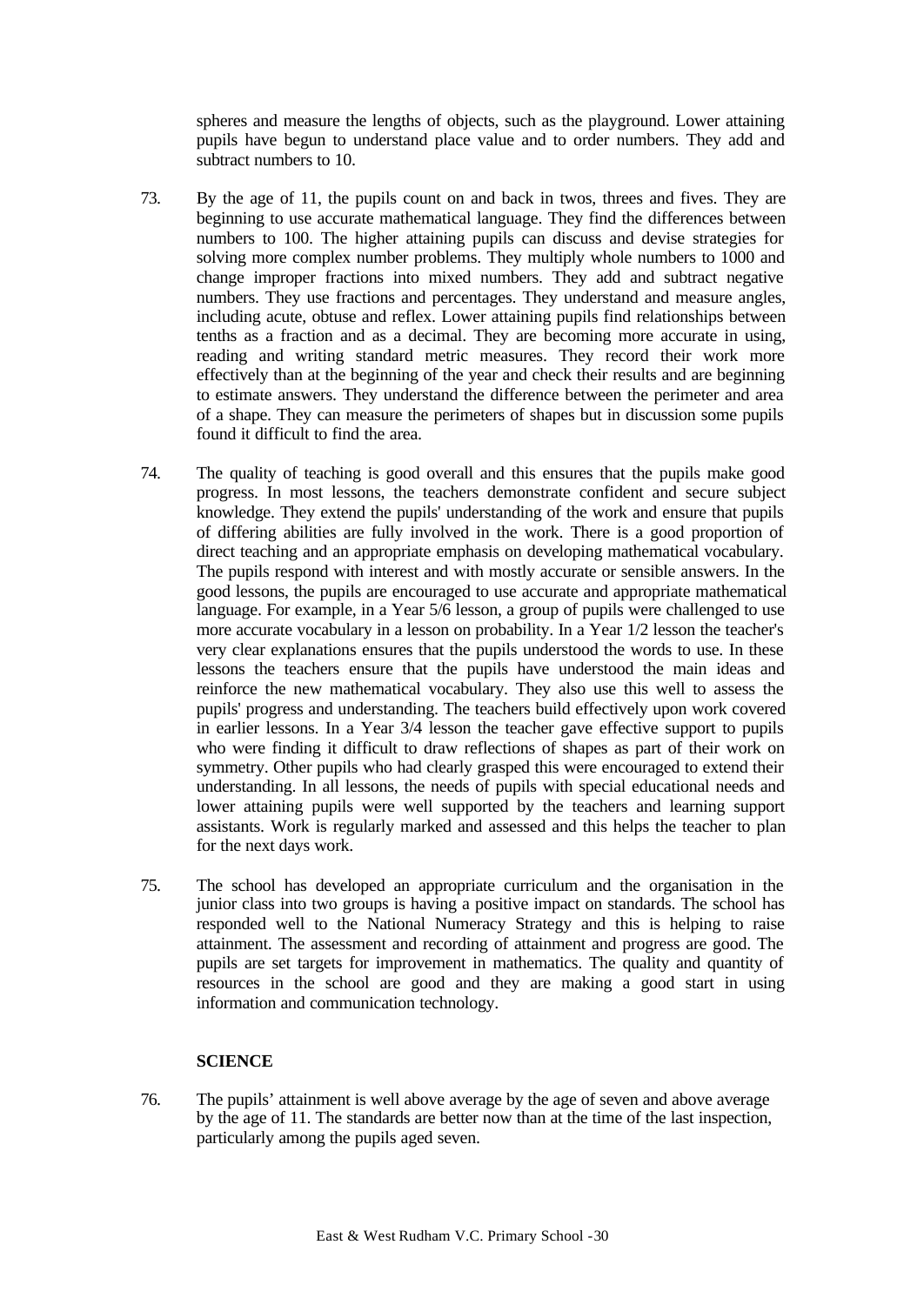spheres and measure the lengths of objects, such as the playground. Lower attaining pupils have begun to understand place value and to order numbers. They add and subtract numbers to 10.

- 73. By the age of 11, the pupils count on and back in twos, threes and fives. They are beginning to use accurate mathematical language. They find the differences between numbers to 100. The higher attaining pupils can discuss and devise strategies for solving more complex number problems. They multiply whole numbers to 1000 and change improper fractions into mixed numbers. They add and subtract negative numbers. They use fractions and percentages. They understand and measure angles, including acute, obtuse and reflex. Lower attaining pupils find relationships between tenths as a fraction and as a decimal. They are becoming more accurate in using, reading and writing standard metric measures. They record their work more effectively than at the beginning of the year and check their results and are beginning to estimate answers. They understand the difference between the perimeter and area of a shape. They can measure the perimeters of shapes but in discussion some pupils found it difficult to find the area.
- 74. The quality of teaching is good overall and this ensures that the pupils make good progress. In most lessons, the teachers demonstrate confident and secure subject knowledge. They extend the pupils' understanding of the work and ensure that pupils of differing abilities are fully involved in the work. There is a good proportion of direct teaching and an appropriate emphasis on developing mathematical vocabulary. The pupils respond with interest and with mostly accurate or sensible answers. In the good lessons, the pupils are encouraged to use accurate and appropriate mathematical language. For example, in a Year 5/6 lesson, a group of pupils were challenged to use more accurate vocabulary in a lesson on probability. In a Year 1/2 lesson the teacher's very clear explanations ensures that the pupils understood the words to use. In these lessons the teachers ensure that the pupils have understood the main ideas and reinforce the new mathematical vocabulary. They also use this well to assess the pupils' progress and understanding. The teachers build effectively upon work covered in earlier lessons. In a Year 3/4 lesson the teacher gave effective support to pupils who were finding it difficult to draw reflections of shapes as part of their work on symmetry. Other pupils who had clearly grasped this were encouraged to extend their understanding. In all lessons, the needs of pupils with special educational needs and lower attaining pupils were well supported by the teachers and learning support assistants. Work is regularly marked and assessed and this helps the teacher to plan for the next days work.
- 75. The school has developed an appropriate curriculum and the organisation in the junior class into two groups is having a positive impact on standards. The school has responded well to the National Numeracy Strategy and this is helping to raise attainment. The assessment and recording of attainment and progress are good. The pupils are set targets for improvement in mathematics. The quality and quantity of resources in the school are good and they are making a good start in using information and communication technology.

## **SCIENCE**

76. The pupils' attainment is well above average by the age of seven and above average by the age of 11. The standards are better now than at the time of the last inspection, particularly among the pupils aged seven.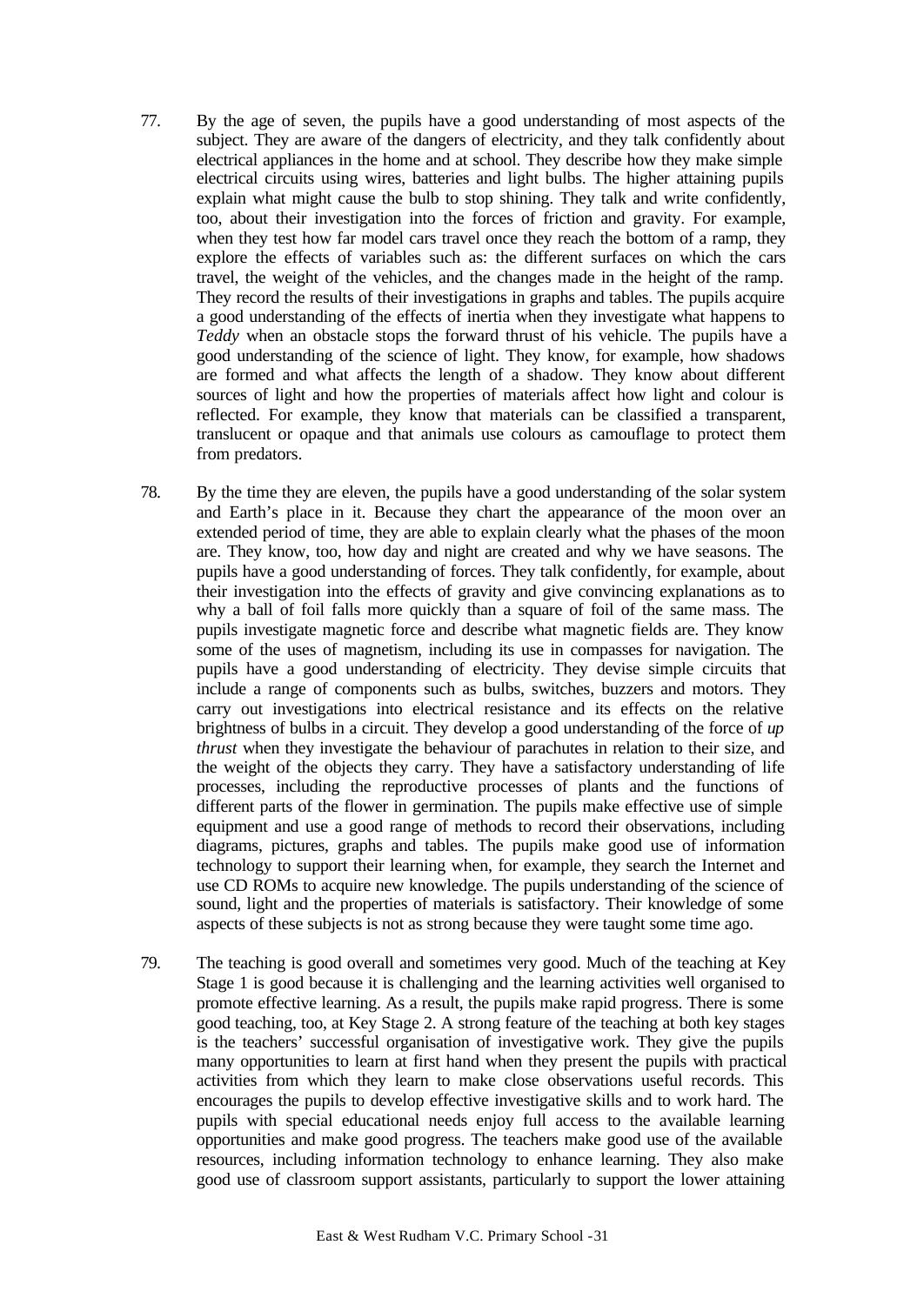- 77. By the age of seven, the pupils have a good understanding of most aspects of the subject. They are aware of the dangers of electricity, and they talk confidently about electrical appliances in the home and at school. They describe how they make simple electrical circuits using wires, batteries and light bulbs. The higher attaining pupils explain what might cause the bulb to stop shining. They talk and write confidently, too, about their investigation into the forces of friction and gravity. For example, when they test how far model cars travel once they reach the bottom of a ramp, they explore the effects of variables such as: the different surfaces on which the cars travel, the weight of the vehicles, and the changes made in the height of the ramp. They record the results of their investigations in graphs and tables. The pupils acquire a good understanding of the effects of inertia when they investigate what happens to *Teddy* when an obstacle stops the forward thrust of his vehicle. The pupils have a good understanding of the science of light. They know, for example, how shadows are formed and what affects the length of a shadow. They know about different sources of light and how the properties of materials affect how light and colour is reflected. For example, they know that materials can be classified a transparent, translucent or opaque and that animals use colours as camouflage to protect them from predators.
- 78. By the time they are eleven, the pupils have a good understanding of the solar system and Earth's place in it. Because they chart the appearance of the moon over an extended period of time, they are able to explain clearly what the phases of the moon are. They know, too, how day and night are created and why we have seasons. The pupils have a good understanding of forces. They talk confidently, for example, about their investigation into the effects of gravity and give convincing explanations as to why a ball of foil falls more quickly than a square of foil of the same mass. The pupils investigate magnetic force and describe what magnetic fields are. They know some of the uses of magnetism, including its use in compasses for navigation. The pupils have a good understanding of electricity. They devise simple circuits that include a range of components such as bulbs, switches, buzzers and motors. They carry out investigations into electrical resistance and its effects on the relative brightness of bulbs in a circuit. They develop a good understanding of the force of *up thrust* when they investigate the behaviour of parachutes in relation to their size, and the weight of the objects they carry. They have a satisfactory understanding of life processes, including the reproductive processes of plants and the functions of different parts of the flower in germination. The pupils make effective use of simple equipment and use a good range of methods to record their observations, including diagrams, pictures, graphs and tables. The pupils make good use of information technology to support their learning when, for example, they search the Internet and use CD ROMs to acquire new knowledge. The pupils understanding of the science of sound, light and the properties of materials is satisfactory. Their knowledge of some aspects of these subjects is not as strong because they were taught some time ago.
- 79. The teaching is good overall and sometimes very good. Much of the teaching at Key Stage 1 is good because it is challenging and the learning activities well organised to promote effective learning. As a result, the pupils make rapid progress. There is some good teaching, too, at Key Stage 2. A strong feature of the teaching at both key stages is the teachers' successful organisation of investigative work. They give the pupils many opportunities to learn at first hand when they present the pupils with practical activities from which they learn to make close observations useful records. This encourages the pupils to develop effective investigative skills and to work hard. The pupils with special educational needs enjoy full access to the available learning opportunities and make good progress. The teachers make good use of the available resources, including information technology to enhance learning. They also make good use of classroom support assistants, particularly to support the lower attaining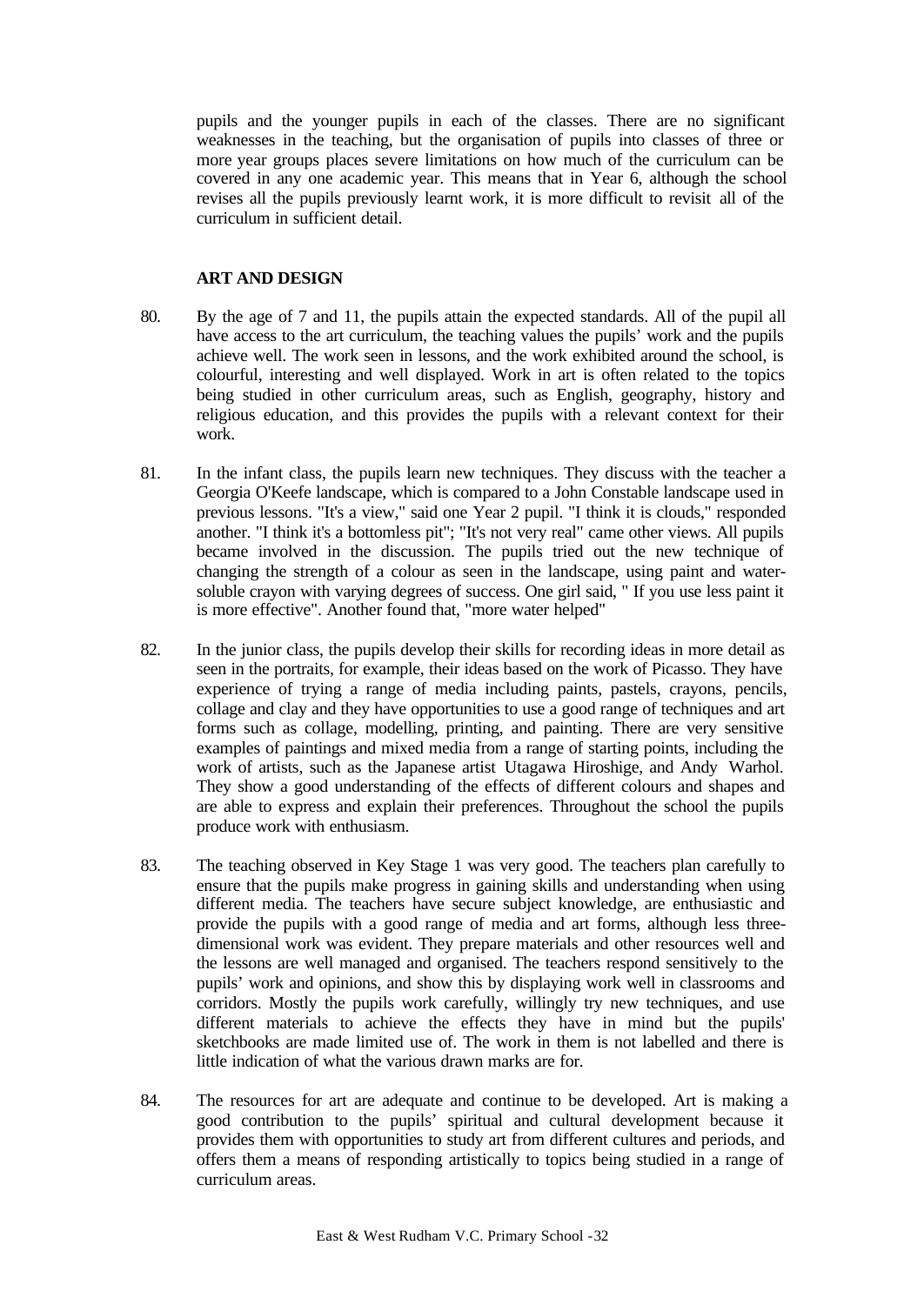pupils and the younger pupils in each of the classes. There are no significant weaknesses in the teaching, but the organisation of pupils into classes of three or more year groups places severe limitations on how much of the curriculum can be covered in any one academic year. This means that in Year 6, although the school revises all the pupils previously learnt work, it is more difficult to revisit all of the curriculum in sufficient detail.

## **ART AND DESIGN**

- 80. By the age of 7 and 11, the pupils attain the expected standards. All of the pupil all have access to the art curriculum, the teaching values the pupils' work and the pupils achieve well. The work seen in lessons, and the work exhibited around the school, is colourful, interesting and well displayed. Work in art is often related to the topics being studied in other curriculum areas, such as English, geography, history and religious education, and this provides the pupils with a relevant context for their work.
- 81. In the infant class, the pupils learn new techniques. They discuss with the teacher a Georgia O'Keefe landscape, which is compared to a John Constable landscape used in previous lessons. "It's a view," said one Year 2 pupil. "I think it is clouds," responded another. "I think it's a bottomless pit"; "It's not very real" came other views. All pupils became involved in the discussion. The pupils tried out the new technique of changing the strength of a colour as seen in the landscape, using paint and watersoluble crayon with varying degrees of success. One girl said, " If you use less paint it is more effective". Another found that, "more water helped"
- 82. In the junior class, the pupils develop their skills for recording ideas in more detail as seen in the portraits, for example, their ideas based on the work of Picasso. They have experience of trying a range of media including paints, pastels, crayons, pencils, collage and clay and they have opportunities to use a good range of techniques and art forms such as collage, modelling, printing, and painting. There are very sensitive examples of paintings and mixed media from a range of starting points, including the work of artists, such as the Japanese artist Utagawa Hiroshige, and Andy Warhol. They show a good understanding of the effects of different colours and shapes and are able to express and explain their preferences. Throughout the school the pupils produce work with enthusiasm.
- 83. The teaching observed in Key Stage 1 was very good. The teachers plan carefully to ensure that the pupils make progress in gaining skills and understanding when using different media. The teachers have secure subject knowledge, are enthusiastic and provide the pupils with a good range of media and art forms, although less threedimensional work was evident. They prepare materials and other resources well and the lessons are well managed and organised. The teachers respond sensitively to the pupils' work and opinions, and show this by displaying work well in classrooms and corridors. Mostly the pupils work carefully, willingly try new techniques, and use different materials to achieve the effects they have in mind but the pupils' sketchbooks are made limited use of. The work in them is not labelled and there is little indication of what the various drawn marks are for.
- 84. The resources for art are adequate and continue to be developed. Art is making a good contribution to the pupils' spiritual and cultural development because it provides them with opportunities to study art from different cultures and periods, and offers them a means of responding artistically to topics being studied in a range of curriculum areas.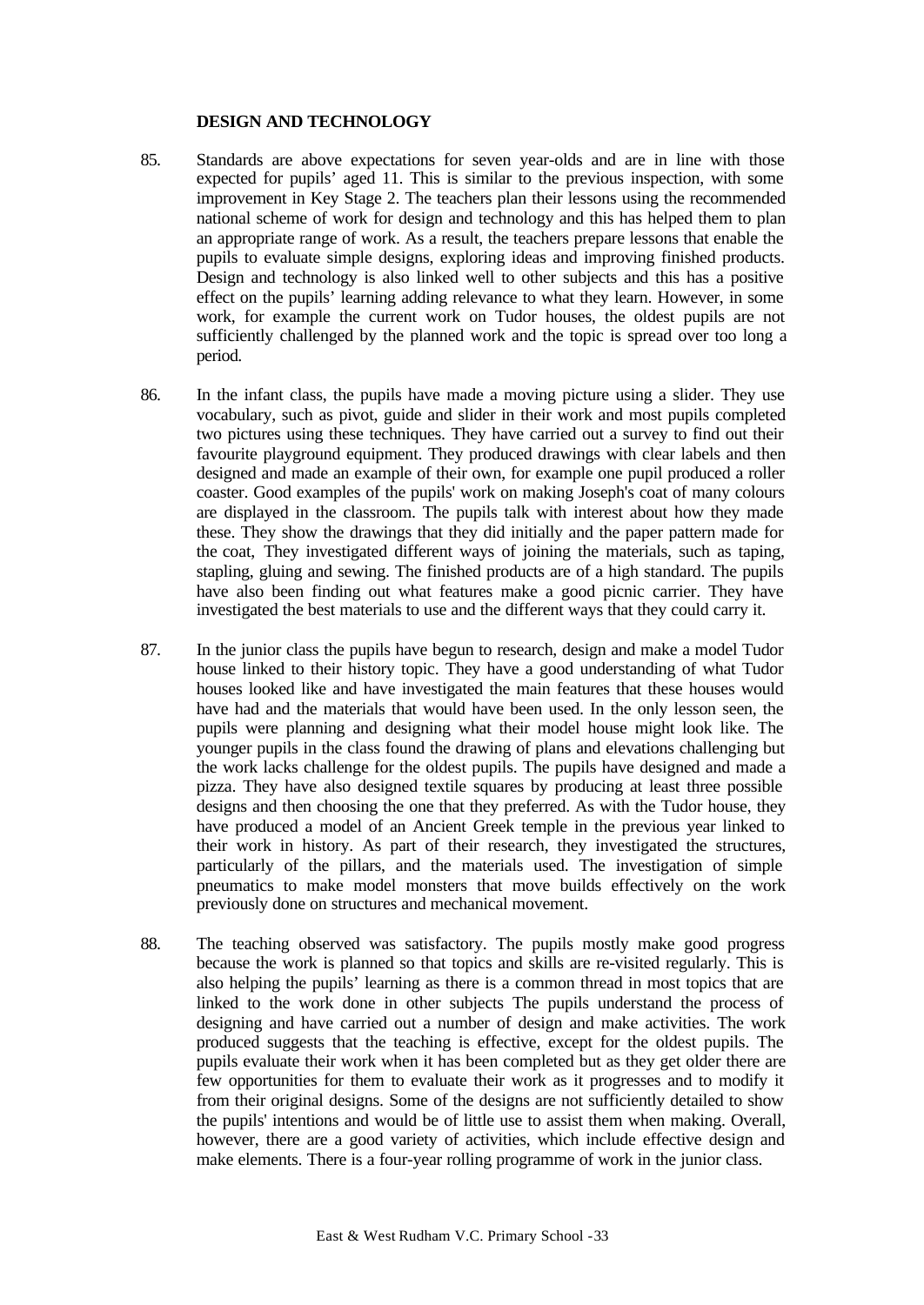## **DESIGN AND TECHNOLOGY**

- 85. Standards are above expectations for seven year-olds and are in line with those expected for pupils' aged 11. This is similar to the previous inspection, with some improvement in Key Stage 2. The teachers plan their lessons using the recommended national scheme of work for design and technology and this has helped them to plan an appropriate range of work. As a result, the teachers prepare lessons that enable the pupils to evaluate simple designs, exploring ideas and improving finished products. Design and technology is also linked well to other subjects and this has a positive effect on the pupils' learning adding relevance to what they learn. However, in some work, for example the current work on Tudor houses, the oldest pupils are not sufficiently challenged by the planned work and the topic is spread over too long a period.
- 86. In the infant class, the pupils have made a moving picture using a slider. They use vocabulary, such as pivot, guide and slider in their work and most pupils completed two pictures using these techniques. They have carried out a survey to find out their favourite playground equipment. They produced drawings with clear labels and then designed and made an example of their own, for example one pupil produced a roller coaster. Good examples of the pupils' work on making Joseph's coat of many colours are displayed in the classroom. The pupils talk with interest about how they made these. They show the drawings that they did initially and the paper pattern made for the coat, They investigated different ways of joining the materials, such as taping, stapling, gluing and sewing. The finished products are of a high standard. The pupils have also been finding out what features make a good picnic carrier. They have investigated the best materials to use and the different ways that they could carry it.
- 87. In the junior class the pupils have begun to research, design and make a model Tudor house linked to their history topic. They have a good understanding of what Tudor houses looked like and have investigated the main features that these houses would have had and the materials that would have been used. In the only lesson seen, the pupils were planning and designing what their model house might look like. The younger pupils in the class found the drawing of plans and elevations challenging but the work lacks challenge for the oldest pupils. The pupils have designed and made a pizza. They have also designed textile squares by producing at least three possible designs and then choosing the one that they preferred. As with the Tudor house, they have produced a model of an Ancient Greek temple in the previous year linked to their work in history. As part of their research, they investigated the structures, particularly of the pillars, and the materials used. The investigation of simple pneumatics to make model monsters that move builds effectively on the work previously done on structures and mechanical movement.
- 88. The teaching observed was satisfactory. The pupils mostly make good progress because the work is planned so that topics and skills are re-visited regularly. This is also helping the pupils' learning as there is a common thread in most topics that are linked to the work done in other subjects The pupils understand the process of designing and have carried out a number of design and make activities. The work produced suggests that the teaching is effective, except for the oldest pupils. The pupils evaluate their work when it has been completed but as they get older there are few opportunities for them to evaluate their work as it progresses and to modify it from their original designs. Some of the designs are not sufficiently detailed to show the pupils' intentions and would be of little use to assist them when making. Overall, however, there are a good variety of activities, which include effective design and make elements. There is a four-year rolling programme of work in the junior class.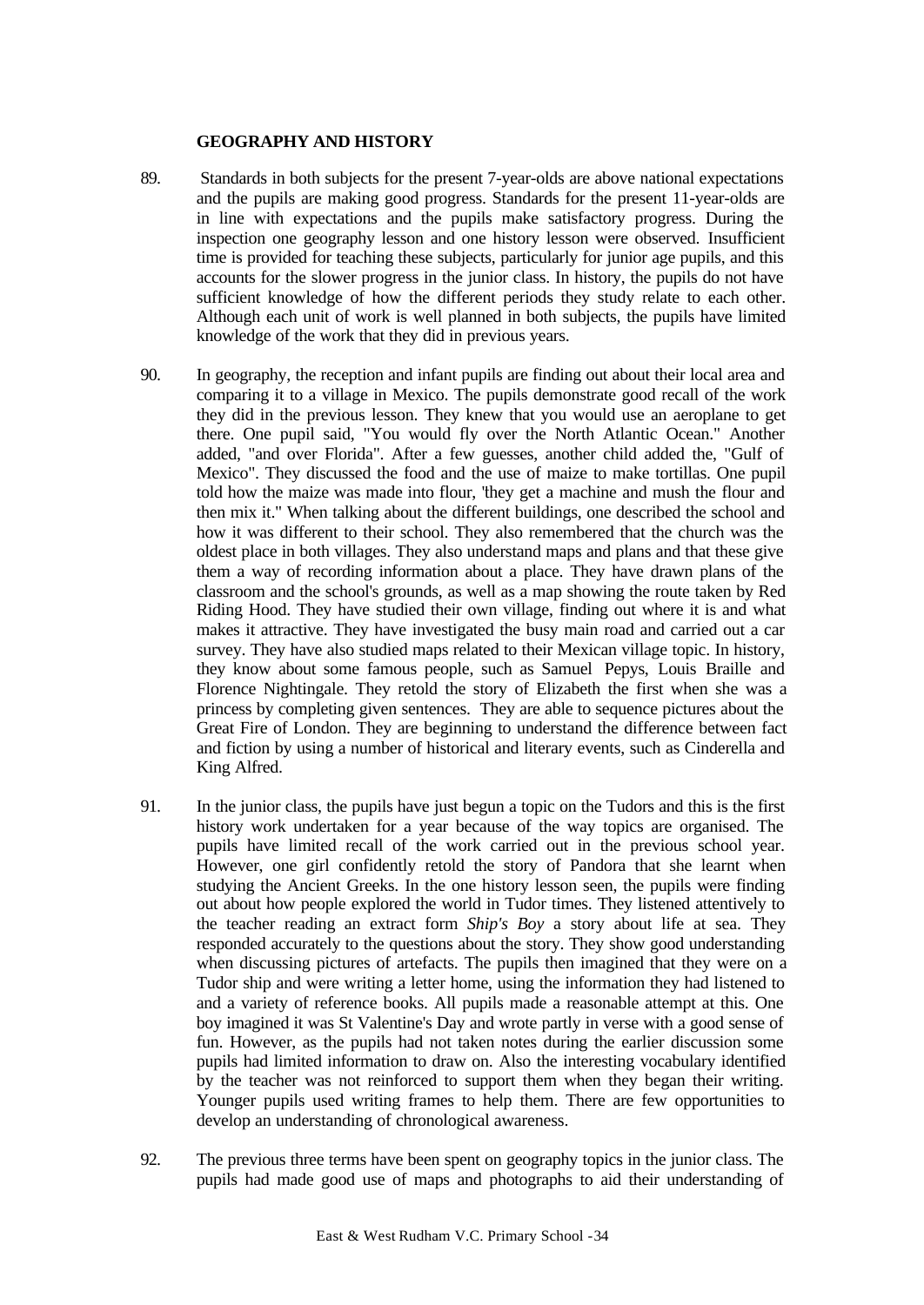## **GEOGRAPHY AND HISTORY**

- 89. Standards in both subjects for the present 7-year-olds are above national expectations and the pupils are making good progress. Standards for the present 11-year-olds are in line with expectations and the pupils make satisfactory progress. During the inspection one geography lesson and one history lesson were observed. Insufficient time is provided for teaching these subjects, particularly for junior age pupils, and this accounts for the slower progress in the junior class. In history, the pupils do not have sufficient knowledge of how the different periods they study relate to each other. Although each unit of work is well planned in both subjects, the pupils have limited knowledge of the work that they did in previous years.
- 90. In geography, the reception and infant pupils are finding out about their local area and comparing it to a village in Mexico. The pupils demonstrate good recall of the work they did in the previous lesson. They knew that you would use an aeroplane to get there. One pupil said, "You would fly over the North Atlantic Ocean." Another added, "and over Florida". After a few guesses, another child added the, "Gulf of Mexico". They discussed the food and the use of maize to make tortillas. One pupil told how the maize was made into flour, "they get a machine and mush the flour and then mix it." When talking about the different buildings, one described the school and how it was different to their school. They also remembered that the church was the oldest place in both villages. They also understand maps and plans and that these give them a way of recording information about a place. They have drawn plans of the classroom and the school's grounds, as well as a map showing the route taken by Red Riding Hood. They have studied their own village, finding out where it is and what makes it attractive. They have investigated the busy main road and carried out a car survey. They have also studied maps related to their Mexican village topic. In history, they know about some famous people, such as Samuel Pepys, Louis Braille and Florence Nightingale. They retold the story of Elizabeth the first when she was a princess by completing given sentences. They are able to sequence pictures about the Great Fire of London. They are beginning to understand the difference between fact and fiction by using a number of historical and literary events, such as Cinderella and King Alfred.
- 91. In the junior class, the pupils have just begun a topic on the Tudors and this is the first history work undertaken for a year because of the way topics are organised. The pupils have limited recall of the work carried out in the previous school year. However, one girl confidently retold the story of Pandora that she learnt when studying the Ancient Greeks. In the one history lesson seen, the pupils were finding out about how people explored the world in Tudor times. They listened attentively to the teacher reading an extract form *Ship's Boy* a story about life at sea. They responded accurately to the questions about the story. They show good understanding when discussing pictures of artefacts. The pupils then imagined that they were on a Tudor ship and were writing a letter home, using the information they had listened to and a variety of reference books. All pupils made a reasonable attempt at this. One boy imagined it was St Valentine's Day and wrote partly in verse with a good sense of fun. However, as the pupils had not taken notes during the earlier discussion some pupils had limited information to draw on. Also the interesting vocabulary identified by the teacher was not reinforced to support them when they began their writing. Younger pupils used writing frames to help them. There are few opportunities to develop an understanding of chronological awareness.
- 92. The previous three terms have been spent on geography topics in the junior class. The pupils had made good use of maps and photographs to aid their understanding of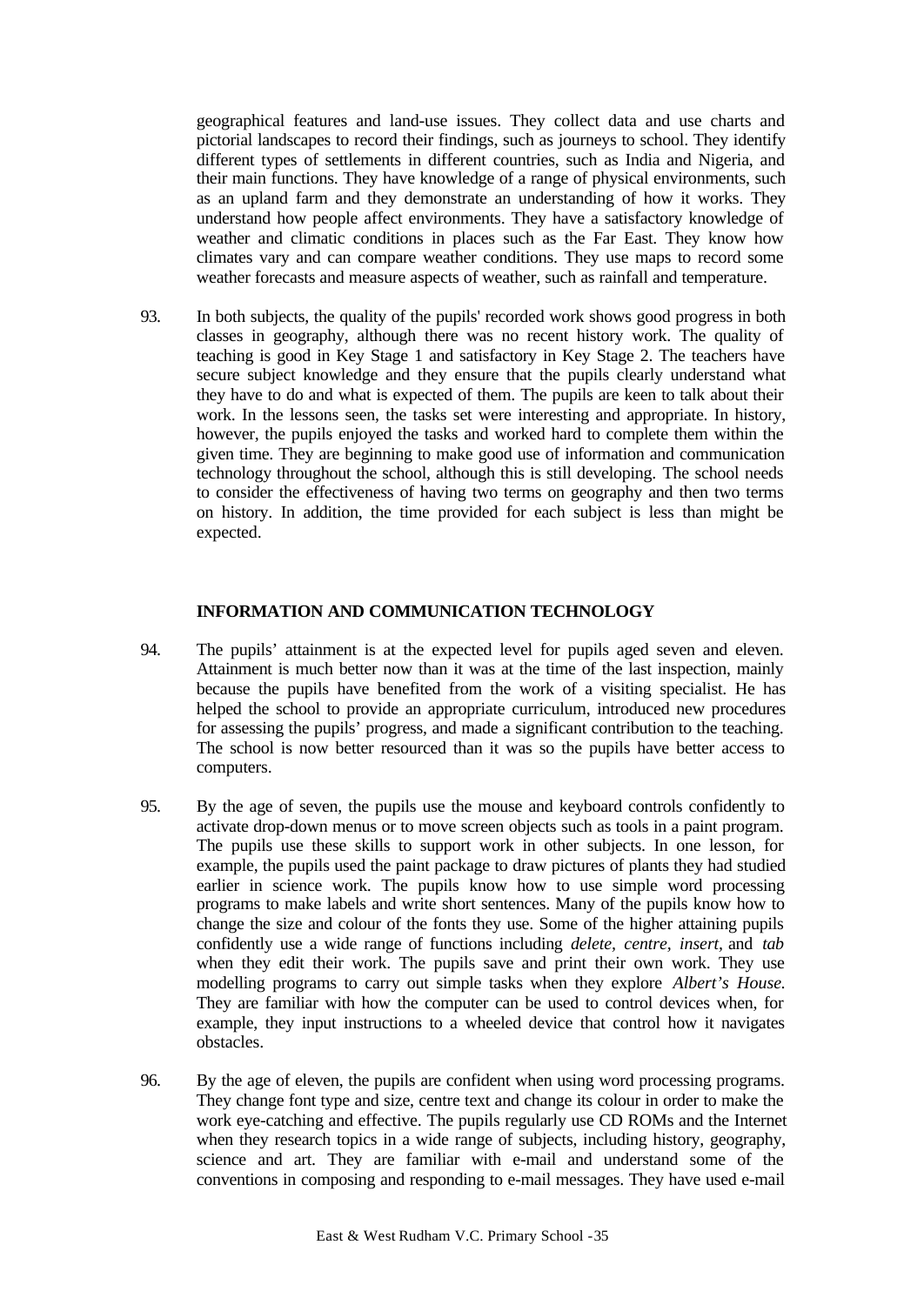geographical features and land-use issues. They collect data and use charts and pictorial landscapes to record their findings, such as journeys to school. They identify different types of settlements in different countries, such as India and Nigeria, and their main functions. They have knowledge of a range of physical environments, such as an upland farm and they demonstrate an understanding of how it works. They understand how people affect environments. They have a satisfactory knowledge of weather and climatic conditions in places such as the Far East. They know how climates vary and can compare weather conditions. They use maps to record some weather forecasts and measure aspects of weather, such as rainfall and temperature.

93. In both subjects, the quality of the pupils' recorded work shows good progress in both classes in geography, although there was no recent history work. The quality of teaching is good in Key Stage 1 and satisfactory in Key Stage 2. The teachers have secure subject knowledge and they ensure that the pupils clearly understand what they have to do and what is expected of them. The pupils are keen to talk about their work. In the lessons seen, the tasks set were interesting and appropriate. In history, however, the pupils enjoyed the tasks and worked hard to complete them within the given time. They are beginning to make good use of information and communication technology throughout the school, although this is still developing. The school needs to consider the effectiveness of having two terms on geography and then two terms on history. In addition, the time provided for each subject is less than might be expected.

## **INFORMATION AND COMMUNICATION TECHNOLOGY**

- 94. The pupils' attainment is at the expected level for pupils aged seven and eleven. Attainment is much better now than it was at the time of the last inspection, mainly because the pupils have benefited from the work of a visiting specialist. He has helped the school to provide an appropriate curriculum, introduced new procedures for assessing the pupils' progress, and made a significant contribution to the teaching. The school is now better resourced than it was so the pupils have better access to computers.
- 95. By the age of seven, the pupils use the mouse and keyboard controls confidently to activate drop-down menus or to move screen objects such as tools in a paint program. The pupils use these skills to support work in other subjects. In one lesson, for example, the pupils used the paint package to draw pictures of plants they had studied earlier in science work. The pupils know how to use simple word processing programs to make labels and write short sentences. Many of the pupils know how to change the size and colour of the fonts they use. Some of the higher attaining pupils confidently use a wide range of functions including *delete, centre, insert,* and *tab* when they edit their work. The pupils save and print their own work. They use modelling programs to carry out simple tasks when they explore *Albert's House.* They are familiar with how the computer can be used to control devices when, for example, they input instructions to a wheeled device that control how it navigates obstacles.
- 96. By the age of eleven, the pupils are confident when using word processing programs. They change font type and size, centre text and change its colour in order to make the work eye-catching and effective. The pupils regularly use CD ROMs and the Internet when they research topics in a wide range of subjects, including history, geography, science and art. They are familiar with e-mail and understand some of the conventions in composing and responding to e-mail messages. They have used e-mail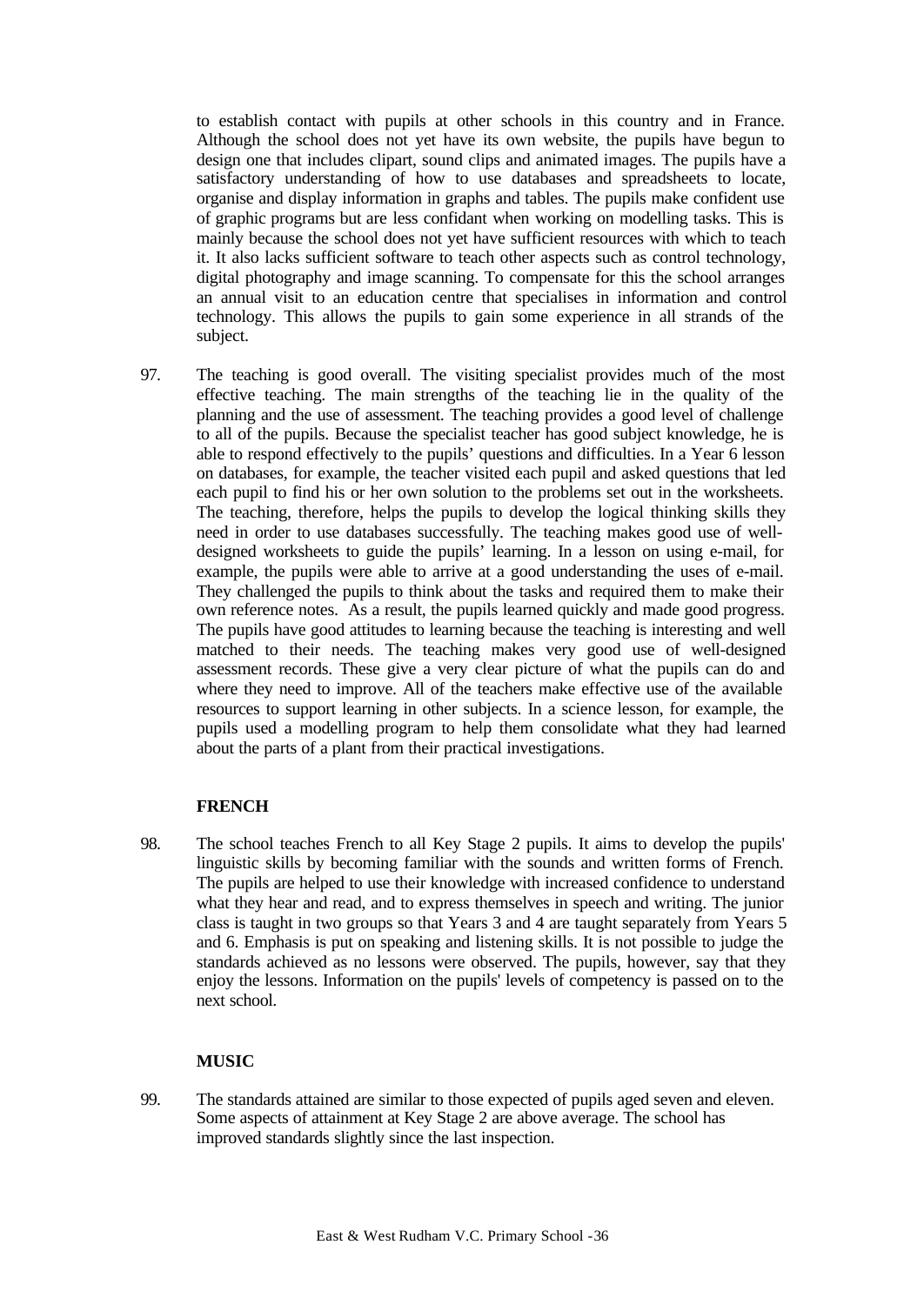to establish contact with pupils at other schools in this country and in France. Although the school does not yet have its own website, the pupils have begun to design one that includes clipart, sound clips and animated images. The pupils have a satisfactory understanding of how to use databases and spreadsheets to locate, organise and display information in graphs and tables. The pupils make confident use of graphic programs but are less confidant when working on modelling tasks. This is mainly because the school does not yet have sufficient resources with which to teach it. It also lacks sufficient software to teach other aspects such as control technology, digital photography and image scanning. To compensate for this the school arranges an annual visit to an education centre that specialises in information and control technology. This allows the pupils to gain some experience in all strands of the subject.

97. The teaching is good overall. The visiting specialist provides much of the most effective teaching. The main strengths of the teaching lie in the quality of the planning and the use of assessment. The teaching provides a good level of challenge to all of the pupils. Because the specialist teacher has good subject knowledge, he is able to respond effectively to the pupils' questions and difficulties. In a Year 6 lesson on databases, for example, the teacher visited each pupil and asked questions that led each pupil to find his or her own solution to the problems set out in the worksheets. The teaching, therefore, helps the pupils to develop the logical thinking skills they need in order to use databases successfully. The teaching makes good use of welldesigned worksheets to guide the pupils' learning. In a lesson on using e-mail, for example, the pupils were able to arrive at a good understanding the uses of e-mail. They challenged the pupils to think about the tasks and required them to make their own reference notes. As a result, the pupils learned quickly and made good progress. The pupils have good attitudes to learning because the teaching is interesting and well matched to their needs. The teaching makes very good use of well-designed assessment records. These give a very clear picture of what the pupils can do and where they need to improve. All of the teachers make effective use of the available resources to support learning in other subjects. In a science lesson, for example, the pupils used a modelling program to help them consolidate what they had learned about the parts of a plant from their practical investigations.

## **FRENCH**

98. The school teaches French to all Key Stage 2 pupils. It aims to develop the pupils' linguistic skills by becoming familiar with the sounds and written forms of French. The pupils are helped to use their knowledge with increased confidence to understand what they hear and read, and to express themselves in speech and writing. The junior class is taught in two groups so that Years 3 and 4 are taught separately from Years 5 and 6. Emphasis is put on speaking and listening skills. It is not possible to judge the standards achieved as no lessons were observed. The pupils, however, say that they enjoy the lessons. Information on the pupils' levels of competency is passed on to the next school.

# **MUSIC**

99. The standards attained are similar to those expected of pupils aged seven and eleven. Some aspects of attainment at Key Stage 2 are above average. The school has improved standards slightly since the last inspection.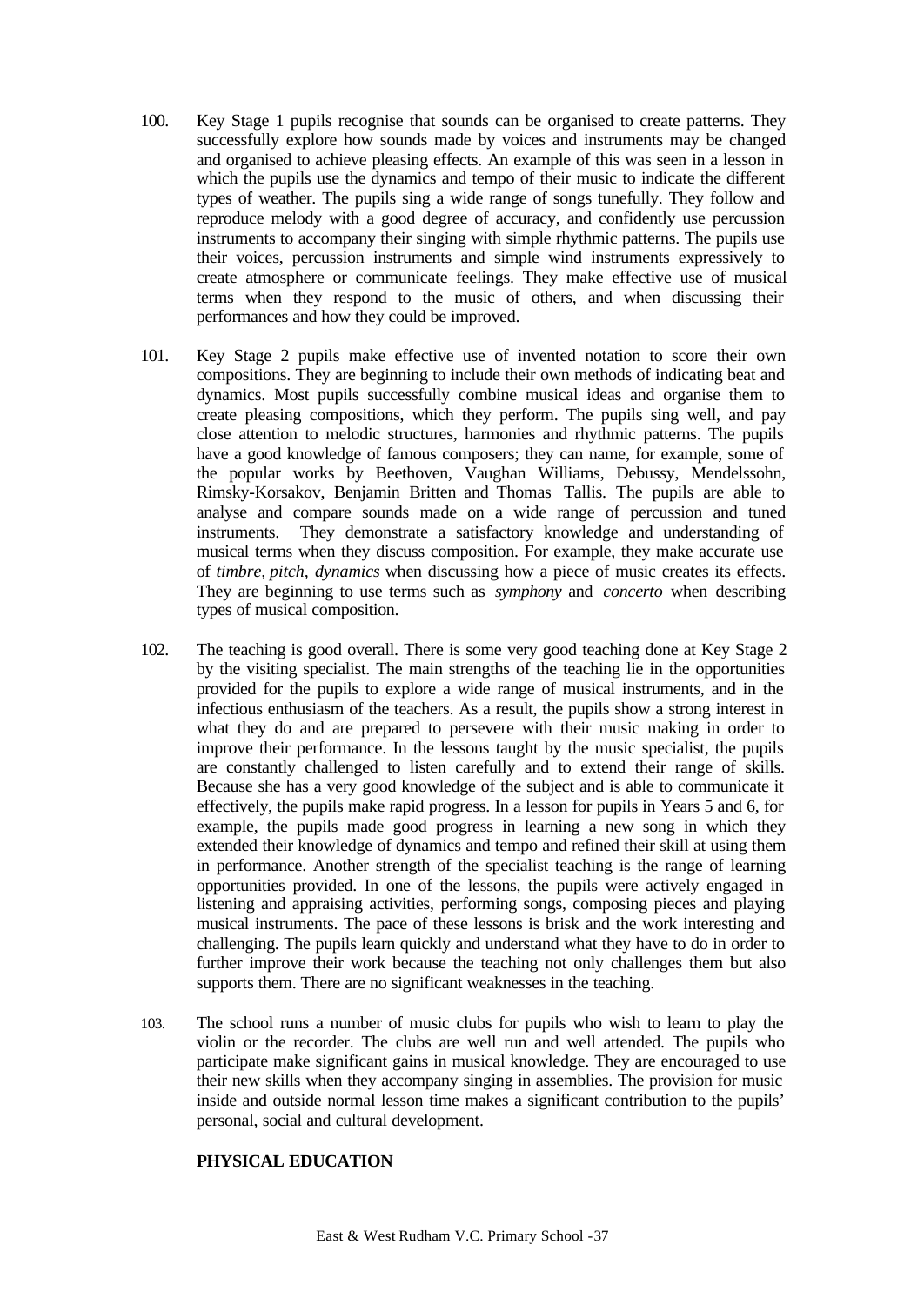- 100. Key Stage 1 pupils recognise that sounds can be organised to create patterns. They successfully explore how sounds made by voices and instruments may be changed and organised to achieve pleasing effects. An example of this was seen in a lesson in which the pupils use the dynamics and tempo of their music to indicate the different types of weather. The pupils sing a wide range of songs tunefully. They follow and reproduce melody with a good degree of accuracy, and confidently use percussion instruments to accompany their singing with simple rhythmic patterns. The pupils use their voices, percussion instruments and simple wind instruments expressively to create atmosphere or communicate feelings. They make effective use of musical terms when they respond to the music of others, and when discussing their performances and how they could be improved.
- 101. Key Stage 2 pupils make effective use of invented notation to score their own compositions. They are beginning to include their own methods of indicating beat and dynamics. Most pupils successfully combine musical ideas and organise them to create pleasing compositions, which they perform. The pupils sing well, and pay close attention to melodic structures, harmonies and rhythmic patterns. The pupils have a good knowledge of famous composers; they can name, for example, some of the popular works by Beethoven, Vaughan Williams, Debussy, Mendelssohn, Rimsky-Korsakov, Benjamin Britten and Thomas Tallis. The pupils are able to analyse and compare sounds made on a wide range of percussion and tuned instruments. They demonstrate a satisfactory knowledge and understanding of musical terms when they discuss composition. For example, they make accurate use of *timbre, pitch, dynamics* when discussing how a piece of music creates its effects. They are beginning to use terms such as *symphony* and *concerto* when describing types of musical composition.
- 102. The teaching is good overall. There is some very good teaching done at Key Stage 2 by the visiting specialist. The main strengths of the teaching lie in the opportunities provided for the pupils to explore a wide range of musical instruments, and in the infectious enthusiasm of the teachers. As a result, the pupils show a strong interest in what they do and are prepared to persevere with their music making in order to improve their performance. In the lessons taught by the music specialist, the pupils are constantly challenged to listen carefully and to extend their range of skills. Because she has a very good knowledge of the subject and is able to communicate it effectively, the pupils make rapid progress. In a lesson for pupils in Years 5 and 6, for example, the pupils made good progress in learning a new song in which they extended their knowledge of dynamics and tempo and refined their skill at using them in performance. Another strength of the specialist teaching is the range of learning opportunities provided. In one of the lessons, the pupils were actively engaged in listening and appraising activities, performing songs, composing pieces and playing musical instruments. The pace of these lessons is brisk and the work interesting and challenging. The pupils learn quickly and understand what they have to do in order to further improve their work because the teaching not only challenges them but also supports them. There are no significant weaknesses in the teaching.
- 103. The school runs a number of music clubs for pupils who wish to learn to play the violin or the recorder. The clubs are well run and well attended. The pupils who participate make significant gains in musical knowledge. They are encouraged to use their new skills when they accompany singing in assemblies. The provision for music inside and outside normal lesson time makes a significant contribution to the pupils' personal, social and cultural development.

## **PHYSICAL EDUCATION**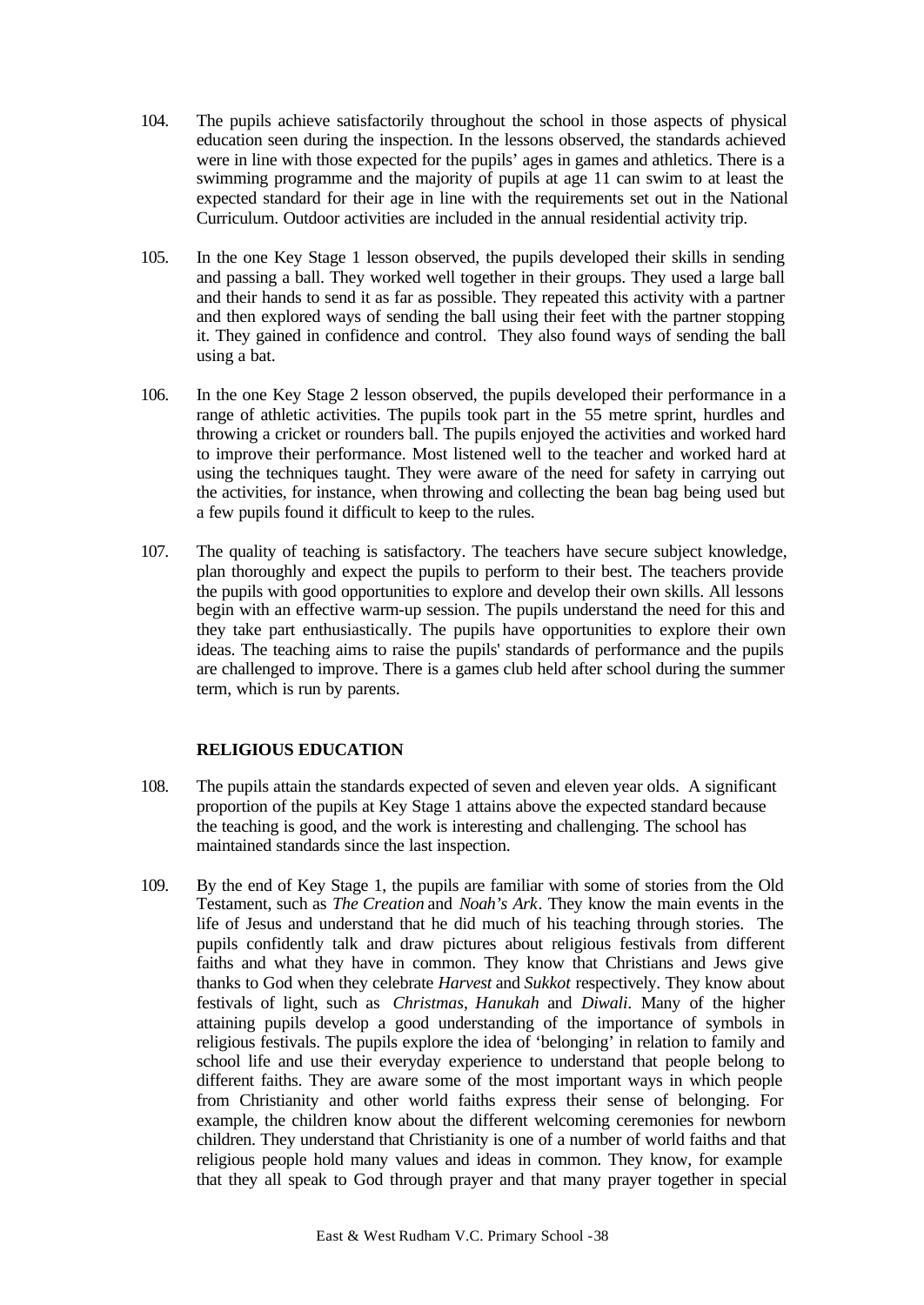- 104. The pupils achieve satisfactorily throughout the school in those aspects of physical education seen during the inspection. In the lessons observed, the standards achieved were in line with those expected for the pupils' ages in games and athletics. There is a swimming programme and the majority of pupils at age 11 can swim to at least the expected standard for their age in line with the requirements set out in the National Curriculum. Outdoor activities are included in the annual residential activity trip.
- 105. In the one Key Stage 1 lesson observed, the pupils developed their skills in sending and passing a ball. They worked well together in their groups. They used a large ball and their hands to send it as far as possible. They repeated this activity with a partner and then explored ways of sending the ball using their feet with the partner stopping it. They gained in confidence and control. They also found ways of sending the ball using a bat.
- 106. In the one Key Stage 2 lesson observed, the pupils developed their performance in a range of athletic activities. The pupils took part in the 55 metre sprint, hurdles and throwing a cricket or rounders ball. The pupils enjoyed the activities and worked hard to improve their performance. Most listened well to the teacher and worked hard at using the techniques taught. They were aware of the need for safety in carrying out the activities, for instance, when throwing and collecting the bean bag being used but a few pupils found it difficult to keep to the rules.
- 107. The quality of teaching is satisfactory. The teachers have secure subject knowledge, plan thoroughly and expect the pupils to perform to their best. The teachers provide the pupils with good opportunities to explore and develop their own skills. All lessons begin with an effective warm-up session. The pupils understand the need for this and they take part enthusiastically. The pupils have opportunities to explore their own ideas. The teaching aims to raise the pupils' standards of performance and the pupils are challenged to improve. There is a games club held after school during the summer term, which is run by parents.

# **RELIGIOUS EDUCATION**

- 108. The pupils attain the standards expected of seven and eleven year olds. A significant proportion of the pupils at Key Stage 1 attains above the expected standard because the teaching is good, and the work is interesting and challenging. The school has maintained standards since the last inspection.
- 109. By the end of Key Stage 1, the pupils are familiar with some of stories from the Old Testament, such as *The Creation* and *Noah's Ark*. They know the main events in the life of Jesus and understand that he did much of his teaching through stories. The pupils confidently talk and draw pictures about religious festivals from different faiths and what they have in common. They know that Christians and Jews give thanks to God when they celebrate *Harvest* and *Sukkot* respectively. They know about festivals of light, such as *Christmas*, *Hanukah* and *Diwali*. Many of the higher attaining pupils develop a good understanding of the importance of symbols in religious festivals. The pupils explore the idea of 'belonging' in relation to family and school life and use their everyday experience to understand that people belong to different faiths. They are aware some of the most important ways in which people from Christianity and other world faiths express their sense of belonging. For example, the children know about the different welcoming ceremonies for newborn children. They understand that Christianity is one of a number of world faiths and that religious people hold many values and ideas in common. They know, for example that they all speak to God through prayer and that many prayer together in special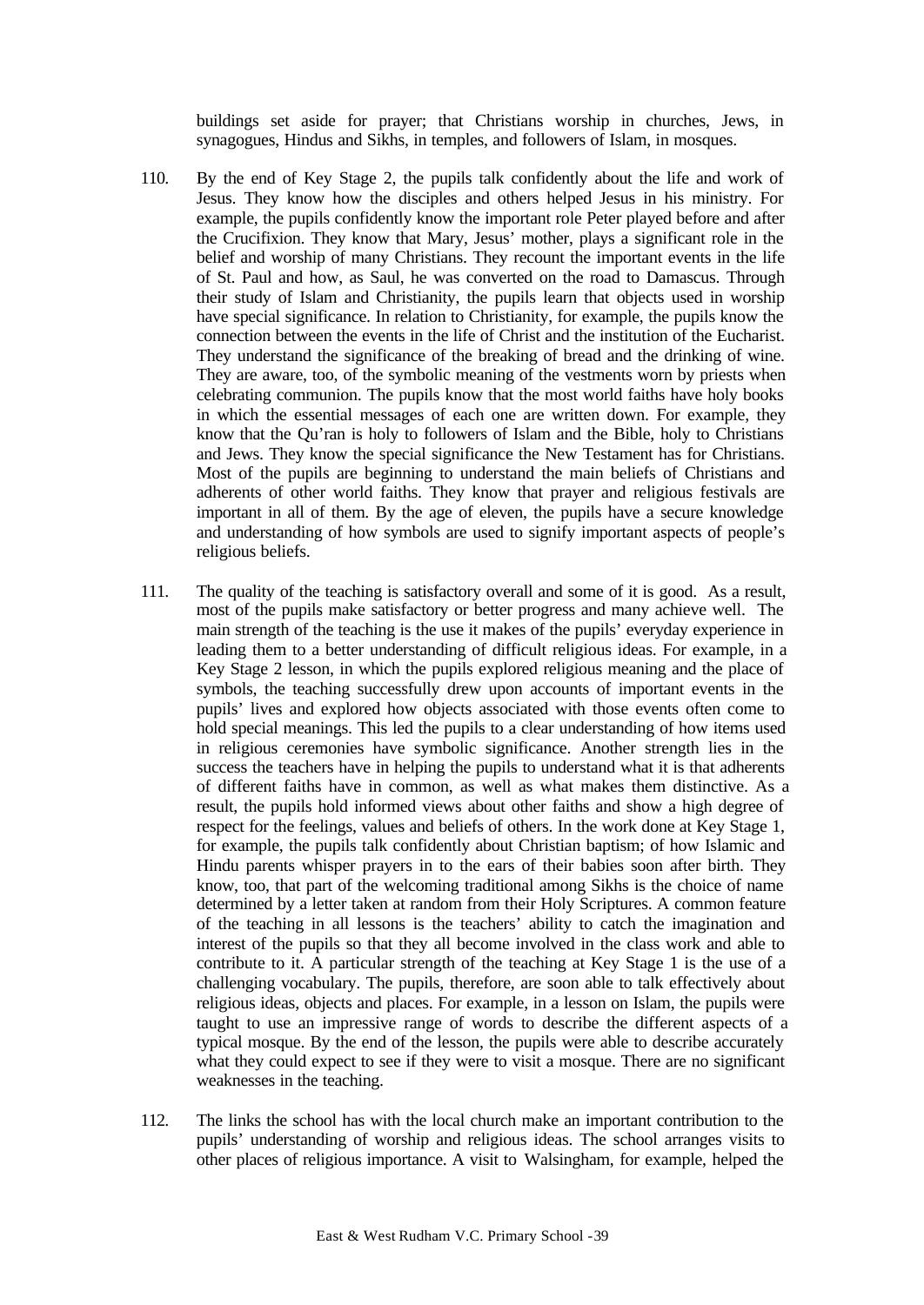buildings set aside for prayer; that Christians worship in churches, Jews, in synagogues, Hindus and Sikhs, in temples, and followers of Islam, in mosques.

- 110. By the end of Key Stage 2, the pupils talk confidently about the life and work of Jesus. They know how the disciples and others helped Jesus in his ministry. For example, the pupils confidently know the important role Peter played before and after the Crucifixion. They know that Mary, Jesus' mother, plays a significant role in the belief and worship of many Christians. They recount the important events in the life of St. Paul and how, as Saul, he was converted on the road to Damascus. Through their study of Islam and Christianity, the pupils learn that objects used in worship have special significance. In relation to Christianity, for example, the pupils know the connection between the events in the life of Christ and the institution of the Eucharist. They understand the significance of the breaking of bread and the drinking of wine. They are aware, too, of the symbolic meaning of the vestments worn by priests when celebrating communion. The pupils know that the most world faiths have holy books in which the essential messages of each one are written down. For example, they know that the Qu'ran is holy to followers of Islam and the Bible, holy to Christians and Jews. They know the special significance the New Testament has for Christians. Most of the pupils are beginning to understand the main beliefs of Christians and adherents of other world faiths. They know that prayer and religious festivals are important in all of them. By the age of eleven, the pupils have a secure knowledge and understanding of how symbols are used to signify important aspects of people's religious beliefs.
- 111. The quality of the teaching is satisfactory overall and some of it is good. As a result, most of the pupils make satisfactory or better progress and many achieve well. The main strength of the teaching is the use it makes of the pupils' everyday experience in leading them to a better understanding of difficult religious ideas. For example, in a Key Stage 2 lesson, in which the pupils explored religious meaning and the place of symbols, the teaching successfully drew upon accounts of important events in the pupils' lives and explored how objects associated with those events often come to hold special meanings. This led the pupils to a clear understanding of how items used in religious ceremonies have symbolic significance. Another strength lies in the success the teachers have in helping the pupils to understand what it is that adherents of different faiths have in common, as well as what makes them distinctive. As a result, the pupils hold informed views about other faiths and show a high degree of respect for the feelings, values and beliefs of others. In the work done at Key Stage 1, for example, the pupils talk confidently about Christian baptism; of how Islamic and Hindu parents whisper prayers in to the ears of their babies soon after birth. They know, too, that part of the welcoming traditional among Sikhs is the choice of name determined by a letter taken at random from their Holy Scriptures. A common feature of the teaching in all lessons is the teachers' ability to catch the imagination and interest of the pupils so that they all become involved in the class work and able to contribute to it. A particular strength of the teaching at Key Stage 1 is the use of a challenging vocabulary. The pupils, therefore, are soon able to talk effectively about religious ideas, objects and places. For example, in a lesson on Islam, the pupils were taught to use an impressive range of words to describe the different aspects of a typical mosque. By the end of the lesson, the pupils were able to describe accurately what they could expect to see if they were to visit a mosque. There are no significant weaknesses in the teaching.
- 112. The links the school has with the local church make an important contribution to the pupils' understanding of worship and religious ideas. The school arranges visits to other places of religious importance. A visit to Walsingham, for example, helped the